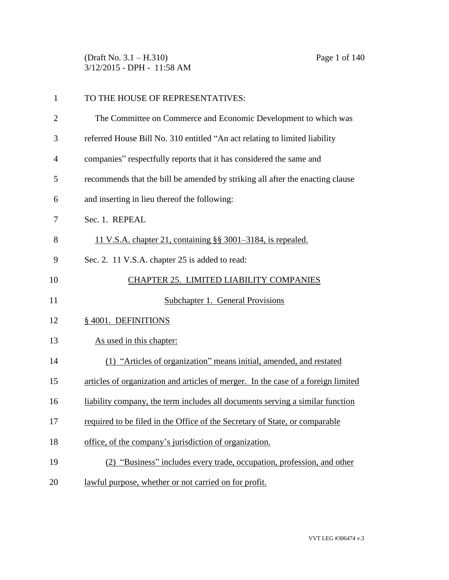(Draft No. 3.1 – H.310) Page 1 of 140 3/12/2015 - DPH - 11:58 AM

| $\mathbf{1}$   | TO THE HOUSE OF REPRESENTATIVES:                                                  |
|----------------|-----------------------------------------------------------------------------------|
| $\overline{2}$ | The Committee on Commerce and Economic Development to which was                   |
| 3              | referred House Bill No. 310 entitled "An act relating to limited liability        |
| 4              | companies" respectfully reports that it has considered the same and               |
| 5              | recommends that the bill be amended by striking all after the enacting clause     |
| 6              | and inserting in lieu thereof the following:                                      |
| 7              | Sec. 1. REPEAL                                                                    |
| 8              | 11 V.S.A. chapter 21, containing §§ 3001–3184, is repealed.                       |
| 9              | Sec. 2. 11 V.S.A. chapter 25 is added to read:                                    |
| 10             | CHAPTER 25. LIMITED LIABILITY COMPANIES                                           |
| 11             | Subchapter 1. General Provisions                                                  |
| 12             | § 4001. DEFINITIONS                                                               |
| 13             | As used in this chapter:                                                          |
| 14             | (1) "Articles of organization" means initial, amended, and restated               |
| 15             | articles of organization and articles of merger. In the case of a foreign limited |
| 16             | liability company, the term includes all documents serving a similar function     |
| 17             | required to be filed in the Office of the Secretary of State, or comparable       |
| 18             | office, of the company's jurisdiction of organization.                            |
| 19             | "Business" includes every trade, occupation, profession, and other                |
| 20             | lawful purpose, whether or not carried on for profit.                             |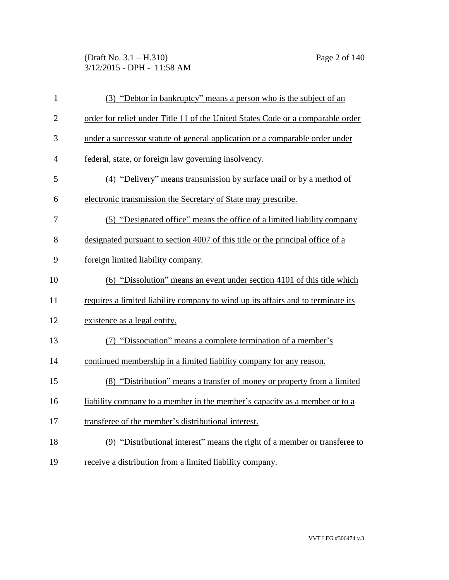## (Draft No. 3.1 – H.310) Page 2 of 140 3/12/2015 - DPH - 11:58 AM

| $\mathbf{1}$   | (3) "Debtor in bankruptcy" means a person who is the subject of an               |
|----------------|----------------------------------------------------------------------------------|
| $\mathbf{2}$   | order for relief under Title 11 of the United States Code or a comparable order  |
| 3              | under a successor statute of general application or a comparable order under     |
| $\overline{4}$ | federal, state, or foreign law governing insolvency.                             |
| 5              | (4) "Delivery" means transmission by surface mail or by a method of              |
| 6              | electronic transmission the Secretary of State may prescribe.                    |
| 7              | (5) "Designated office" means the office of a limited liability company          |
| 8              | designated pursuant to section 4007 of this title or the principal office of a   |
| 9              | foreign limited liability company.                                               |
| 10             | (6) "Dissolution" means an event under section 4101 of this title which          |
| 11             | requires a limited liability company to wind up its affairs and to terminate its |
| 12             | existence as a legal entity.                                                     |
| 13             | (7) "Dissociation" means a complete termination of a member's                    |
| 14             | continued membership in a limited liability company for any reason.              |
| 15             | (8) "Distribution" means a transfer of money or property from a limited          |
| 16             | liability company to a member in the member's capacity as a member or to a       |
| 17             | transferee of the member's distributional interest.                              |
| 18             | (9) "Distributional interest" means the right of a member or transferee to       |
| 19             | receive a distribution from a limited liability company.                         |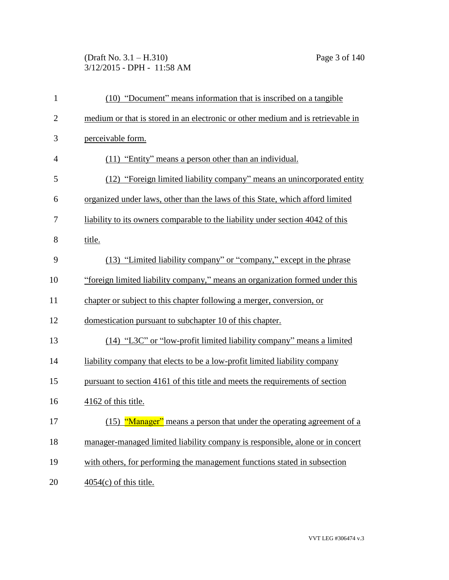# (Draft No. 3.1 – H.310) Page 3 of 140 3/12/2015 - DPH - 11:58 AM

| $\mathbf{1}$   | (10) "Document" means information that is inscribed on a tangible               |
|----------------|---------------------------------------------------------------------------------|
| $\overline{2}$ | medium or that is stored in an electronic or other medium and is retrievable in |
| 3              | perceivable form.                                                               |
| $\overline{4}$ | (11) "Entity" means a person other than an individual.                          |
| 5              | (12) "Foreign limited liability company" means an unincorporated entity         |
| 6              | organized under laws, other than the laws of this State, which afford limited   |
| 7              | liability to its owners comparable to the liability under section 4042 of this  |
| 8              | title.                                                                          |
| 9              | (13) "Limited liability company" or "company," except in the phrase             |
| 10             | "foreign limited liability company," means an organization formed under this    |
| 11             | chapter or subject to this chapter following a merger, conversion, or           |
| 12             | domestication pursuant to subchapter 10 of this chapter.                        |
| 13             | (14) "L3C" or "low-profit limited liability company" means a limited            |
| 14             | liability company that elects to be a low-profit limited liability company      |
| 15             | pursuant to section 4161 of this title and meets the requirements of section    |
| 16             | 4162 of this title.                                                             |
| 17             | (15) "Manager" means a person that under the operating agreement of a           |
| 18             | manager-managed limited liability company is responsible, alone or in concert   |
| 19             | with others, for performing the management functions stated in subsection       |
| 20             | $4054(c)$ of this title.                                                        |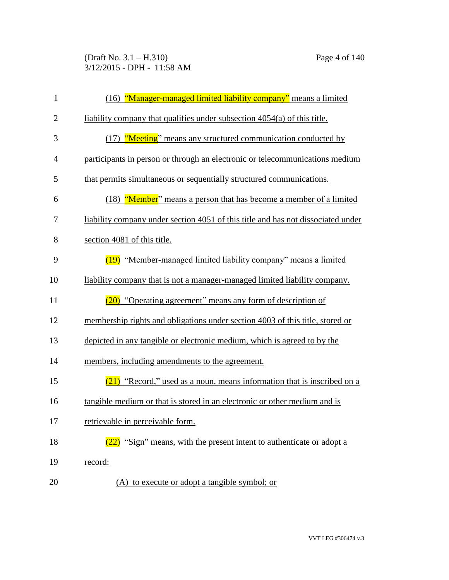(Draft No. 3.1 – H.310) Page 4 of 140 3/12/2015 - DPH - 11:58 AM

| $\mathbf{1}$   | (16) "Manager-managed limited liability company" means a limited                 |
|----------------|----------------------------------------------------------------------------------|
| $\overline{2}$ | liability company that qualifies under subsection 4054(a) of this title.         |
| 3              | (17) "Meeting" means any structured communication conducted by                   |
| 4              | participants in person or through an electronic or telecommunications medium     |
| 5              | that permits simultaneous or sequentially structured communications.             |
| 6              | (18) "Member" means a person that has become a member of a limited               |
| 7              | liability company under section 4051 of this title and has not dissociated under |
| 8              | section 4081 of this title.                                                      |
| 9              | (19) "Member-managed limited liability company" means a limited                  |
| 10             | liability company that is not a manager-managed limited liability company.       |
| 11             | $(20)$ "Operating agreement" means any form of description of                    |
| 12             | membership rights and obligations under section 4003 of this title, stored or    |
| 13             | depicted in any tangible or electronic medium, which is agreed to by the         |
| 14             | members, including amendments to the agreement.                                  |
| 15             | $(21)$ "Record," used as a noun, means information that is inscribed on a        |
| 16             | tangible medium or that is stored in an electronic or other medium and is        |
| 17             | retrievable in perceivable form.                                                 |
| 18             | "Sign" means, with the present intent to authenticate or adopt a                 |
| 19             | record:                                                                          |
| 20             | (A) to execute or adopt a tangible symbol; or                                    |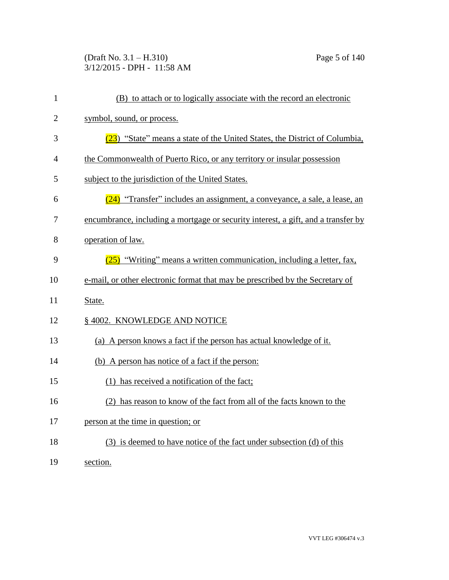(Draft No. 3.1 – H.310) Page 5 of 140 3/12/2015 - DPH - 11:58 AM

| $\mathbf{1}$   | (B) to attach or to logically associate with the record an electronic             |
|----------------|-----------------------------------------------------------------------------------|
| $\overline{2}$ | symbol, sound, or process.                                                        |
| 3              | $(23)$ "State" means a state of the United States, the District of Columbia,      |
| 4              | the Commonwealth of Puerto Rico, or any territory or insular possession           |
| 5              | subject to the jurisdiction of the United States.                                 |
| 6              | (24) "Transfer" includes an assignment, a conveyance, a sale, a lease, an         |
| 7              | encumbrance, including a mortgage or security interest, a gift, and a transfer by |
| 8              | operation of law.                                                                 |
| 9              | $(25)$ "Writing" means a written communication, including a letter, fax,          |
| 10             | e-mail, or other electronic format that may be prescribed by the Secretary of     |
| 11             | State.                                                                            |
| 12             | § 4002. KNOWLEDGE AND NOTICE                                                      |
| 13             | (a) A person knows a fact if the person has actual knowledge of it.               |
| 14             | (b) A person has notice of a fact if the person:                                  |
| 15             | (1) has received a notification of the fact;                                      |
| 16             | (2) has reason to know of the fact from all of the facts known to the             |
| 17             | person at the time in question; or                                                |
| 18             | (3) is deemed to have notice of the fact under subsection (d) of this             |
| 19             | section.                                                                          |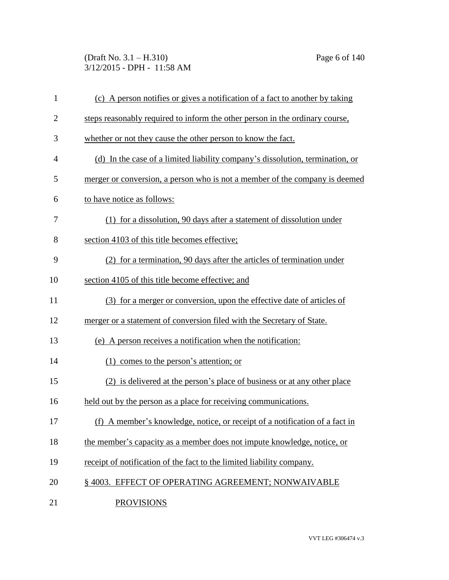(Draft No. 3.1 – H.310) Page 6 of 140 3/12/2015 - DPH - 11:58 AM

| $\mathbf{1}$   | (c) A person notifies or gives a notification of a fact to another by taking  |
|----------------|-------------------------------------------------------------------------------|
| $\overline{2}$ | steps reasonably required to inform the other person in the ordinary course,  |
| 3              | whether or not they cause the other person to know the fact.                  |
| $\overline{4}$ | (d) In the case of a limited liability company's dissolution, termination, or |
| 5              | merger or conversion, a person who is not a member of the company is deemed   |
| 6              | to have notice as follows:                                                    |
| 7              | (1) for a dissolution, 90 days after a statement of dissolution under         |
| 8              | section 4103 of this title becomes effective;                                 |
| 9              | (2) for a termination, 90 days after the articles of termination under        |
| 10             | section 4105 of this title become effective; and                              |
| 11             | (3) for a merger or conversion, upon the effective date of articles of        |
| 12             | merger or a statement of conversion filed with the Secretary of State.        |
| 13             | (e) A person receives a notification when the notification:                   |
| 14             | $(1)$ comes to the person's attention; or                                     |
| 15             | (2) is delivered at the person's place of business or at any other place      |
| 16             | held out by the person as a place for receiving communications.               |
| 17             | (f) A member's knowledge, notice, or receipt of a notification of a fact in   |
| 18             | the member's capacity as a member does not impute knowledge, notice, or       |
| 19             | receipt of notification of the fact to the limited liability company.         |
| 20             | §4003. EFFECT OF OPERATING AGREEMENT; NONWAIVABLE                             |
| 21             | <b>PROVISIONS</b>                                                             |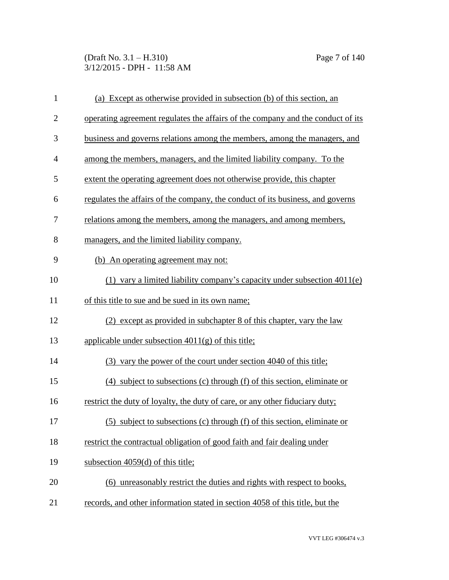(Draft No. 3.1 – H.310) Page 7 of 140 3/12/2015 - DPH - 11:58 AM

| $\mathbf{1}$   | (a) Except as otherwise provided in subsection (b) of this section, an          |
|----------------|---------------------------------------------------------------------------------|
| $\overline{2}$ | operating agreement regulates the affairs of the company and the conduct of its |
| 3              | business and governs relations among the members, among the managers, and       |
| $\overline{4}$ | among the members, managers, and the limited liability company. To the          |
| 5              | extent the operating agreement does not otherwise provide, this chapter         |
| 6              | regulates the affairs of the company, the conduct of its business, and governs  |
| 7              | relations among the members, among the managers, and among members,             |
| 8              | managers, and the limited liability company.                                    |
| 9              | (b) An operating agreement may not:                                             |
| 10             | (1) vary a limited liability company's capacity under subsection $4011(e)$      |
| 11             | of this title to sue and be sued in its own name;                               |
| 12             | (2) except as provided in subchapter 8 of this chapter, vary the law            |
| 13             | applicable under subsection $4011(g)$ of this title;                            |
| 14             | (3) vary the power of the court under section 4040 of this title;               |
| 15             | (4) subject to subsections (c) through (f) of this section, eliminate or        |
| 16             | restrict the duty of loyalty, the duty of care, or any other fiduciary duty;    |
| 17             | (5) subject to subsections (c) through (f) of this section, eliminate or        |
| 18             | restrict the contractual obligation of good faith and fair dealing under        |
| 19             | subsection 4059(d) of this title;                                               |
| 20             | (6) unreasonably restrict the duties and rights with respect to books,          |
| 21             | records, and other information stated in section 4058 of this title, but the    |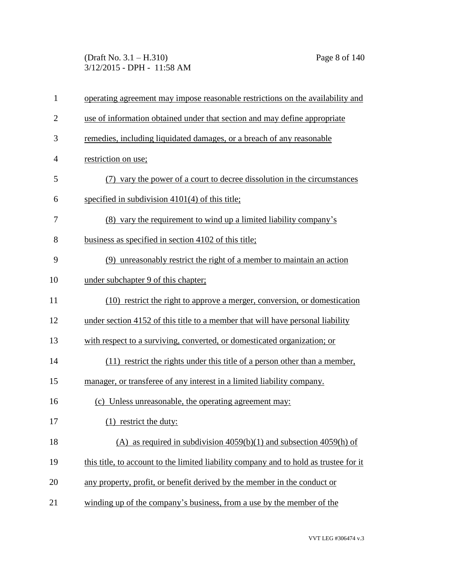(Draft No. 3.1 – H.310) Page 8 of 140 3/12/2015 - DPH - 11:58 AM

| $\mathbf{1}$   | operating agreement may impose reasonable restrictions on the availability and        |
|----------------|---------------------------------------------------------------------------------------|
| $\overline{2}$ | use of information obtained under that section and may define appropriate             |
| 3              | remedies, including liquidated damages, or a breach of any reasonable                 |
| $\overline{4}$ | restriction on use;                                                                   |
| 5              | (7) vary the power of a court to decree dissolution in the circumstances              |
| 6              | specified in subdivision $4101(4)$ of this title;                                     |
| 7              | (8) vary the requirement to wind up a limited liability company's                     |
| 8              | business as specified in section 4102 of this title;                                  |
| 9              | (9) unreasonably restrict the right of a member to maintain an action                 |
| 10             | under subchapter 9 of this chapter;                                                   |
| 11             | (10) restrict the right to approve a merger, conversion, or domestication             |
| 12             | under section 4152 of this title to a member that will have personal liability        |
| 13             | with respect to a surviving, converted, or domesticated organization; or              |
| 14             | (11) restrict the rights under this title of a person other than a member,            |
| 15             | manager, or transferee of any interest in a limited liability company.                |
| 16             | (c) Unless unreasonable, the operating agreement may:                                 |
| 17             | $(1)$ restrict the duty:                                                              |
| 18             | (A) as required in subdivision $4059(b)(1)$ and subsection $4059(h)$ of               |
| 19             | this title, to account to the limited liability company and to hold as trustee for it |
| 20             | any property, profit, or benefit derived by the member in the conduct or              |
| 21             | winding up of the company's business, from a use by the member of the                 |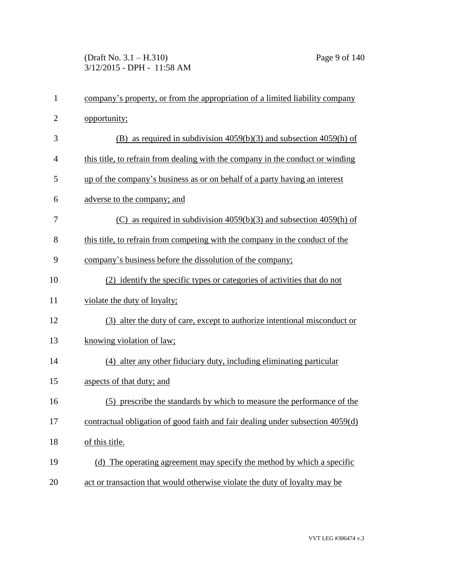(Draft No. 3.1 – H.310) Page 9 of 140 3/12/2015 - DPH - 11:58 AM

| $\mathbf{1}$   | company's property, or from the appropriation of a limited liability company   |
|----------------|--------------------------------------------------------------------------------|
| $\overline{2}$ | opportunity;                                                                   |
| 3              | as required in subdivision $4059(b)(3)$ and subsection $4059(h)$ of<br>(B)     |
| $\overline{4}$ | this title, to refrain from dealing with the company in the conduct or winding |
| 5              | up of the company's business as or on behalf of a party having an interest     |
| 6              | adverse to the company; and                                                    |
| 7              | (C) as required in subdivision $4059(b)(3)$ and subsection $4059(h)$ of        |
| 8              | this title, to refrain from competing with the company in the conduct of the   |
| 9              | company's business before the dissolution of the company;                      |
| 10             | (2) identify the specific types or categories of activities that do not        |
| 11             | violate the duty of loyalty;                                                   |
| 12             | (3) alter the duty of care, except to authorize intentional misconduct or      |
| 13             | knowing violation of law;                                                      |
| 14             | (4) alter any other fiduciary duty, including eliminating particular           |
| 15             | aspects of that duty; and                                                      |
| 16             | (5) prescribe the standards by which to measure the performance of the         |
| 17             | contractual obligation of good faith and fair dealing under subsection 4059(d) |
| 18             | of this title.                                                                 |
| 19             | (d) The operating agreement may specify the method by which a specific         |
| 20             | act or transaction that would otherwise violate the duty of loyalty may be     |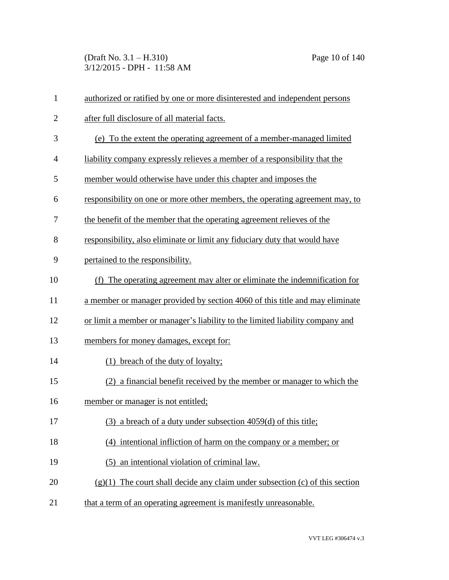(Draft No. 3.1 – H.310) Page 10 of 140 3/12/2015 - DPH - 11:58 AM

| $\mathbf{1}$   | authorized or ratified by one or more disinterested and independent persons    |
|----------------|--------------------------------------------------------------------------------|
| $\overline{2}$ | after full disclosure of all material facts.                                   |
| 3              | (e) To the extent the operating agreement of a member-managed limited          |
| 4              | liability company expressly relieves a member of a responsibility that the     |
| 5              | member would otherwise have under this chapter and imposes the                 |
| 6              | responsibility on one or more other members, the operating agreement may, to   |
| 7              | the benefit of the member that the operating agreement relieves of the         |
| 8              | responsibility, also eliminate or limit any fiduciary duty that would have     |
| 9              | pertained to the responsibility.                                               |
| 10             | (f) The operating agreement may alter or eliminate the indemnification for     |
| 11             | a member or manager provided by section 4060 of this title and may eliminate   |
| 12             | or limit a member or manager's liability to the limited liability company and  |
| 13             | members for money damages, except for:                                         |
| 14             | (1) breach of the duty of loyalty;                                             |
| 15             | (2) a financial benefit received by the member or manager to which the         |
| 16             | member or manager is not entitled;                                             |
| 17             | (3) a breach of a duty under subsection 4059(d) of this title;                 |
| 18             | (4) intentional infliction of harm on the company or a member; or              |
| 19             | an intentional violation of criminal law.<br>(5)                               |
| 20             | $(g)(1)$ The court shall decide any claim under subsection (c) of this section |
| 21             | that a term of an operating agreement is manifestly unreasonable.              |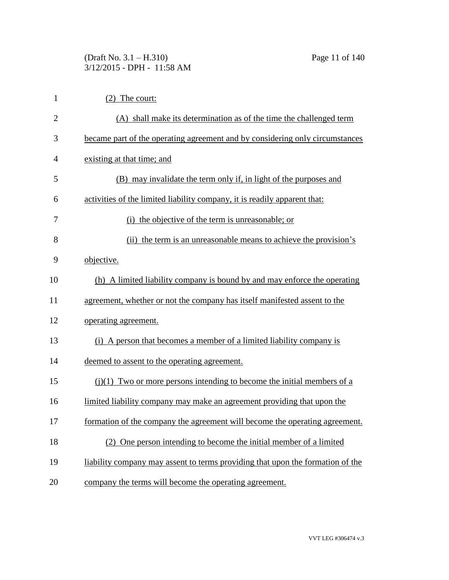# (Draft No. 3.1 – H.310) Page 11 of 140 3/12/2015 - DPH - 11:58 AM

| $\mathbf{1}$   | $(2)$ The court:                                                               |
|----------------|--------------------------------------------------------------------------------|
| $\overline{2}$ | (A) shall make its determination as of the time the challenged term            |
| 3              | became part of the operating agreement and by considering only circumstances   |
| $\overline{4}$ | existing at that time; and                                                     |
| 5              | (B) may invalidate the term only if, in light of the purposes and              |
| 6              | activities of the limited liability company, it is readily apparent that:      |
| 7              | (i) the objective of the term is unreasonable; or                              |
| 8              | (ii) the term is an unreasonable means to achieve the provision's              |
| 9              | objective.                                                                     |
| 10             | (h) A limited liability company is bound by and may enforce the operating      |
| 11             | agreement, whether or not the company has itself manifested assent to the      |
| 12             | operating agreement.                                                           |
| 13             | (i) A person that becomes a member of a limited liability company is           |
| 14             | deemed to assent to the operating agreement.                                   |
| 15             | $(i)(1)$ Two or more persons intending to become the initial members of a      |
| 16             | limited liability company may make an agreement providing that upon the        |
| 17             | formation of the company the agreement will become the operating agreement.    |
| 18             | (2) One person intending to become the initial member of a limited             |
| 19             | liability company may assent to terms providing that upon the formation of the |
| 20             | company the terms will become the operating agreement.                         |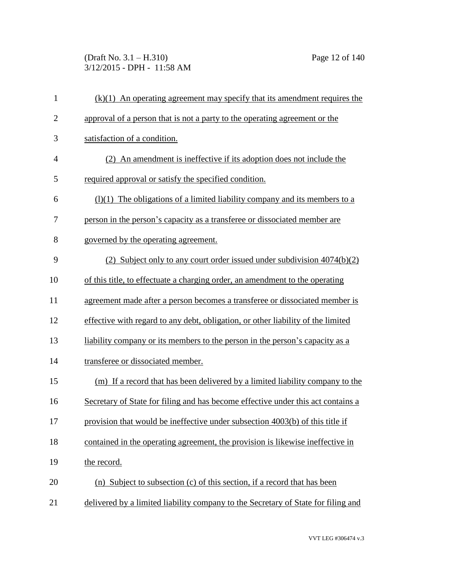(Draft No. 3.1 – H.310) Page 12 of 140 3/12/2015 - DPH - 11:58 AM

| $\mathbf{1}$   | $(k)(1)$ An operating agreement may specify that its amendment requires the       |
|----------------|-----------------------------------------------------------------------------------|
| $\overline{2}$ | approval of a person that is not a party to the operating agreement or the        |
| 3              | satisfaction of a condition.                                                      |
| $\overline{4}$ | (2) An amendment is ineffective if its adoption does not include the              |
| 5              | required approval or satisfy the specified condition.                             |
| 6              | $(1)(1)$ The obligations of a limited liability company and its members to a      |
| 7              | person in the person's capacity as a transferee or dissociated member are         |
| 8              | governed by the operating agreement.                                              |
| 9              | (2) Subject only to any court order issued under subdivision 4074(b)(2)           |
| 10             | of this title, to effectuate a charging order, an amendment to the operating      |
| 11             | agreement made after a person becomes a transferee or dissociated member is       |
| 12             | effective with regard to any debt, obligation, or other liability of the limited  |
| 13             | liability company or its members to the person in the person's capacity as a      |
| 14             | transferee or dissociated member.                                                 |
| 15             | (m) If a record that has been delivered by a limited liability company to the     |
| 16             | Secretary of State for filing and has become effective under this act contains a  |
| 17             | provision that would be ineffective under subsection 4003(b) of this title if     |
| 18             | contained in the operating agreement, the provision is likewise ineffective in    |
| 19             | the record.                                                                       |
| 20             | (n) Subject to subsection (c) of this section, if a record that has been          |
| 21             | delivered by a limited liability company to the Secretary of State for filing and |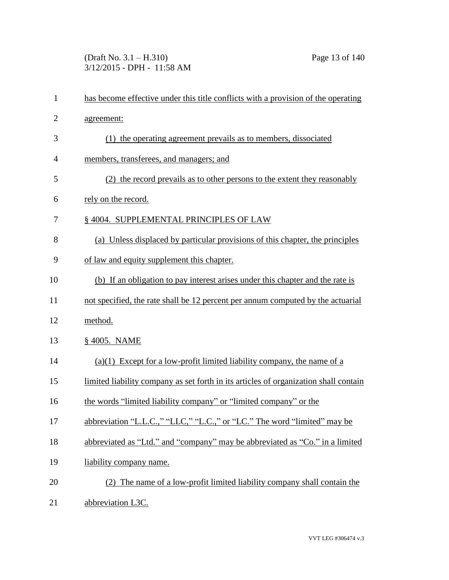(Draft No. 3.1 – H.310) Page 13 of 140 3/12/2015 - DPH - 11:58 AM

| $\mathbf{1}$   | has become effective under this title conflicts with a provision of the operating    |
|----------------|--------------------------------------------------------------------------------------|
| $\overline{2}$ | agreement:                                                                           |
| 3              | the operating agreement prevails as to members, dissociated<br>(1)                   |
| $\overline{4}$ | members, transferees, and managers; and                                              |
| 5              | (2) the record prevails as to other persons to the extent they reasonably            |
| 6              | rely on the record.                                                                  |
| 7              | § 4004. SUPPLEMENTAL PRINCIPLES OF LAW                                               |
| 8              | (a) Unless displaced by particular provisions of this chapter, the principles        |
| 9              | of law and equity supplement this chapter.                                           |
| 10             | (b) If an obligation to pay interest arises under this chapter and the rate is       |
| 11             | not specified, the rate shall be 12 percent per annum computed by the actuarial      |
| 12             | method.                                                                              |
| 13             | § 4005. NAME                                                                         |
| 14             | $(a)(1)$ Except for a low-profit limited liability company, the name of a            |
| 15             | limited liability company as set forth in its articles of organization shall contain |
| 16             | the words "limited liability company" or "limited company" or the                    |
| 17             | abbreviation "L.L.C.," "LLC," "L.C.," or "LC." The word "limited" may be             |
| 18             | abbreviated as "Ltd." and "company" may be abbreviated as "Co." in a limited         |
| 19             | liability company name.                                                              |
| 20             | (2) The name of a low-profit limited liability company shall contain the             |
| 21             | abbreviation L3C.                                                                    |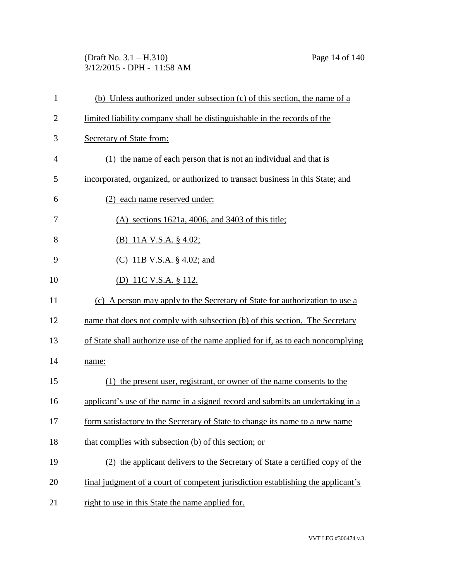(Draft No. 3.1 – H.310) Page 14 of 140 3/12/2015 - DPH - 11:58 AM

| $\mathbf{1}$   | (b) Unless authorized under subsection (c) of this section, the name of a        |
|----------------|----------------------------------------------------------------------------------|
| $\overline{2}$ | limited liability company shall be distinguishable in the records of the         |
| 3              | Secretary of State from:                                                         |
| 4              | (1) the name of each person that is not an individual and that is                |
| 5              | incorporated, organized, or authorized to transact business in this State; and   |
| 6              | (2) each name reserved under:                                                    |
| 7              | $(A)$ sections 1621a, 4006, and 3403 of this title;                              |
| 8              | (B) 11A V.S.A. $\S$ 4.02;                                                        |
| 9              | (C) 11B V.S.A. $\S$ 4.02; and                                                    |
| 10             | <u>(D) 11C V.S.A. § 112.</u>                                                     |
| 11             | (c) A person may apply to the Secretary of State for authorization to use a      |
| 12             | name that does not comply with subsection (b) of this section. The Secretary     |
| 13             | of State shall authorize use of the name applied for if, as to each noncomplying |
| 14             | name:                                                                            |
| 15             | (1) the present user, registrant, or owner of the name consents to the           |
| 16             | applicant's use of the name in a signed record and submits an undertaking in a   |
| 17             | form satisfactory to the Secretary of State to change its name to a new name     |
| 18             | that complies with subsection (b) of this section; or                            |
| 19             | (2) the applicant delivers to the Secretary of State a certified copy of the     |
| 20             | final judgment of a court of competent jurisdiction establishing the applicant's |
| 21             | right to use in this State the name applied for.                                 |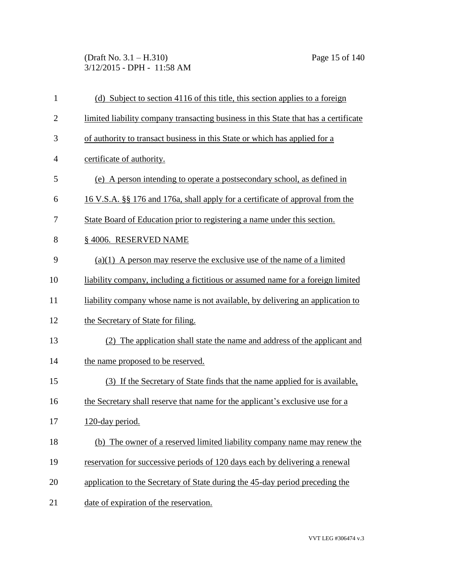(Draft No. 3.1 – H.310) Page 15 of 140 3/12/2015 - DPH - 11:58 AM

| $\mathbf{1}$   | (d) Subject to section 4116 of this title, this section applies to a foreign         |
|----------------|--------------------------------------------------------------------------------------|
| $\overline{2}$ | limited liability company transacting business in this State that has a certificate  |
| 3              | of authority to transact business in this State or which has applied for a           |
| $\overline{4}$ | certificate of authority.                                                            |
| 5              | (e) A person intending to operate a postsecondary school, as defined in              |
| 6              | <u>16 V.S.A. §§ 176 and 176a, shall apply for a certificate of approval from the</u> |
| 7              | State Board of Education prior to registering a name under this section.             |
| 8              | §4006. RESERVED NAME                                                                 |
| 9              | $(a)(1)$ A person may reserve the exclusive use of the name of a limited             |
| 10             | liability company, including a fictitious or assumed name for a foreign limited      |
| 11             | liability company whose name is not available, by delivering an application to       |
| 12             | the Secretary of State for filing.                                                   |
| 13             | (2) The application shall state the name and address of the applicant and            |
| 14             | the name proposed to be reserved.                                                    |
| 15             | (3) If the Secretary of State finds that the name applied for is available.          |
| 16             | the Secretary shall reserve that name for the applicant's exclusive use for a        |
| 17             | 120-day period.                                                                      |
| 18             | (b) The owner of a reserved limited liability company name may renew the             |
| 19             | reservation for successive periods of 120 days each by delivering a renewal          |
| 20             | application to the Secretary of State during the 45-day period preceding the         |
| 21             | date of expiration of the reservation.                                               |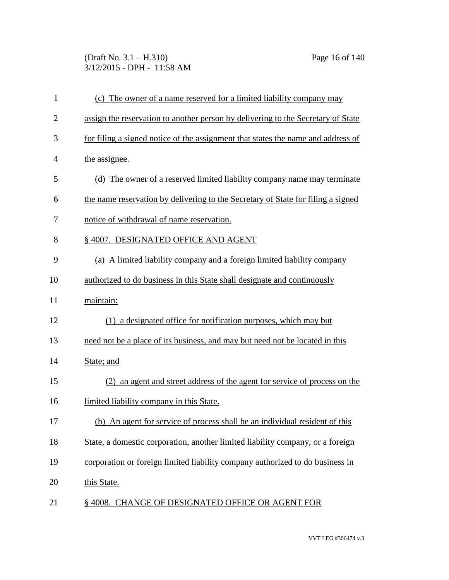(Draft No. 3.1 – H.310) Page 16 of 140 3/12/2015 - DPH - 11:58 AM

| $\mathbf{1}$   | (c) The owner of a name reserved for a limited liability company may             |
|----------------|----------------------------------------------------------------------------------|
| $\overline{2}$ | assign the reservation to another person by delivering to the Secretary of State |
| 3              | for filing a signed notice of the assignment that states the name and address of |
| $\overline{4}$ | the assignee.                                                                    |
| 5              | (d) The owner of a reserved limited liability company name may terminate         |
| 6              | the name reservation by delivering to the Secretary of State for filing a signed |
| 7              | notice of withdrawal of name reservation.                                        |
| 8              | § 4007. DESIGNATED OFFICE AND AGENT                                              |
| 9              | (a) A limited liability company and a foreign limited liability company          |
| 10             | authorized to do business in this State shall designate and continuously         |
| 11             | maintain:                                                                        |
| 12             | (1) a designated office for notification purposes, which may but                 |
| 13             | need not be a place of its business, and may but need not be located in this     |
| 14             | State; and                                                                       |
| 15             | an agent and street address of the agent for service of process on the<br>(2)    |
| 16             | limited liability company in this State.                                         |
| 17             | (b) An agent for service of process shall be an individual resident of this      |
| 18             | State, a domestic corporation, another limited liability company, or a foreign   |
| 19             | corporation or foreign limited liability company authorized to do business in    |
| 20             | this State.                                                                      |
| 21             | § 4008. CHANGE OF DESIGNATED OFFICE OR AGENT FOR                                 |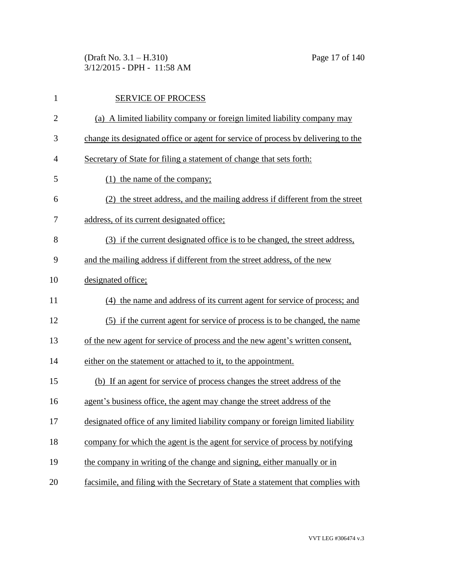(Draft No. 3.1 – H.310) Page 17 of 140 3/12/2015 - DPH - 11:58 AM

| $\mathbf{1}$   | <b>SERVICE OF PROCESS</b>                                                         |
|----------------|-----------------------------------------------------------------------------------|
| $\overline{2}$ | (a) A limited liability company or foreign limited liability company may          |
| 3              | change its designated office or agent for service of process by delivering to the |
| $\overline{4}$ | Secretary of State for filing a statement of change that sets forth:              |
| 5              | (1) the name of the company;                                                      |
| 6              | (2) the street address, and the mailing address if different from the street      |
| 7              | address, of its current designated office;                                        |
| 8              | (3) if the current designated office is to be changed, the street address,        |
| 9              | and the mailing address if different from the street address, of the new          |
| 10             | designated office;                                                                |
| 11             | (4) the name and address of its current agent for service of process; and         |
| 12             | (5) if the current agent for service of process is to be changed, the name        |
| 13             | of the new agent for service of process and the new agent's written consent,      |
| 14             | either on the statement or attached to it, to the appointment.                    |
| 15             | (b) If an agent for service of process changes the street address of the          |
| 16             | agent's business office, the agent may change the street address of the           |
| 17             | designated office of any limited liability company or foreign limited liability   |
| 18             | company for which the agent is the agent for service of process by notifying      |
| 19             | the company in writing of the change and signing, either manually or in           |
| 20             | facsimile, and filing with the Secretary of State a statement that complies with  |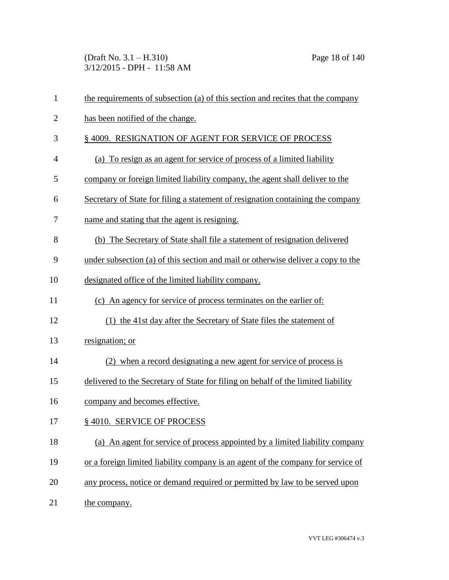(Draft No. 3.1 – H.310) Page 18 of 140 3/12/2015 - DPH - 11:58 AM

| $\mathbf{1}$   | the requirements of subsection (a) of this section and recites that the company   |
|----------------|-----------------------------------------------------------------------------------|
| $\overline{2}$ | has been notified of the change.                                                  |
| 3              | § 4009. RESIGNATION OF AGENT FOR SERVICE OF PROCESS                               |
| $\overline{4}$ | (a) To resign as an agent for service of process of a limited liability           |
| 5              | company or foreign limited liability company, the agent shall deliver to the      |
| 6              | Secretary of State for filing a statement of resignation containing the company   |
| 7              | name and stating that the agent is resigning.                                     |
| 8              | (b) The Secretary of State shall file a statement of resignation delivered        |
| 9              | under subsection (a) of this section and mail or otherwise deliver a copy to the  |
| 10             | designated office of the limited liability company.                               |
| 11             | (c) An agency for service of process terminates on the earlier of:                |
| 12             | (1) the 41st day after the Secretary of State files the statement of              |
| 13             | resignation; or                                                                   |
| 14             | (2) when a record designating a new agent for service of process is               |
| 15             | delivered to the Secretary of State for filing on behalf of the limited liability |
| 16             | company and becomes effective.                                                    |
| 17             | §4010. SERVICE OF PROCESS                                                         |
| 18             | (a) An agent for service of process appointed by a limited liability company      |
| 19             | or a foreign limited liability company is an agent of the company for service of  |
| 20             | any process, notice or demand required or permitted by law to be served upon      |
| 21             | the company.                                                                      |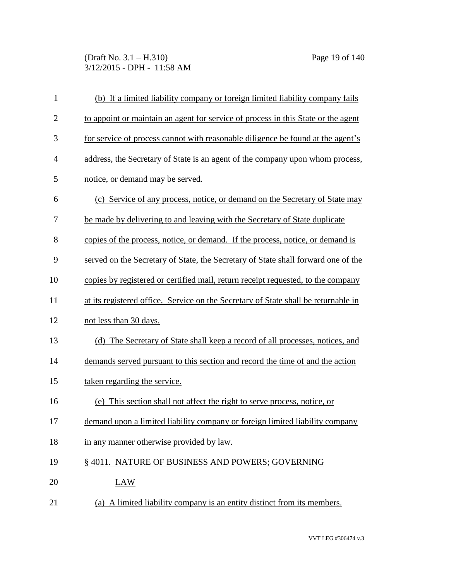(Draft No. 3.1 – H.310) Page 19 of 140 3/12/2015 - DPH - 11:58 AM

| $\mathbf{1}$   | (b) If a limited liability company or foreign limited liability company fails      |
|----------------|------------------------------------------------------------------------------------|
| $\overline{2}$ | to appoint or maintain an agent for service of process in this State or the agent  |
| 3              | for service of process cannot with reasonable diligence be found at the agent's    |
| $\overline{4}$ | address, the Secretary of State is an agent of the company upon whom process,      |
| 5              | notice, or demand may be served.                                                   |
| 6              | (c) Service of any process, notice, or demand on the Secretary of State may        |
| 7              | be made by delivering to and leaving with the Secretary of State duplicate         |
| 8              | copies of the process, notice, or demand. If the process, notice, or demand is     |
| 9              | served on the Secretary of State, the Secretary of State shall forward one of the  |
| 10             | copies by registered or certified mail, return receipt requested, to the company   |
| 11             | at its registered office. Service on the Secretary of State shall be returnable in |
| 12             | not less than 30 days.                                                             |
| 13             | (d) The Secretary of State shall keep a record of all processes, notices, and      |
| 14             | demands served pursuant to this section and record the time of and the action      |
| 15             | taken regarding the service.                                                       |
| 16             | (e) This section shall not affect the right to serve process, notice, or           |
| 17             | demand upon a limited liability company or foreign limited liability company       |
| 18             | in any manner otherwise provided by law.                                           |
| 19             | § 4011. NATURE OF BUSINESS AND POWERS; GOVERNING                                   |
| 20             | <b>LAW</b>                                                                         |
| 21             | (a) A limited liability company is an entity distinct from its members.            |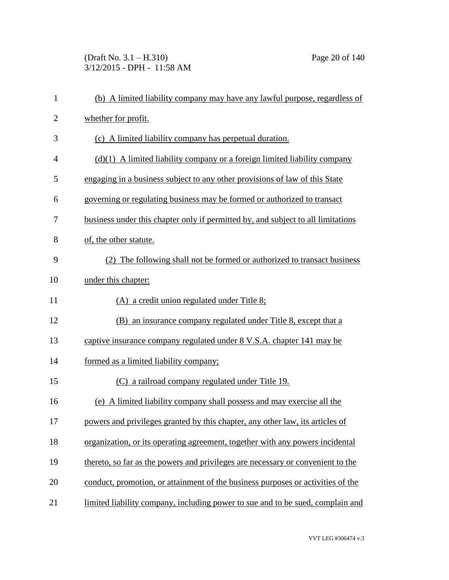(Draft No. 3.1 – H.310) Page 20 of 140 3/12/2015 - DPH - 11:58 AM

| $\mathbf{1}$   | (b) A limited liability company may have any lawful purpose, regardless of       |
|----------------|----------------------------------------------------------------------------------|
| $\overline{2}$ | whether for profit.                                                              |
| 3              | (c) A limited liability company has perpetual duration.                          |
| $\overline{4}$ | $(d)(1)$ A limited liability company or a foreign limited liability company      |
| 5              | engaging in a business subject to any other provisions of law of this State      |
| 6              | governing or regulating business may be formed or authorized to transact         |
| 7              | business under this chapter only if permitted by, and subject to all limitations |
| 8              | of, the other statute.                                                           |
| 9              | (2) The following shall not be formed or authorized to transact business         |
| 10             | under this chapter:                                                              |
| 11             | $(A)$ a credit union regulated under Title 8;                                    |
| 12             | (B) an insurance company regulated under Title 8, except that a                  |
| 13             | captive insurance company regulated under 8 V.S.A. chapter 141 may be            |
| 14             | formed as a limited liability company;                                           |
| 15             | (C) a railroad company regulated under Title 19.                                 |
| 16             | (e) A limited liability company shall possess and may exercise all the           |
| 17             | powers and privileges granted by this chapter, any other law, its articles of    |
| 18             | organization, or its operating agreement, together with any powers incidental    |
| 19             | thereto, so far as the powers and privileges are necessary or convenient to the  |
| 20             | conduct, promotion, or attainment of the business purposes or activities of the  |
| 21             | limited liability company, including power to sue and to be sued, complain and   |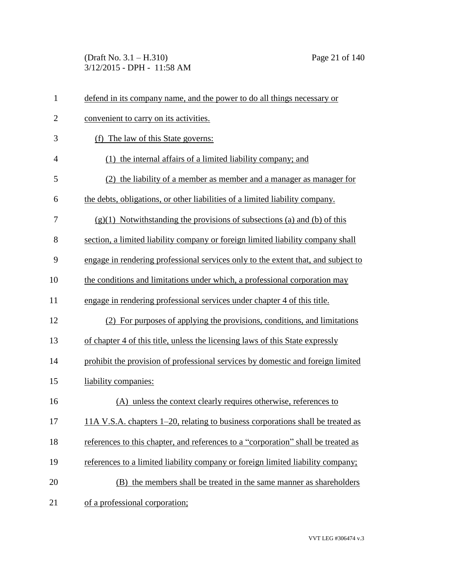(Draft No. 3.1 – H.310) Page 21 of 140 3/12/2015 - DPH - 11:58 AM

| $\mathbf{1}$   | defend in its company name, and the power to do all things necessary or           |
|----------------|-----------------------------------------------------------------------------------|
| $\overline{2}$ | convenient to carry on its activities.                                            |
| 3              | (f) The law of this State governs:                                                |
| $\overline{4}$ | the internal affairs of a limited liability company; and<br>(1)                   |
| 5              | (2) the liability of a member as member and a manager as manager for              |
| 6              | the debts, obligations, or other liabilities of a limited liability company.      |
| 7              | $(g)(1)$ Notwithstanding the provisions of subsections (a) and (b) of this        |
| 8              | section, a limited liability company or foreign limited liability company shall   |
| 9              | engage in rendering professional services only to the extent that, and subject to |
| 10             | the conditions and limitations under which, a professional corporation may        |
| 11             | engage in rendering professional services under chapter 4 of this title.          |
| 12             | (2) For purposes of applying the provisions, conditions, and limitations          |
| 13             | of chapter 4 of this title, unless the licensing laws of this State expressly     |
| 14             | prohibit the provision of professional services by domestic and foreign limited   |
| 15             | liability companies:                                                              |
| 16             | (A) unless the context clearly requires otherwise, references to                  |
| 17             | 11A V.S.A. chapters 1–20, relating to business corporations shall be treated as   |
| 18             | references to this chapter, and references to a "corporation" shall be treated as |
| 19             | references to a limited liability company or foreign limited liability company;   |
| 20             | (B) the members shall be treated in the same manner as shareholders               |
| 21             | of a professional corporation;                                                    |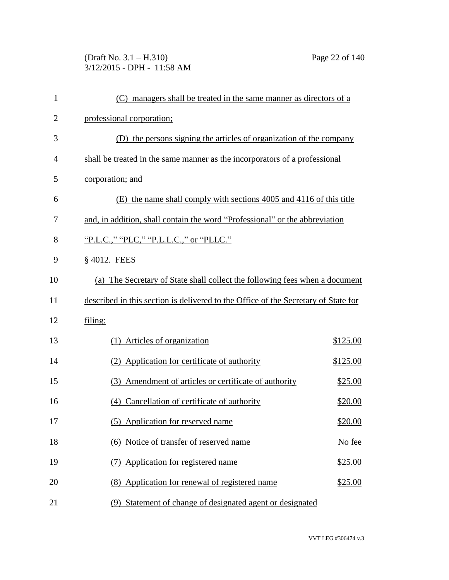(Draft No. 3.1 – H.310) Page 22 of 140 3/12/2015 - DPH - 11:58 AM

| 1              | (C) managers shall be treated in the same manner as directors of a                 |          |
|----------------|------------------------------------------------------------------------------------|----------|
| $\overline{2}$ | professional corporation;                                                          |          |
| 3              | (D) the persons signing the articles of organization of the company                |          |
| $\overline{4}$ | shall be treated in the same manner as the incorporators of a professional         |          |
| 5              | corporation; and                                                                   |          |
| 6              | (E) the name shall comply with sections 4005 and 4116 of this title                |          |
| 7              | and, in addition, shall contain the word "Professional" or the abbreviation        |          |
| 8              | "P.L.C.," "PLC," "P.L.L.C.," or "PLLC."                                            |          |
| 9              | § 4012. FEES                                                                       |          |
| 10             | (a) The Secretary of State shall collect the following fees when a document        |          |
| 11             | described in this section is delivered to the Office of the Secretary of State for |          |
| 12             | filing:                                                                            |          |
| 13             | (1) Articles of organization                                                       | \$125.00 |
| 14             | (2) Application for certificate of authority                                       | \$125.00 |
| 15             | Amendment of articles or certificate of authority<br>(3)                           | \$25.00  |
| 16             | (4) Cancellation of certificate of authority                                       | \$20.00  |
| 17             | (5) Application for reserved name                                                  | \$20.00  |
| 18             | (6) Notice of transfer of reserved name                                            | No fee   |
| 19             | Application for registered name<br>(7)                                             | \$25.00  |
| 20             | (8) Application for renewal of registered name                                     | \$25.00  |
| 21             | (9) Statement of change of designated agent or designated                          |          |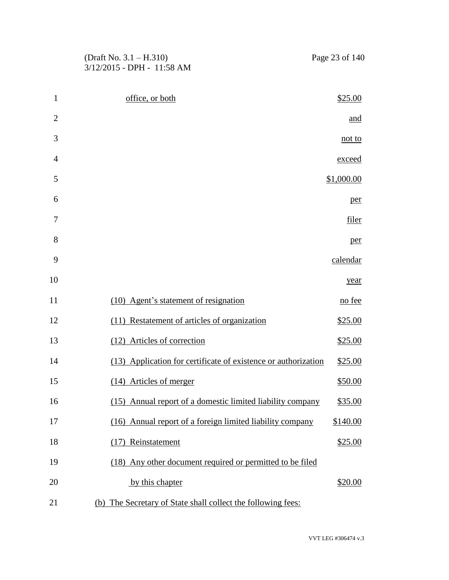(Draft No. 3.1 – H.310) Page 23 of 140 3/12/2015 - DPH - 11:58 AM

| $\mathbf{1}$   | office, or both                                                | \$25.00    |
|----------------|----------------------------------------------------------------|------------|
| $\overline{2}$ |                                                                | and        |
| 3              |                                                                | not to     |
| 4              |                                                                | exceed     |
| 5              |                                                                | \$1,000.00 |
| 6              |                                                                | per        |
| 7              |                                                                | filer      |
| 8              |                                                                | per        |
| 9              |                                                                | calendar   |
| 10             |                                                                | year       |
| 11             | (10) Agent's statement of resignation                          | no fee     |
| 12             | (11) Restatement of articles of organization                   | \$25.00    |
| 13             | (12) Articles of correction                                    | \$25.00    |
| 14             | (13) Application for certificate of existence or authorization | \$25.00    |
| 15             | (14) Articles of merger                                        | \$50.00    |
| 16             | (15) Annual report of a domestic limited liability company     | \$35.00    |
| 17             | (16) Annual report of a foreign limited liability company      | \$140.00   |
| 18             | Reinstatement<br>(17)                                          | \$25.00    |
| 19             | (18) Any other document required or permitted to be filed      |            |
| 20             | by this chapter                                                | \$20.00    |
| 21             | (b) The Secretary of State shall collect the following fees:   |            |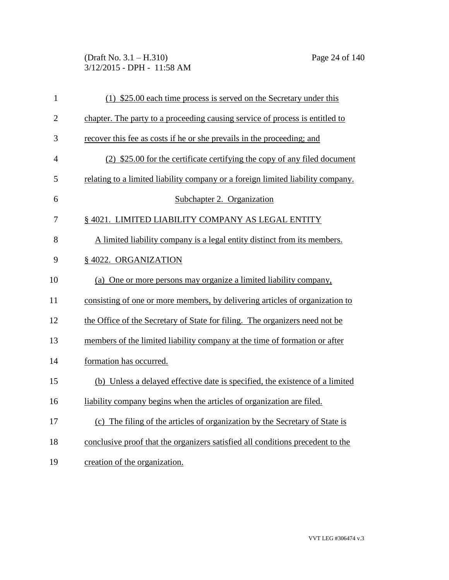(Draft No. 3.1 – H.310) Page 24 of 140 3/12/2015 - DPH - 11:58 AM

| $\mathbf{1}$   | $(1)$ \$25.00 each time process is served on the Secretary under this           |
|----------------|---------------------------------------------------------------------------------|
| $\overline{2}$ | chapter. The party to a proceeding causing service of process is entitled to    |
| 3              | recover this fee as costs if he or she prevails in the proceeding; and          |
| $\overline{4}$ | (2) \$25.00 for the certificate certifying the copy of any filed document       |
| 5              | relating to a limited liability company or a foreign limited liability company. |
| 6              | Subchapter 2. Organization                                                      |
| 7              | § 4021. LIMITED LIABILITY COMPANY AS LEGAL ENTITY                               |
| 8              | A limited liability company is a legal entity distinct from its members.        |
| 9              | § 4022. ORGANIZATION                                                            |
| 10             | (a) One or more persons may organize a limited liability company,               |
| 11             | consisting of one or more members, by delivering articles of organization to    |
| 12             | the Office of the Secretary of State for filing. The organizers need not be     |
| 13             | members of the limited liability company at the time of formation or after      |
| 14             | formation has occurred.                                                         |
| 15             | (b) Unless a delayed effective date is specified, the existence of a limited    |
| 16             | liability company begins when the articles of organization are filed.           |
| 17             | (c) The filing of the articles of organization by the Secretary of State is     |
| 18             | conclusive proof that the organizers satisfied all conditions precedent to the  |
| 19             | creation of the organization.                                                   |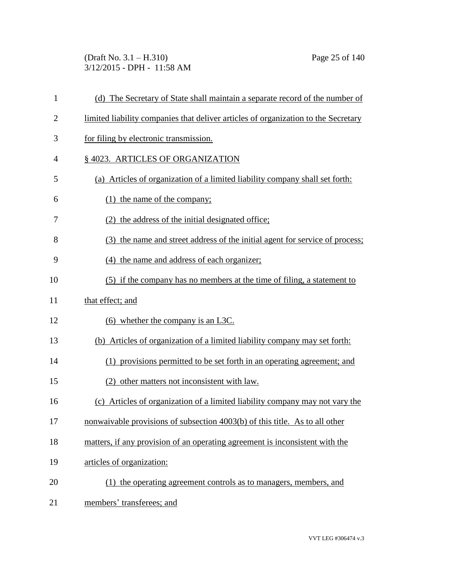(Draft No. 3.1 – H.310) Page 25 of 140 3/12/2015 - DPH - 11:58 AM

| 1              | (d) The Secretary of State shall maintain a separate record of the number of       |
|----------------|------------------------------------------------------------------------------------|
| $\overline{2}$ | limited liability companies that deliver articles of organization to the Secretary |
| 3              | for filing by electronic transmission.                                             |
| $\overline{4}$ | § 4023. ARTICLES OF ORGANIZATION                                                   |
| 5              | (a) Articles of organization of a limited liability company shall set forth:       |
| 6              | $(1)$ the name of the company;                                                     |
| 7              | (2) the address of the initial designated office;                                  |
| 8              | (3) the name and street address of the initial agent for service of process;       |
| 9              | (4) the name and address of each organizer;                                        |
| 10             | (5) if the company has no members at the time of filing, a statement to            |
| 11             | that effect; and                                                                   |
| 12             | $(6)$ whether the company is an L3C.                                               |
| 13             | (b) Articles of organization of a limited liability company may set forth:         |
| 14             | (1) provisions permitted to be set forth in an operating agreement; and            |
| 15             | (2) other matters not inconsistent with law.                                       |
| 16             | (c) Articles of organization of a limited liability company may not vary the       |
| 17             | nonwaivable provisions of subsection 4003(b) of this title. As to all other        |
| 18             | matters, if any provision of an operating agreement is inconsistent with the       |
| 19             | articles of organization:                                                          |
| 20             | (1) the operating agreement controls as to managers, members, and                  |
| 21             | members' transferees; and                                                          |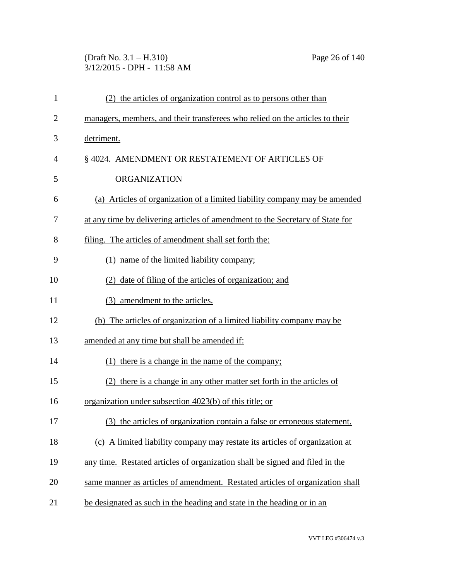(Draft No. 3.1 – H.310) Page 26 of 140 3/12/2015 - DPH - 11:58 AM

| $\mathbf{1}$   | (2) the articles of organization control as to persons other than              |
|----------------|--------------------------------------------------------------------------------|
| $\overline{2}$ | managers, members, and their transferees who relied on the articles to their   |
| 3              | detriment.                                                                     |
| 4              | §4024. AMENDMENT OR RESTATEMENT OF ARTICLES OF                                 |
| 5              | <b>ORGANIZATION</b>                                                            |
| 6              | (a) Articles of organization of a limited liability company may be amended     |
| 7              | at any time by delivering articles of amendment to the Secretary of State for  |
| 8              | filing. The articles of amendment shall set forth the:                         |
| 9              | (1) name of the limited liability company;                                     |
| 10             | (2) date of filing of the articles of organization; and                        |
| 11             | (3) amendment to the articles.                                                 |
| 12             | (b) The articles of organization of a limited liability company may be         |
| 13             | amended at any time but shall be amended if:                                   |
| 14             | (1) there is a change in the name of the company;                              |
| 15             | (2) there is a change in any other matter set forth in the articles of         |
| 16             | organization under subsection 4023(b) of this title; or                        |
| 17             | (3) the articles of organization contain a false or erroneous statement.       |
| 18             | A limited liability company may restate its articles of organization at<br>(c) |
| 19             | any time. Restated articles of organization shall be signed and filed in the   |
| 20             | same manner as articles of amendment. Restated articles of organization shall  |
| 21             | be designated as such in the heading and state in the heading or in an         |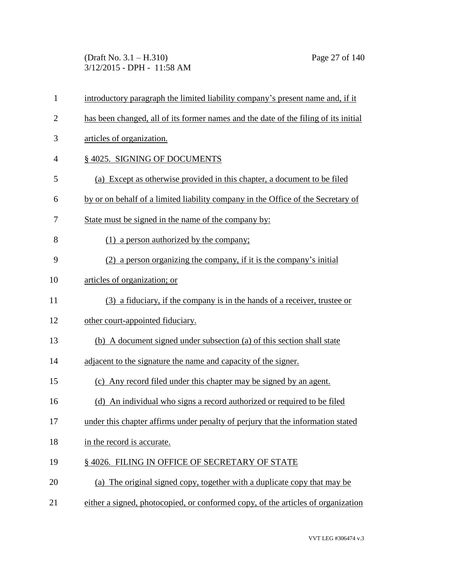(Draft No. 3.1 – H.310) Page 27 of 140 3/12/2015 - DPH - 11:58 AM

| $\mathbf{1}$   | introductory paragraph the limited liability company's present name and, if it      |
|----------------|-------------------------------------------------------------------------------------|
| $\mathbf{2}$   | has been changed, all of its former names and the date of the filing of its initial |
| 3              | articles of organization.                                                           |
| $\overline{4}$ | §4025. SIGNING OF DOCUMENTS                                                         |
| 5              | (a) Except as otherwise provided in this chapter, a document to be filed            |
| 6              | by or on behalf of a limited liability company in the Office of the Secretary of    |
| 7              | State must be signed in the name of the company by:                                 |
| 8              | (1) a person authorized by the company;                                             |
| 9              | (2) a person organizing the company, if it is the company's initial                 |
| 10             | articles of organization; or                                                        |
| 11             | (3) a fiduciary, if the company is in the hands of a receiver, trustee or           |
| 12             | other court-appointed fiduciary.                                                    |
| 13             | (b) A document signed under subsection (a) of this section shall state              |
| 14             | adjacent to the signature the name and capacity of the signer.                      |
| 15             | (c) Any record filed under this chapter may be signed by an agent.                  |
| 16             | (d) An individual who signs a record authorized or required to be filed             |
| 17             | under this chapter affirms under penalty of perjury that the information stated     |
| 18             | in the record is accurate.                                                          |
| 19             | §4026. FILING IN OFFICE OF SECRETARY OF STATE                                       |
| 20             | (a) The original signed copy, together with a duplicate copy that may be            |
| 21             | either a signed, photocopied, or conformed copy, of the articles of organization    |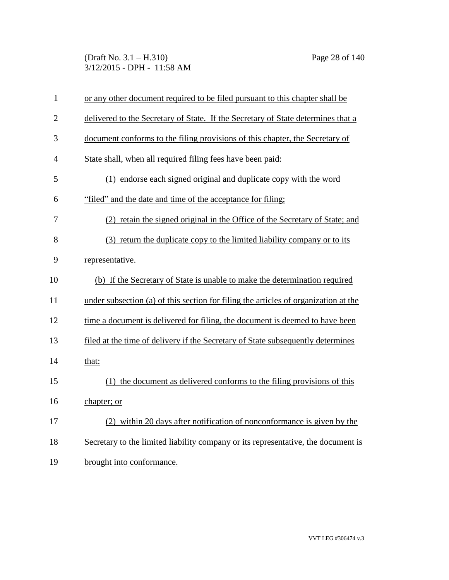(Draft No. 3.1 – H.310) Page 28 of 140 3/12/2015 - DPH - 11:58 AM

| $\mathbf{1}$   | or any other document required to be filed pursuant to this chapter shall be        |
|----------------|-------------------------------------------------------------------------------------|
| $\overline{2}$ | delivered to the Secretary of State. If the Secretary of State determines that a    |
| 3              | document conforms to the filing provisions of this chapter, the Secretary of        |
| 4              | State shall, when all required filing fees have been paid:                          |
| 5              | (1) endorse each signed original and duplicate copy with the word                   |
| 6              | "filed" and the date and time of the acceptance for filing;                         |
| 7              | (2) retain the signed original in the Office of the Secretary of State; and         |
| 8              | (3) return the duplicate copy to the limited liability company or to its            |
| 9              | representative.                                                                     |
| 10             | (b) If the Secretary of State is unable to make the determination required          |
| 11             | under subsection (a) of this section for filing the articles of organization at the |
| 12             | time a document is delivered for filing, the document is deemed to have been        |
| 13             | filed at the time of delivery if the Secretary of State subsequently determines     |
| 14             | that:                                                                               |
| 15             | (1) the document as delivered conforms to the filing provisions of this             |
| 16             | chapter; or                                                                         |
| 17             | (2) within 20 days after notification of nonconformance is given by the             |
| 18             | Secretary to the limited liability company or its representative, the document is   |
| 19             | brought into conformance.                                                           |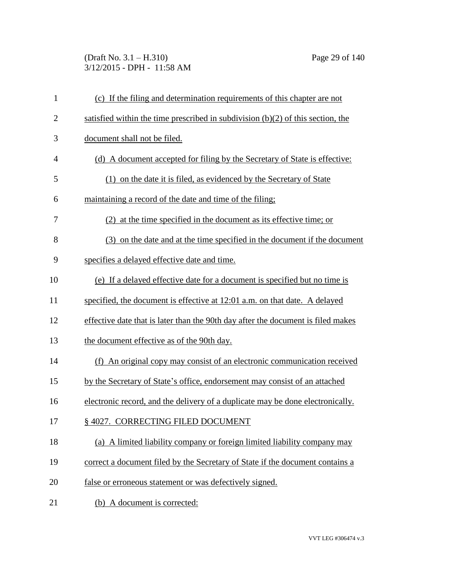### (Draft No. 3.1 – H.310) Page 29 of 140 3/12/2015 - DPH - 11:58 AM

| $\mathbf{1}$   | (c) If the filing and determination requirements of this chapter are not          |
|----------------|-----------------------------------------------------------------------------------|
| $\overline{2}$ | satisfied within the time prescribed in subdivision $(b)(2)$ of this section, the |
| 3              | document shall not be filed.                                                      |
| 4              | (d) A document accepted for filing by the Secretary of State is effective:        |
| 5              | (1) on the date it is filed, as evidenced by the Secretary of State               |
| 6              | maintaining a record of the date and time of the filing;                          |
| 7              | (2) at the time specified in the document as its effective time; or               |
| 8              | (3) on the date and at the time specified in the document if the document         |
| 9              | specifies a delayed effective date and time.                                      |
| 10             | (e) If a delayed effective date for a document is specified but no time is        |
| 11             | specified, the document is effective at 12:01 a.m. on that date. A delayed        |
| 12             | effective date that is later than the 90th day after the document is filed makes  |
| 13             | the document effective as of the 90th day.                                        |
| 14             | (f) An original copy may consist of an electronic communication received          |
| 15             | by the Secretary of State's office, endorsement may consist of an attached        |
| 16             | electronic record, and the delivery of a duplicate may be done electronically.    |
| 17             | § 4027. CORRECTING FILED DOCUMENT                                                 |
| 18             | (a) A limited liability company or foreign limited liability company may          |
| 19             | correct a document filed by the Secretary of State if the document contains a     |
| 20             | false or erroneous statement or was defectively signed.                           |
| 21             | (b) A document is corrected:                                                      |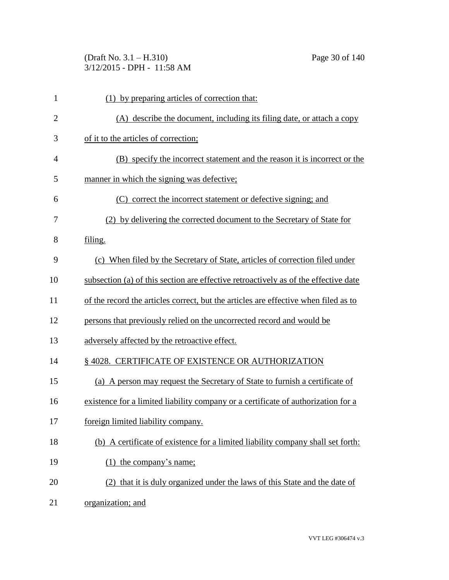(Draft No. 3.1 – H.310) Page 30 of 140 3/12/2015 - DPH - 11:58 AM

| $\mathbf{1}$   | (1) by preparing articles of correction that:                                       |
|----------------|-------------------------------------------------------------------------------------|
| $\overline{2}$ | (A) describe the document, including its filing date, or attach a copy              |
| 3              | of it to the articles of correction;                                                |
| 4              | (B) specify the incorrect statement and the reason it is incorrect or the           |
| 5              | manner in which the signing was defective;                                          |
| 6              | (C) correct the incorrect statement or defective signing; and                       |
| 7              | (2) by delivering the corrected document to the Secretary of State for              |
| 8              | filing.                                                                             |
| 9              | (c) When filed by the Secretary of State, articles of correction filed under        |
| 10             | subsection (a) of this section are effective retroactively as of the effective date |
| 11             | of the record the articles correct, but the articles are effective when filed as to |
| 12             | persons that previously relied on the uncorrected record and would be               |
| 13             | adversely affected by the retroactive effect.                                       |
| 14             | § 4028. CERTIFICATE OF EXISTENCE OR AUTHORIZATION                                   |
| 15             | (a) A person may request the Secretary of State to furnish a certificate of         |
| 16             | existence for a limited liability company or a certificate of authorization for a   |
| 17             | foreign limited liability company.                                                  |
| 18             | (b) A certificate of existence for a limited liability company shall set forth:     |
| 19             | $(1)$ the company's name;                                                           |
| 20             | (2) that it is duly organized under the laws of this State and the date of          |
| 21             | organization; and                                                                   |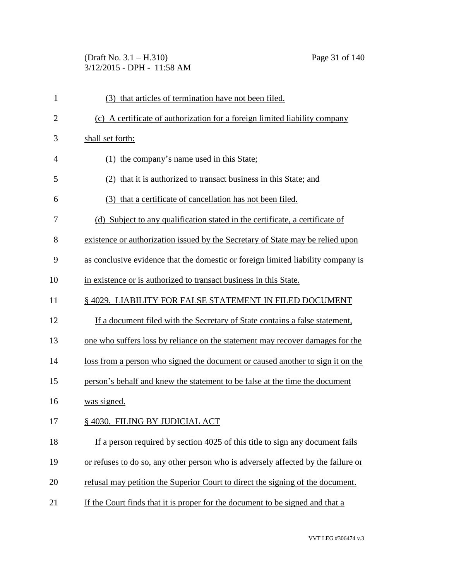# (Draft No. 3.1 – H.310) Page 31 of 140 3/12/2015 - DPH - 11:58 AM

| $\mathbf{1}$   | (3) that articles of termination have not been filed.                             |
|----------------|-----------------------------------------------------------------------------------|
| $\overline{2}$ | (c) A certificate of authorization for a foreign limited liability company        |
| 3              | shall set forth:                                                                  |
| 4              | (1) the company's name used in this State;                                        |
| 5              | that it is authorized to transact business in this State; and                     |
| 6              | (3) that a certificate of cancellation has not been filed.                        |
| 7              | (d) Subject to any qualification stated in the certificate, a certificate of      |
| 8              | existence or authorization issued by the Secretary of State may be relied upon    |
| 9              | as conclusive evidence that the domestic or foreign limited liability company is  |
| 10             | in existence or is authorized to transact business in this State.                 |
| 11             | §4029. LIABILITY FOR FALSE STATEMENT IN FILED DOCUMENT                            |
| 12             | If a document filed with the Secretary of State contains a false statement,       |
| 13             | one who suffers loss by reliance on the statement may recover damages for the     |
| 14             | loss from a person who signed the document or caused another to sign it on the    |
| 15             | person's behalf and knew the statement to be false at the time the document       |
| 16             | was signed.                                                                       |
| 17             | § 4030. FILING BY JUDICIAL ACT                                                    |
| 18             | If a person required by section 4025 of this title to sign any document fails     |
| 19             | or refuses to do so, any other person who is adversely affected by the failure or |
| 20             | refusal may petition the Superior Court to direct the signing of the document.    |
| 21             | If the Court finds that it is proper for the document to be signed and that a     |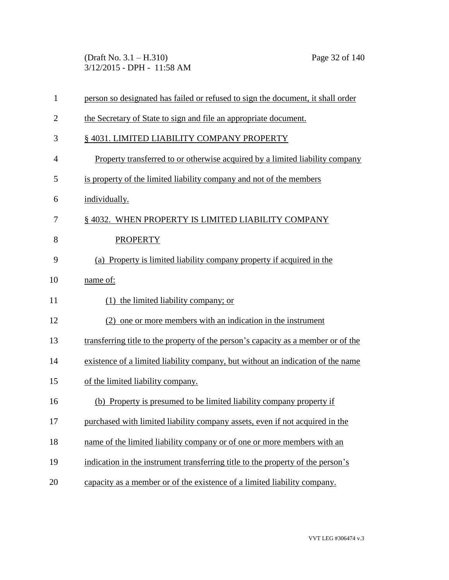(Draft No. 3.1 – H.310) Page 32 of 140 3/12/2015 - DPH - 11:58 AM

| $\mathbf{1}$   | person so designated has failed or refused to sign the document, it shall order   |
|----------------|-----------------------------------------------------------------------------------|
| $\overline{2}$ | the Secretary of State to sign and file an appropriate document.                  |
| 3              | § 4031. LIMITED LIABILITY COMPANY PROPERTY                                        |
| 4              | Property transferred to or otherwise acquired by a limited liability company      |
| 5              | is property of the limited liability company and not of the members               |
| 6              | individually.                                                                     |
| 7              | § 4032. WHEN PROPERTY IS LIMITED LIABILITY COMPANY                                |
| 8              | <b>PROPERTY</b>                                                                   |
| 9              | (a) Property is limited liability company property if acquired in the             |
| 10             | name of:                                                                          |
| 11             | $(1)$ the limited liability company; or                                           |
| 12             | (2) one or more members with an indication in the instrument                      |
| 13             | transferring title to the property of the person's capacity as a member or of the |
| 14             | existence of a limited liability company, but without an indication of the name   |
| 15             | of the limited liability company.                                                 |
| 16             | (b) Property is presumed to be limited liability company property if              |
| 17             | purchased with limited liability company assets, even if not acquired in the      |
| 18             | name of the limited liability company or of one or more members with an           |
| 19             | indication in the instrument transferring title to the property of the person's   |
| 20             | capacity as a member or of the existence of a limited liability company.          |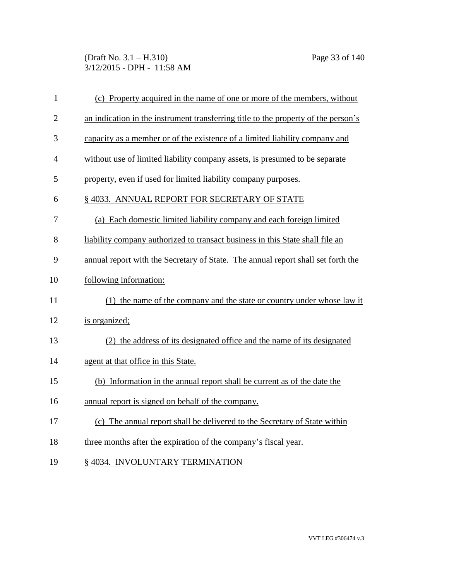(Draft No. 3.1 – H.310) Page 33 of 140 3/12/2015 - DPH - 11:58 AM

| $\mathbf{1}$   | (c) Property acquired in the name of one or more of the members, without           |
|----------------|------------------------------------------------------------------------------------|
| $\overline{2}$ | an indication in the instrument transferring title to the property of the person's |
| 3              | capacity as a member or of the existence of a limited liability company and        |
| $\overline{4}$ | without use of limited liability company assets, is presumed to be separate        |
| 5              | property, even if used for limited liability company purposes.                     |
| 6              | § 4033. ANNUAL REPORT FOR SECRETARY OF STATE                                       |
| 7              | (a) Each domestic limited liability company and each foreign limited               |
| 8              | liability company authorized to transact business in this State shall file an      |
| 9              | annual report with the Secretary of State. The annual report shall set forth the   |
| 10             | following information:                                                             |
| 11             | (1) the name of the company and the state or country under whose law it            |
| 12             | is organized;                                                                      |
| 13             | (2) the address of its designated office and the name of its designated            |
| 14             | agent at that office in this State.                                                |
| 15             | (b) Information in the annual report shall be current as of the date the           |
| 16             | annual report is signed on behalf of the company.                                  |
| 17             | (c) The annual report shall be delivered to the Secretary of State within          |
| 18             | three months after the expiration of the company's fiscal year.                    |
| 19             | § 4034. INVOLUNTARY TERMINATION                                                    |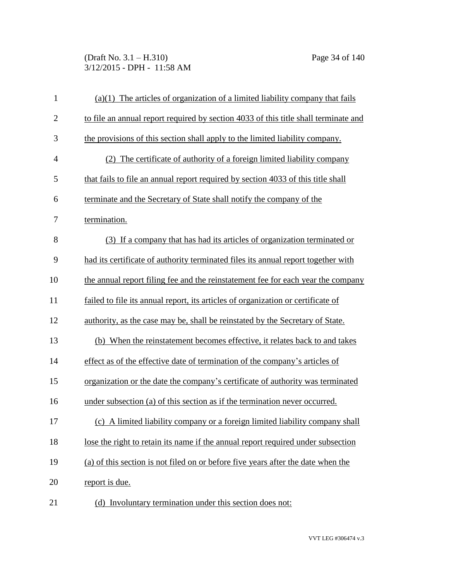(Draft No. 3.1 – H.310) Page 34 of 140 3/12/2015 - DPH - 11:58 AM

| $\mathbf{1}$   | $(a)(1)$ The articles of organization of a limited liability company that fails     |
|----------------|-------------------------------------------------------------------------------------|
| $\mathbf{2}$   | to file an annual report required by section 4033 of this title shall terminate and |
| 3              | the provisions of this section shall apply to the limited liability company.        |
| $\overline{4}$ | (2) The certificate of authority of a foreign limited liability company             |
| 5              | that fails to file an annual report required by section 4033 of this title shall    |
| 6              | terminate and the Secretary of State shall notify the company of the                |
| 7              | termination.                                                                        |
| 8              | (3) If a company that has had its articles of organization terminated or            |
| 9              | had its certificate of authority terminated files its annual report together with   |
| 10             | the annual report filing fee and the reinstatement fee for each year the company    |
| 11             | failed to file its annual report, its articles of organization or certificate of    |
| 12             | authority, as the case may be, shall be reinstated by the Secretary of State.       |
| 13             | (b) When the reinstatement becomes effective, it relates back to and takes          |
| 14             | effect as of the effective date of termination of the company's articles of         |
| 15             | organization or the date the company's certificate of authority was terminated      |
| 16             | under subsection (a) of this section as if the termination never occurred.          |
| 17             | (c) A limited liability company or a foreign limited liability company shall        |
| 18             | lose the right to retain its name if the annual report required under subsection    |
| 19             | (a) of this section is not filed on or before five years after the date when the    |
| 20             | report is due.                                                                      |
| 21             | (d) Involuntary termination under this section does not:                            |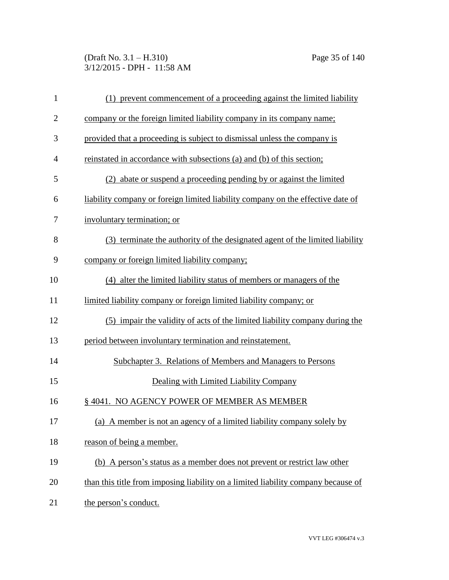(Draft No. 3.1 – H.310) Page 35 of 140 3/12/2015 - DPH - 11:58 AM

| $\mathbf{1}$   | (1) prevent commencement of a proceeding against the limited liability            |
|----------------|-----------------------------------------------------------------------------------|
| $\overline{c}$ | company or the foreign limited liability company in its company name:             |
| 3              | provided that a proceeding is subject to dismissal unless the company is          |
| 4              | reinstated in accordance with subsections (a) and (b) of this section;            |
| 5              | (2) abate or suspend a proceeding pending by or against the limited               |
| 6              | liability company or foreign limited liability company on the effective date of   |
| 7              | involuntary termination; or                                                       |
| 8              | (3) terminate the authority of the designated agent of the limited liability      |
| 9              | company or foreign limited liability company;                                     |
| 10             | (4) alter the limited liability status of members or managers of the              |
| 11             | limited liability company or foreign limited liability company; or                |
| 12             | (5) impair the validity of acts of the limited liability company during the       |
| 13             | period between involuntary termination and reinstatement.                         |
| 14             | Subchapter 3. Relations of Members and Managers to Persons                        |
| 15             | Dealing with Limited Liability Company                                            |
| 16             | §4041. NO AGENCY POWER OF MEMBER AS MEMBER                                        |
| 17             | (a) A member is not an agency of a limited liability company solely by            |
| 18             | reason of being a member.                                                         |
| 19             | (b) A person's status as a member does not prevent or restrict law other          |
| 20             | than this title from imposing liability on a limited liability company because of |
| 21             | the person's conduct.                                                             |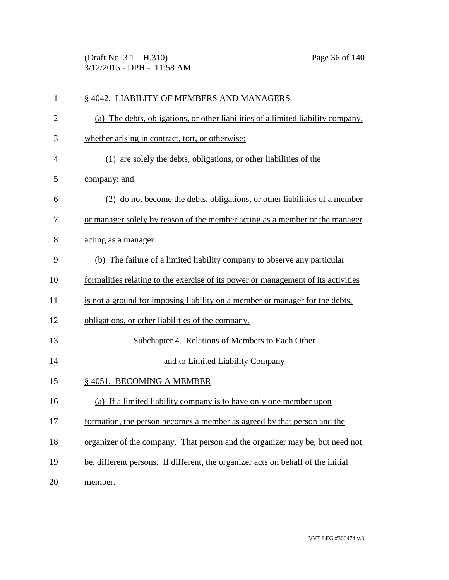(Draft No. 3.1 – H.310) Page 36 of 140 3/12/2015 - DPH - 11:58 AM

| $\mathbf{1}$   | § 4042. LIABILITY OF MEMBERS AND MANAGERS                                         |
|----------------|-----------------------------------------------------------------------------------|
| $\overline{2}$ | (a) The debts, obligations, or other liabilities of a limited liability company,  |
| 3              | whether arising in contract, tort, or otherwise:                                  |
| $\overline{4}$ | (1) are solely the debts, obligations, or other liabilities of the                |
| 5              | company; and                                                                      |
| 6              | (2) do not become the debts, obligations, or other liabilities of a member        |
| 7              | or manager solely by reason of the member acting as a member or the manager       |
| 8              | acting as a manager.                                                              |
| 9              | (b) The failure of a limited liability company to observe any particular          |
| 10             | formalities relating to the exercise of its power or management of its activities |
| 11             | is not a ground for imposing liability on a member or manager for the debts,      |
| 12             | obligations, or other liabilities of the company.                                 |
| 13             | Subchapter 4. Relations of Members to Each Other                                  |
| 14             | and to Limited Liability Company                                                  |
| 15             | § 4051. BECOMING A MEMBER                                                         |
| 16             | (a) If a limited liability company is to have only one member upon                |
| 17             | formation, the person becomes a member as agreed by that person and the           |
| 18             | organizer of the company. That person and the organizer may be, but need not      |
| 19             | be, different persons. If different, the organizer acts on behalf of the initial  |
| 20             | member.                                                                           |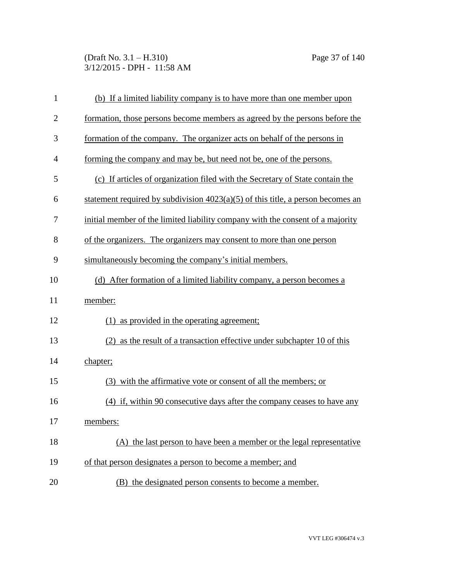(Draft No. 3.1 – H.310) Page 37 of 140 3/12/2015 - DPH - 11:58 AM

| $\mathbf{1}$   | (b) If a limited liability company is to have more than one member upon           |
|----------------|-----------------------------------------------------------------------------------|
| $\overline{2}$ | formation, those persons become members as agreed by the persons before the       |
| 3              | formation of the company. The organizer acts on behalf of the persons in          |
| $\overline{4}$ | forming the company and may be, but need not be, one of the persons.              |
| 5              | (c) If articles of organization filed with the Secretary of State contain the     |
| 6              | statement required by subdivision $4023(a)(5)$ of this title, a person becomes an |
| 7              | initial member of the limited liability company with the consent of a majority    |
| 8              | of the organizers. The organizers may consent to more than one person             |
| 9              | simultaneously becoming the company's initial members.                            |
| 10             | (d) After formation of a limited liability company, a person becomes a            |
| 11             | member:                                                                           |
| 12             | (1) as provided in the operating agreement;                                       |
| 13             | (2) as the result of a transaction effective under subchapter 10 of this          |
| 14             | chapter;                                                                          |
| 15             | (3) with the affirmative vote or consent of all the members; or                   |
| 16             | (4) if, within 90 consecutive days after the company ceases to have any           |
| 17             | members:                                                                          |
| 18             | (A) the last person to have been a member or the legal representative             |
| 19             | of that person designates a person to become a member; and                        |
| 20             | (B) the designated person consents to become a member.                            |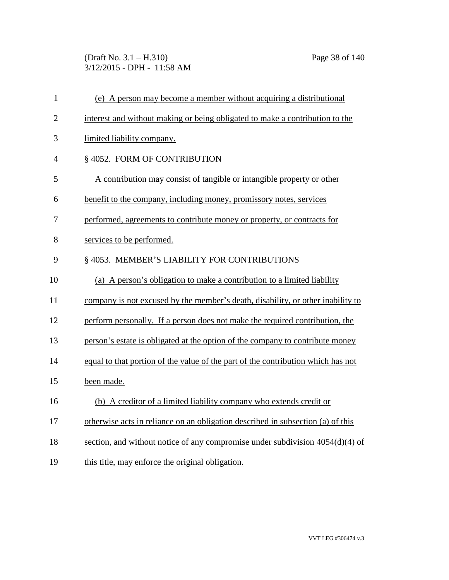(Draft No. 3.1 – H.310) Page 38 of 140 3/12/2015 - DPH - 11:58 AM

| $\mathbf{1}$   | (e) A person may become a member without acquiring a distributional              |
|----------------|----------------------------------------------------------------------------------|
| $\overline{2}$ | interest and without making or being obligated to make a contribution to the     |
| 3              | limited liability company.                                                       |
| $\overline{4}$ | § 4052. FORM OF CONTRIBUTION                                                     |
| 5              | A contribution may consist of tangible or intangible property or other           |
| 6              | benefit to the company, including money, promissory notes, services              |
| 7              | performed, agreements to contribute money or property, or contracts for          |
| 8              | services to be performed.                                                        |
| 9              | § 4053. MEMBER'S LIABILITY FOR CONTRIBUTIONS                                     |
| 10             | (a) A person's obligation to make a contribution to a limited liability          |
| 11             | company is not excused by the member's death, disability, or other inability to  |
| 12             | perform personally. If a person does not make the required contribution, the     |
| 13             | person's estate is obligated at the option of the company to contribute money    |
| 14             | equal to that portion of the value of the part of the contribution which has not |
| 15             | been made.                                                                       |
| 16             | (b) A creditor of a limited liability company who extends credit or              |
| 17             | otherwise acts in reliance on an obligation described in subsection (a) of this  |
| 18             | section, and without notice of any compromise under subdivision 4054(d)(4) of    |
| 19             | this title, may enforce the original obligation.                                 |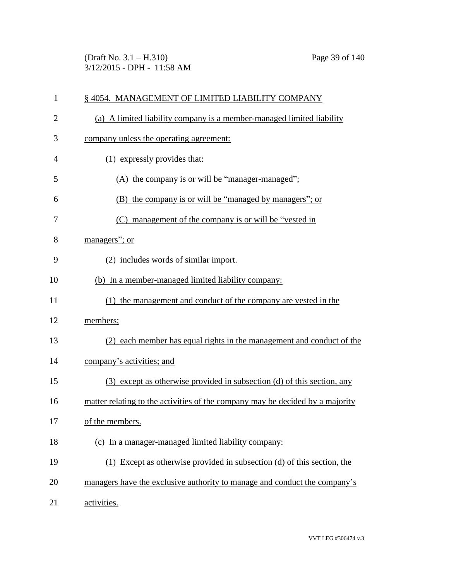(Draft No. 3.1 – H.310) Page 39 of 140 3/12/2015 - DPH - 11:58 AM

| $\mathbf{1}$   | §4054. MANAGEMENT OF LIMITED LIABILITY COMPANY                                |
|----------------|-------------------------------------------------------------------------------|
| $\overline{2}$ | (a) A limited liability company is a member-managed limited liability         |
| 3              | company unless the operating agreement:                                       |
| $\overline{4}$ | (1) expressly provides that:                                                  |
| 5              | (A) the company is or will be "manager-managed";                              |
| 6              | (B) the company is or will be "managed by managers"; or                       |
| 7              | (C) management of the company is or will be "vested in                        |
| 8              | managers"; or                                                                 |
| 9              | (2) includes words of similar import.                                         |
| 10             | (b) In a member-managed limited liability company:                            |
| 11             | (1) the management and conduct of the company are vested in the               |
| 12             | members;                                                                      |
| 13             | (2) each member has equal rights in the management and conduct of the         |
| 14             | company's activities; and                                                     |
| 15             | (3) except as otherwise provided in subsection (d) of this section, any       |
| 16             | matter relating to the activities of the company may be decided by a majority |
| 17             | of the members.                                                               |
| 18             | (c) In a manager-managed limited liability company:                           |
| 19             | (1) Except as otherwise provided in subsection (d) of this section, the       |
| 20             | managers have the exclusive authority to manage and conduct the company's     |
| 21             | activities.                                                                   |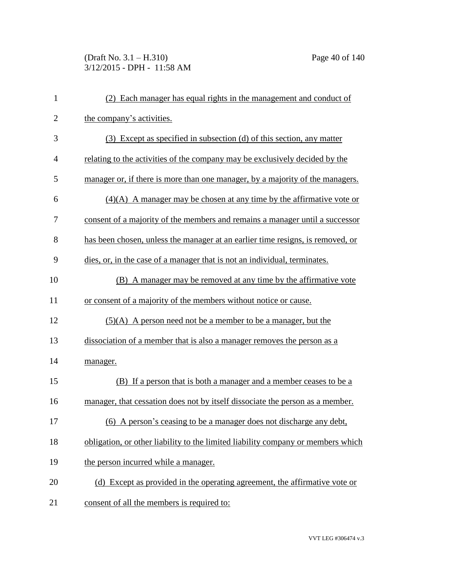# (Draft No. 3.1 – H.310) Page 40 of 140 3/12/2015 - DPH - 11:58 AM

| $\mathbf{1}$   | (2) Each manager has equal rights in the management and conduct of               |
|----------------|----------------------------------------------------------------------------------|
| $\overline{2}$ | the company's activities.                                                        |
| 3              | (3) Except as specified in subsection (d) of this section, any matter            |
| 4              | relating to the activities of the company may be exclusively decided by the      |
| 5              | manager or, if there is more than one manager, by a majority of the managers.    |
| 6              | $(4)(A)$ A manager may be chosen at any time by the affirmative vote or          |
| 7              | consent of a majority of the members and remains a manager until a successor     |
| 8              | has been chosen, unless the manager at an earlier time resigns, is removed, or   |
| 9              | dies, or, in the case of a manager that is not an individual, terminates.        |
| 10             | (B) A manager may be removed at any time by the affirmative vote                 |
| 11             | or consent of a majority of the members without notice or cause.                 |
| 12             | $(5)(A)$ A person need not be a member to be a manager, but the                  |
| 13             | dissociation of a member that is also a manager removes the person as a          |
| 14             | manager.                                                                         |
| 15             | (B) If a person that is both a manager and a member ceases to be a               |
| 16             | manager, that cessation does not by itself dissociate the person as a member.    |
| 17             | (6) A person's ceasing to be a manager does not discharge any debt,              |
| 18             | obligation, or other liability to the limited liability company or members which |
| 19             | the person incurred while a manager.                                             |
| 20             | (d) Except as provided in the operating agreement, the affirmative vote or       |
| 21             | consent of all the members is required to:                                       |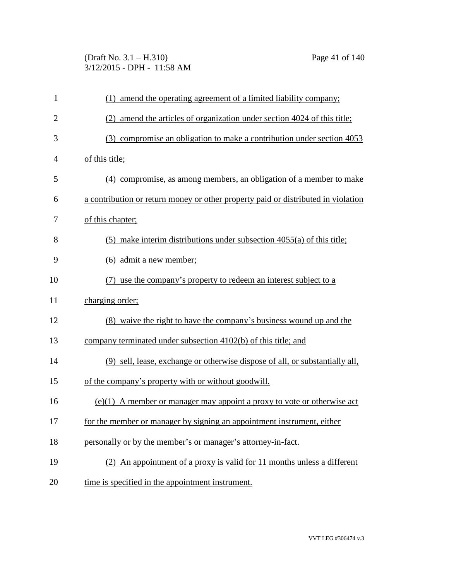(Draft No. 3.1 – H.310) Page 41 of 140 3/12/2015 - DPH - 11:58 AM

| $\mathbf{1}$   | (1) amend the operating agreement of a limited liability company;                 |
|----------------|-----------------------------------------------------------------------------------|
| $\overline{2}$ | (2) amend the articles of organization under section 4024 of this title;          |
| 3              | (3) compromise an obligation to make a contribution under section 4053            |
| 4              | of this title;                                                                    |
| 5              | (4) compromise, as among members, an obligation of a member to make               |
| 6              | a contribution or return money or other property paid or distributed in violation |
| 7              | of this chapter;                                                                  |
| 8              | $(5)$ make interim distributions under subsection 4055(a) of this title;          |
| 9              | (6) admit a new member;                                                           |
| 10             | (7) use the company's property to redeem an interest subject to a                 |
| 11             | charging order;                                                                   |
| 12             | (8) waive the right to have the company's business wound up and the               |
| 13             | company terminated under subsection 4102(b) of this title; and                    |
| 14             | (9) sell, lease, exchange or otherwise dispose of all, or substantially all,      |
| 15             | of the company's property with or without goodwill.                               |
| 16             | $(e)(1)$ A member or manager may appoint a proxy to vote or otherwise act         |
| 17             | for the member or manager by signing an appointment instrument, either            |
| 18             | personally or by the member's or manager's attorney-in-fact.                      |
| 19             | (2) An appointment of a proxy is valid for 11 months unless a different           |
| 20             | time is specified in the appointment instrument.                                  |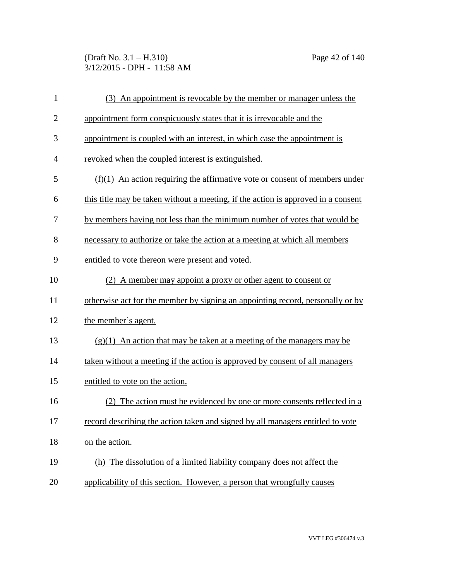(Draft No. 3.1 – H.310) Page 42 of 140 3/12/2015 - DPH - 11:58 AM

| $\mathbf{1}$   | (3) An appointment is revocable by the member or manager unless the               |
|----------------|-----------------------------------------------------------------------------------|
| $\overline{2}$ | appointment form conspicuously states that it is irrevocable and the              |
| 3              | appointment is coupled with an interest, in which case the appointment is         |
| $\overline{4}$ | revoked when the coupled interest is extinguished.                                |
| 5              | $(f)(1)$ An action requiring the affirmative vote or consent of members under     |
| 6              | this title may be taken without a meeting, if the action is approved in a consent |
| 7              | by members having not less than the minimum number of votes that would be         |
| 8              | necessary to authorize or take the action at a meeting at which all members       |
| 9              | entitled to vote thereon were present and voted.                                  |
| 10             | (2) A member may appoint a proxy or other agent to consent or                     |
| 11             | otherwise act for the member by signing an appointing record, personally or by    |
| 12             | the member's agent.                                                               |
| 13             | $(g)(1)$ An action that may be taken at a meeting of the managers may be          |
| 14             | taken without a meeting if the action is approved by consent of all managers      |
| 15             | entitled to vote on the action.                                                   |
| 16             | The action must be evidenced by one or more consents reflected in a<br>(2)        |
| 17             | record describing the action taken and signed by all managers entitled to vote    |
| 18             | on the action.                                                                    |
| 19             | (h) The dissolution of a limited liability company does not affect the            |
| 20             | applicability of this section. However, a person that wrongfully causes           |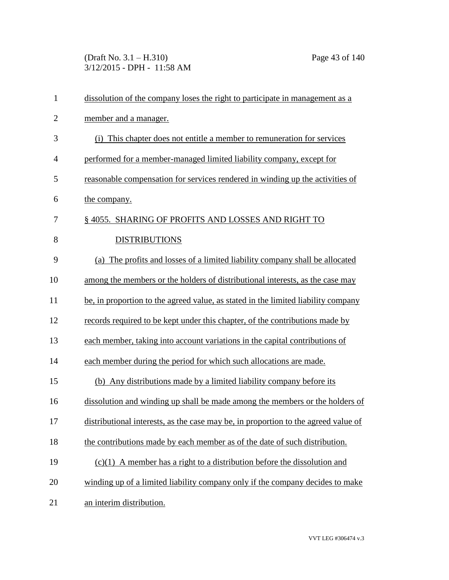(Draft No. 3.1 – H.310) Page 43 of 140 3/12/2015 - DPH - 11:58 AM

| $\mathbf{1}$   | dissolution of the company loses the right to participate in management as a       |
|----------------|------------------------------------------------------------------------------------|
| $\overline{2}$ | member and a manager.                                                              |
| 3              | (i) This chapter does not entitle a member to remuneration for services            |
| $\overline{4}$ | performed for a member-managed limited liability company, except for               |
| 5              | reasonable compensation for services rendered in winding up the activities of      |
| 6              | the company.                                                                       |
| 7              | §4055. SHARING OF PROFITS AND LOSSES AND RIGHT TO                                  |
| 8              | <b>DISTRIBUTIONS</b>                                                               |
| 9              | The profits and losses of a limited liability company shall be allocated<br>(a)    |
| 10             | among the members or the holders of distributional interests, as the case may      |
| 11             | be, in proportion to the agreed value, as stated in the limited liability company  |
| 12             | records required to be kept under this chapter, of the contributions made by       |
| 13             | each member, taking into account variations in the capital contributions of        |
| 14             | each member during the period for which such allocations are made.                 |
| 15             | (b) Any distributions made by a limited liability company before its               |
| 16             | dissolution and winding up shall be made among the members or the holders of       |
| 17             | distributional interests, as the case may be, in proportion to the agreed value of |
| 18             | the contributions made by each member as of the date of such distribution.         |
| 19             | $(c)(1)$ A member has a right to a distribution before the dissolution and         |
| 20             | winding up of a limited liability company only if the company decides to make      |
| 21             | an interim distribution.                                                           |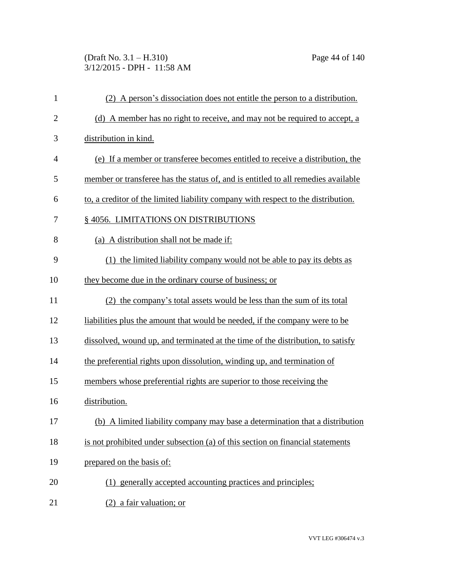## (Draft No. 3.1 – H.310) Page 44 of 140 3/12/2015 - DPH - 11:58 AM

| $\mathbf{1}$   | (2) A person's dissociation does not entitle the person to a distribution.        |
|----------------|-----------------------------------------------------------------------------------|
| $\overline{c}$ | (d) A member has no right to receive, and may not be required to accept, a        |
| 3              | distribution in kind.                                                             |
| $\overline{4}$ | (e) If a member or transferee becomes entitled to receive a distribution, the     |
| 5              | member or transferee has the status of, and is entitled to all remedies available |
| 6              | to, a creditor of the limited liability company with respect to the distribution. |
| 7              | § 4056. LIMITATIONS ON DISTRIBUTIONS                                              |
| 8              | (a) A distribution shall not be made if:                                          |
| 9              | (1) the limited liability company would not be able to pay its debts as           |
| 10             | they become due in the ordinary course of business; or                            |
| 11             | (2) the company's total assets would be less than the sum of its total            |
| 12             | liabilities plus the amount that would be needed, if the company were to be       |
| 13             | dissolved, wound up, and terminated at the time of the distribution, to satisfy   |
| 14             | the preferential rights upon dissolution, winding up, and termination of          |
| 15             | members whose preferential rights are superior to those receiving the             |
| 16             | distribution.                                                                     |
| 17             | (b) A limited liability company may base a determination that a distribution      |
| 18             | is not prohibited under subsection (a) of this section on financial statements    |
| 19             | prepared on the basis of:                                                         |
| 20             | (1) generally accepted accounting practices and principles;                       |
| 21             | (2) a fair valuation; or                                                          |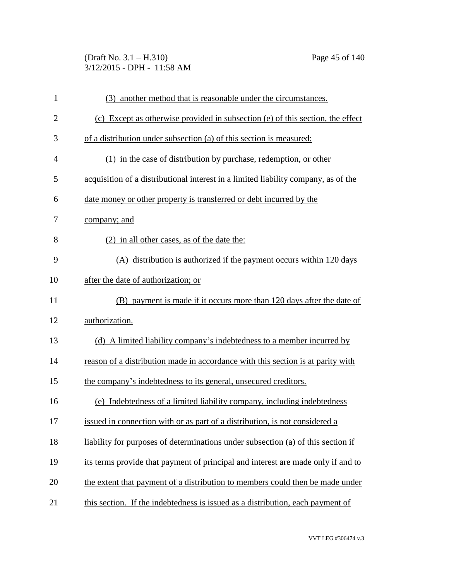(Draft No. 3.1 – H.310) Page 45 of 140 3/12/2015 - DPH - 11:58 AM

| $\mathbf{1}$   | (3) another method that is reasonable under the circumstances.                     |
|----------------|------------------------------------------------------------------------------------|
| $\overline{2}$ | (c) Except as otherwise provided in subsection (e) of this section, the effect     |
| 3              | of a distribution under subsection (a) of this section is measured:                |
| $\overline{4}$ | (1) in the case of distribution by purchase, redemption, or other                  |
| 5              | acquisition of a distributional interest in a limited liability company, as of the |
| 6              | date money or other property is transferred or debt incurred by the                |
| 7              | company; and                                                                       |
| 8              | (2) in all other cases, as of the date the:                                        |
| 9              | (A) distribution is authorized if the payment occurs within 120 days               |
| 10             | after the date of authorization; or                                                |
| 11             | (B) payment is made if it occurs more than 120 days after the date of              |
| 12             | authorization.                                                                     |
| 13             | (d) A limited liability company's indebtedness to a member incurred by             |
| 14             | reason of a distribution made in accordance with this section is at parity with    |
| 15             | the company's indebtedness to its general, unsecured creditors.                    |
| 16             | (e) Indebtedness of a limited liability company, including indebtedness            |
| 17             | issued in connection with or as part of a distribution, is not considered a        |
| 18             | liability for purposes of determinations under subsection (a) of this section if   |
| 19             | its terms provide that payment of principal and interest are made only if and to   |
| 20             | the extent that payment of a distribution to members could then be made under      |
| 21             | this section. If the indebtedness is issued as a distribution, each payment of     |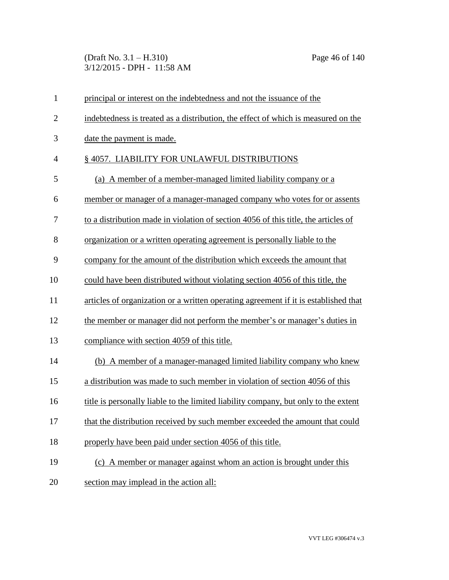(Draft No. 3.1 – H.310) Page 46 of 140 3/12/2015 - DPH - 11:58 AM

| $\mathbf{1}$   | principal or interest on the indebtedness and not the issuance of the               |
|----------------|-------------------------------------------------------------------------------------|
| $\overline{2}$ | indebtedness is treated as a distribution, the effect of which is measured on the   |
| 3              | date the payment is made.                                                           |
| $\overline{4}$ | §4057. LIABILITY FOR UNLAWFUL DISTRIBUTIONS                                         |
| 5              | (a) A member of a member-managed limited liability company or a                     |
| 6              | member or manager of a manager-managed company who votes for or assents             |
| 7              | to a distribution made in violation of section 4056 of this title, the articles of  |
| 8              | organization or a written operating agreement is personally liable to the           |
| 9              | company for the amount of the distribution which exceeds the amount that            |
| 10             | could have been distributed without violating section 4056 of this title, the       |
| 11             | articles of organization or a written operating agreement if it is established that |
| 12             | the member or manager did not perform the member's or manager's duties in           |
| 13             | compliance with section 4059 of this title.                                         |
| 14             | (b) A member of a manager-managed limited liability company who knew                |
| 15             | a distribution was made to such member in violation of section 4056 of this         |
| 16             | title is personally liable to the limited liability company, but only to the extent |
| 17             | that the distribution received by such member exceeded the amount that could        |
| 18             | properly have been paid under section 4056 of this title.                           |
| 19             | (c) A member or manager against whom an action is brought under this                |
| 20             | section may implead in the action all:                                              |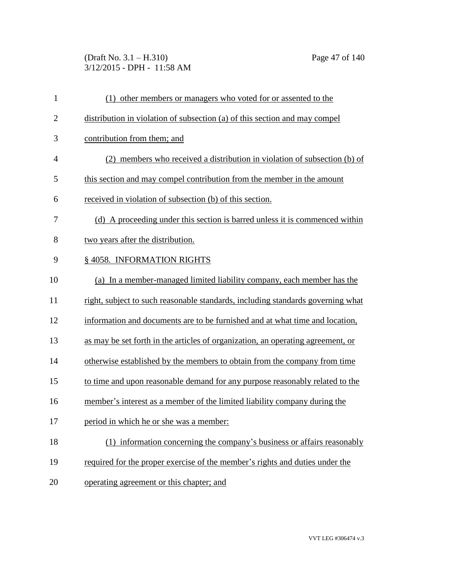## (Draft No. 3.1 – H.310) Page 47 of 140 3/12/2015 - DPH - 11:58 AM

| $\mathbf{1}$   | (1) other members or managers who voted for or assented to the                  |
|----------------|---------------------------------------------------------------------------------|
| $\overline{2}$ | distribution in violation of subsection (a) of this section and may compel      |
| 3              | contribution from them; and                                                     |
| $\overline{4}$ | (2) members who received a distribution in violation of subsection (b) of       |
| 5              | this section and may compel contribution from the member in the amount          |
| 6              | received in violation of subsection (b) of this section.                        |
| 7              | (d) A proceeding under this section is barred unless it is commenced within     |
| 8              | two years after the distribution.                                               |
| 9              | § 4058. INFORMATION RIGHTS                                                      |
| 10             | (a) In a member-managed limited liability company, each member has the          |
| 11             | right, subject to such reasonable standards, including standards governing what |
| 12             | information and documents are to be furnished and at what time and location,    |
| 13             | as may be set forth in the articles of organization, an operating agreement, or |
| 14             | otherwise established by the members to obtain from the company from time       |
| 15             | to time and upon reasonable demand for any purpose reasonably related to the    |
| 16             | member's interest as a member of the limited liability company during the       |
| 17             | period in which he or she was a member:                                         |
| 18             | (1) information concerning the company's business or affairs reasonably         |
| 19             | required for the proper exercise of the member's rights and duties under the    |
| 20             | operating agreement or this chapter; and                                        |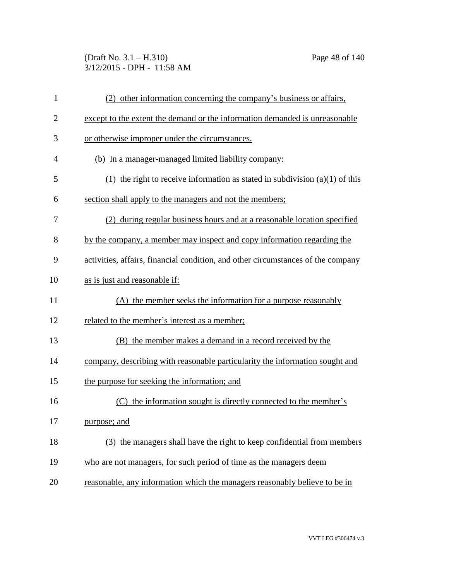(Draft No. 3.1 – H.310) Page 48 of 140 3/12/2015 - DPH - 11:58 AM

| $\mathbf{1}$   | (2) other information concerning the company's business or affairs,              |
|----------------|----------------------------------------------------------------------------------|
| $\overline{2}$ | except to the extent the demand or the information demanded is unreasonable      |
| 3              | or otherwise improper under the circumstances.                                   |
| $\overline{4}$ | (b) In a manager-managed limited liability company:                              |
| 5              | (1) the right to receive information as stated in subdivision $(a)(1)$ of this   |
| 6              | section shall apply to the managers and not the members;                         |
| 7              | (2) during regular business hours and at a reasonable location specified         |
| 8              | by the company, a member may inspect and copy information regarding the          |
| 9              | activities, affairs, financial condition, and other circumstances of the company |
| 10             | as is just and reasonable if:                                                    |
| 11             | (A) the member seeks the information for a purpose reasonably                    |
| 12             | related to the member's interest as a member;                                    |
| 13             | (B) the member makes a demand in a record received by the                        |
| 14             | company, describing with reasonable particularity the information sought and     |
| 15             | the purpose for seeking the information; and                                     |
| 16             | the information sought is directly connected to the member's<br>(C)              |
| 17             | purpose; and                                                                     |
| 18             | (3) the managers shall have the right to keep confidential from members          |
| 19             | who are not managers, for such period of time as the managers deem               |
| 20             | reasonable, any information which the managers reasonably believe to be in       |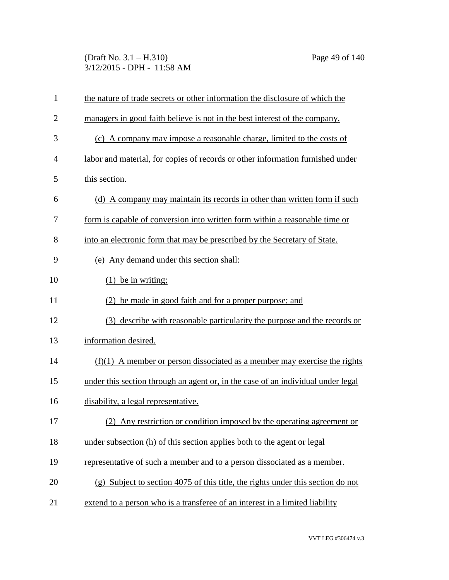(Draft No. 3.1 – H.310) Page 49 of 140 3/12/2015 - DPH - 11:58 AM

| $\mathbf{1}$   | the nature of trade secrets or other information the disclosure of which the     |
|----------------|----------------------------------------------------------------------------------|
| $\overline{2}$ | managers in good faith believe is not in the best interest of the company.       |
| 3              | (c) A company may impose a reasonable charge, limited to the costs of            |
| 4              | labor and material, for copies of records or other information furnished under   |
| 5              | this section.                                                                    |
| 6              | (d) A company may maintain its records in other than written form if such        |
| 7              | form is capable of conversion into written form within a reasonable time or      |
| 8              | into an electronic form that may be prescribed by the Secretary of State.        |
| 9              | (e) Any demand under this section shall:                                         |
| 10             | $(1)$ be in writing;                                                             |
| 11             | be made in good faith and for a proper purpose; and                              |
| 12             | (3) describe with reasonable particularity the purpose and the records or        |
| 13             | information desired.                                                             |
| 14             | $(f)(1)$ A member or person dissociated as a member may exercise the rights      |
| 15             | under this section through an agent or, in the case of an individual under legal |
| 16             | disability, a legal representative.                                              |
| 17             | (2) Any restriction or condition imposed by the operating agreement or           |
| 18             | under subsection (h) of this section applies both to the agent or legal          |
| 19             | representative of such a member and to a person dissociated as a member.         |
| 20             | (g) Subject to section 4075 of this title, the rights under this section do not  |
| 21             | extend to a person who is a transferee of an interest in a limited liability     |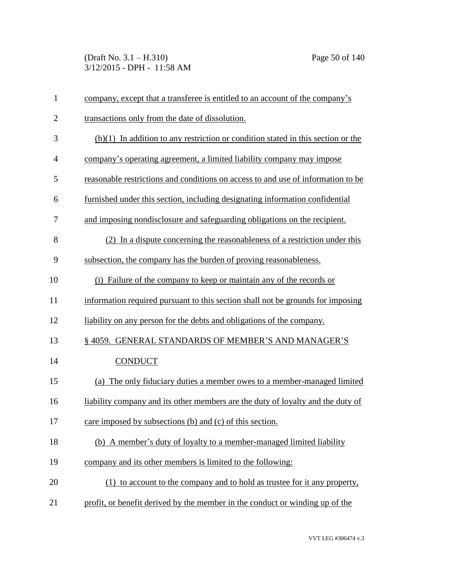(Draft No. 3.1 – H.310) Page 50 of 140 3/12/2015 - DPH - 11:58 AM

| $\mathbf{1}$   | company, except that a transferee is entitled to an account of the company's       |
|----------------|------------------------------------------------------------------------------------|
| $\overline{2}$ | transactions only from the date of dissolution.                                    |
| 3              | $(h)(1)$ In addition to any restriction or condition stated in this section or the |
| $\overline{4}$ | company's operating agreement, a limited liability company may impose              |
| 5              | reasonable restrictions and conditions on access to and use of information to be   |
| 6              | furnished under this section, including designating information confidential       |
| 7              | and imposing nondisclosure and safeguarding obligations on the recipient.          |
| 8              | (2) In a dispute concerning the reasonableness of a restriction under this         |
| 9              | subsection, the company has the burden of proving reasonableness.                  |
| 10             | (i) Failure of the company to keep or maintain any of the records or               |
| 11             | information required pursuant to this section shall not be grounds for imposing    |
| 12             | liability on any person for the debts and obligations of the company.              |
| 13             | § 4059. GENERAL STANDARDS OF MEMBER'S AND MANAGER'S                                |
| 14             | <b>CONDUCT</b>                                                                     |
| 15             | (a) The only fiduciary duties a member owes to a member-managed limited            |
| 16             | liability company and its other members are the duty of loyalty and the duty of    |
| 17             | care imposed by subsections (b) and (c) of this section.                           |
| 18             | (b) A member's duty of loyalty to a member-managed limited liability               |
| 19             | company and its other members is limited to the following:                         |
| 20             | (1) to account to the company and to hold as trustee for it any property,          |
| 21             | profit, or benefit derived by the member in the conduct or winding up of the       |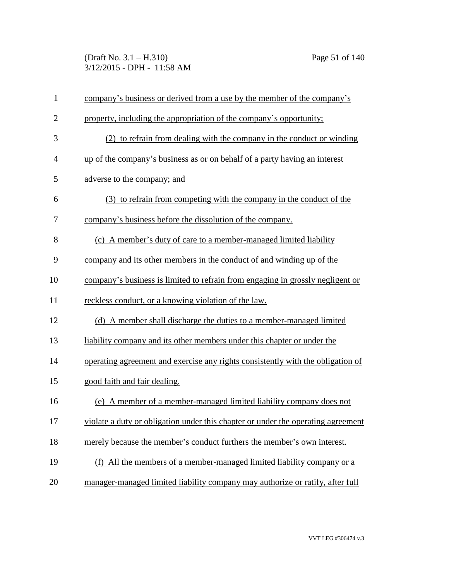(Draft No. 3.1 – H.310) Page 51 of 140 3/12/2015 - DPH - 11:58 AM

| $\mathbf{1}$   | company's business or derived from a use by the member of the company's          |
|----------------|----------------------------------------------------------------------------------|
| $\overline{2}$ | property, including the appropriation of the company's opportunity;              |
| 3              | (2) to refrain from dealing with the company in the conduct or winding           |
| $\overline{4}$ | up of the company's business as or on behalf of a party having an interest       |
| 5              | adverse to the company; and                                                      |
| 6              | (3) to refrain from competing with the company in the conduct of the             |
| 7              | company's business before the dissolution of the company.                        |
| 8              | (c) A member's duty of care to a member-managed limited liability                |
| 9              | company and its other members in the conduct of and winding up of the            |
| 10             | company's business is limited to refrain from engaging in grossly negligent or   |
| 11             | reckless conduct, or a knowing violation of the law.                             |
| 12             | (d) A member shall discharge the duties to a member-managed limited              |
| 13             | liability company and its other members under this chapter or under the          |
| 14             | operating agreement and exercise any rights consistently with the obligation of  |
| 15             | good faith and fair dealing.                                                     |
| 16             | (e) A member of a member-managed limited liability company does not              |
| 17             | violate a duty or obligation under this chapter or under the operating agreement |
| 18             | merely because the member's conduct furthers the member's own interest.          |
| 19             | (f) All the members of a member-managed limited liability company or a           |
| 20             | manager-managed limited liability company may authorize or ratify, after full    |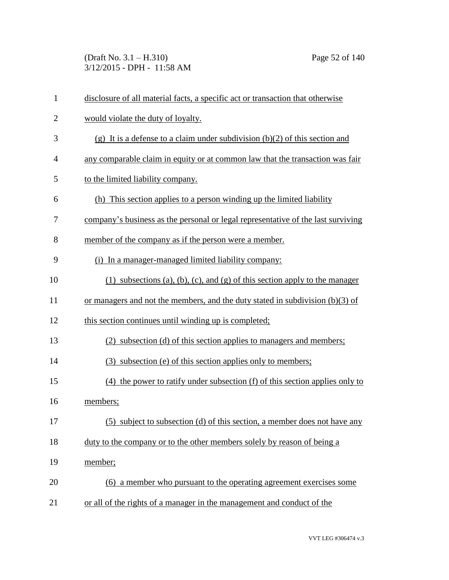(Draft No. 3.1 – H.310) Page 52 of 140 3/12/2015 - DPH - 11:58 AM

| $\mathbf{1}$   | disclosure of all material facts, a specific act or transaction that otherwise   |
|----------------|----------------------------------------------------------------------------------|
| $\overline{2}$ | would violate the duty of loyalty.                                               |
| 3              | (g) It is a defense to a claim under subdivision $(b)(2)$ of this section and    |
| $\overline{4}$ | any comparable claim in equity or at common law that the transaction was fair    |
| 5              | to the limited liability company.                                                |
| 6              | (h) This section applies to a person winding up the limited liability            |
| 7              | company's business as the personal or legal representative of the last surviving |
| 8              | member of the company as if the person were a member.                            |
| 9              | (i) In a manager-managed limited liability company:                              |
| 10             | (1) subsections (a), (b), (c), and (g) of this section apply to the manager      |
| 11             | or managers and not the members, and the duty stated in subdivision $(b)(3)$ of  |
| 12             | this section continues until winding up is completed;                            |
| 13             | (2) subsection (d) of this section applies to managers and members;              |
| 14             | (3) subsection (e) of this section applies only to members;                      |
| 15             | $(4)$ the power to ratify under subsection (f) of this section applies only to   |
| 16             | members;                                                                         |
| 17             | (5) subject to subsection (d) of this section, a member does not have any        |
| 18             | duty to the company or to the other members solely by reason of being a          |
| 19             | member;                                                                          |
| 20             | (6) a member who pursuant to the operating agreement exercises some              |
| 21             | or all of the rights of a manager in the management and conduct of the           |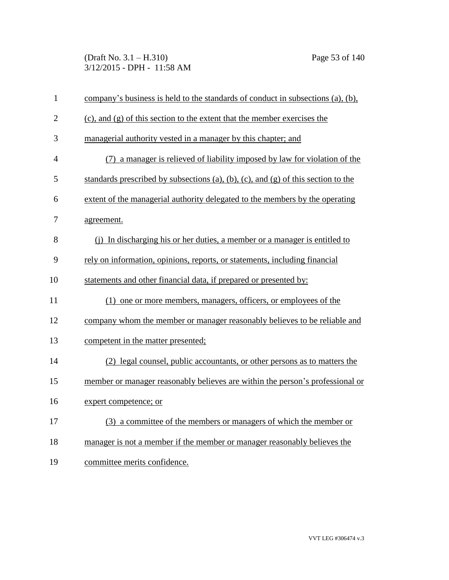(Draft No. 3.1 – H.310) Page 53 of 140 3/12/2015 - DPH - 11:58 AM

| $\mathbf{1}$   | company's business is held to the standards of conduct in subsections (a), (b),   |
|----------------|-----------------------------------------------------------------------------------|
| $\overline{2}$ | $(c)$ , and $(g)$ of this section to the extent that the member exercises the     |
| 3              | managerial authority vested in a manager by this chapter; and                     |
| $\overline{4}$ | (7) a manager is relieved of liability imposed by law for violation of the        |
| 5              | standards prescribed by subsections (a), (b), (c), and (g) of this section to the |
| 6              | extent of the managerial authority delegated to the members by the operating      |
| 7              | agreement.                                                                        |
| 8              | (i) In discharging his or her duties, a member or a manager is entitled to        |
| 9              | rely on information, opinions, reports, or statements, including financial        |
| 10             | statements and other financial data, if prepared or presented by:                 |
| 11             | (1) one or more members, managers, officers, or employees of the                  |
| 12             | company whom the member or manager reasonably believes to be reliable and         |
| 13             | competent in the matter presented;                                                |
| 14             | (2) legal counsel, public accountants, or other persons as to matters the         |
| 15             | member or manager reasonably believes are within the person's professional or     |
| 16             | expert competence; or                                                             |
| 17             | (3) a committee of the members or managers of which the member or                 |
| 18             | manager is not a member if the member or manager reasonably believes the          |
| 19             | committee merits confidence.                                                      |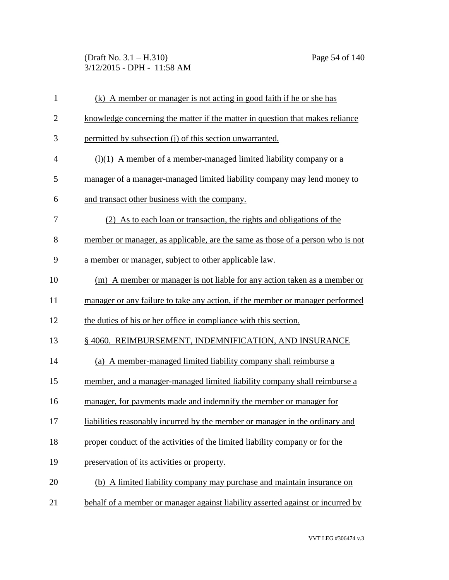(Draft No. 3.1 – H.310) Page 54 of 140 3/12/2015 - DPH - 11:58 AM

| $\mathbf{1}$   | (k) A member or manager is not acting in good faith if he or she has            |
|----------------|---------------------------------------------------------------------------------|
| $\overline{2}$ | knowledge concerning the matter if the matter in question that makes reliance   |
| 3              | permitted by subsection (j) of this section unwarranted.                        |
| $\overline{4}$ | $(1)(1)$ A member of a member-managed limited liability company or a            |
| 5              | manager of a manager-managed limited liability company may lend money to        |
| 6              | and transact other business with the company.                                   |
| 7              | (2) As to each loan or transaction, the rights and obligations of the           |
| 8              | member or manager, as applicable, are the same as those of a person who is not  |
| 9              | a member or manager, subject to other applicable law.                           |
| 10             | (m) A member or manager is not liable for any action taken as a member or       |
| 11             | manager or any failure to take any action, if the member or manager performed   |
| 12             | the duties of his or her office in compliance with this section.                |
| 13             | § 4060. REIMBURSEMENT, INDEMNIFICATION, AND INSURANCE                           |
| 14             | (a) A member-managed limited liability company shall reimburse a                |
| 15             | member, and a manager-managed limited liability company shall reimburse a       |
| 16             | manager, for payments made and indemnify the member or manager for              |
| 17             | liabilities reasonably incurred by the member or manager in the ordinary and    |
| 18             | proper conduct of the activities of the limited liability company or for the    |
| 19             | preservation of its activities or property.                                     |
| 20             | (b) A limited liability company may purchase and maintain insurance on          |
| 21             | behalf of a member or manager against liability asserted against or incurred by |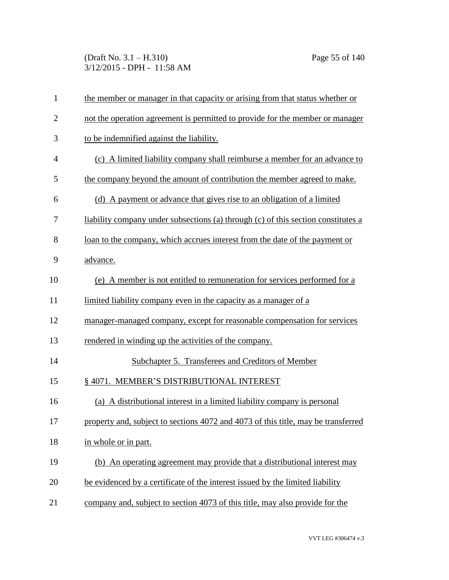(Draft No. 3.1 – H.310) Page 55 of 140 3/12/2015 - DPH - 11:58 AM

| $\mathbf{1}$   | the member or manager in that capacity or arising from that status whether or     |
|----------------|-----------------------------------------------------------------------------------|
| $\overline{2}$ | not the operation agreement is permitted to provide for the member or manager     |
| 3              | to be indemnified against the liability.                                          |
| $\overline{4}$ | (c) A limited liability company shall reimburse a member for an advance to        |
| 5              | the company beyond the amount of contribution the member agreed to make.          |
| 6              | (d) A payment or advance that gives rise to an obligation of a limited            |
| 7              | liability company under subsections (a) through (c) of this section constitutes a |
| 8              | loan to the company, which accrues interest from the date of the payment or       |
| 9              | advance.                                                                          |
| 10             | (e) A member is not entitled to remuneration for services performed for a         |
| 11             | limited liability company even in the capacity as a manager of a                  |
| 12             | manager-managed company, except for reasonable compensation for services          |
| 13             | rendered in winding up the activities of the company.                             |
| 14             | Subchapter 5. Transferees and Creditors of Member                                 |
| 15             | § 4071. MEMBER'S DISTRIBUTIONAL INTEREST                                          |
| 16             | (a) A distributional interest in a limited liability company is personal          |
| 17             | property and, subject to sections 4072 and 4073 of this title, may be transferred |
| 18             | in whole or in part.                                                              |
| 19             | (b) An operating agreement may provide that a distributional interest may         |
| 20             | be evidenced by a certificate of the interest issued by the limited liability     |
| 21             | company and, subject to section 4073 of this title, may also provide for the      |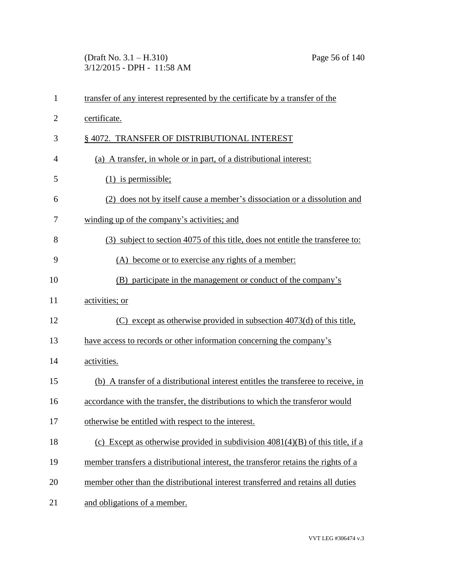(Draft No. 3.1 – H.310) Page 56 of 140 3/12/2015 - DPH - 11:58 AM

| $\mathbf{1}$   | transfer of any interest represented by the certificate by a transfer of the       |
|----------------|------------------------------------------------------------------------------------|
| $\overline{2}$ | certificate.                                                                       |
| 3              | § 4072. TRANSFER OF DISTRIBUTIONAL INTEREST                                        |
| $\overline{4}$ | (a) A transfer, in whole or in part, of a distributional interest:                 |
| 5              | $(1)$ is permissible;                                                              |
| 6              | (2) does not by itself cause a member's dissociation or a dissolution and          |
| 7              | winding up of the company's activities; and                                        |
| 8              | (3) subject to section 4075 of this title, does not entitle the transferee to:     |
| 9              | (A) become or to exercise any rights of a member:                                  |
| 10             | (B) participate in the management or conduct of the company's                      |
| 11             | activities; or                                                                     |
| 12             | $(C)$ except as otherwise provided in subsection 4073(d) of this title,            |
| 13             | have access to records or other information concerning the company's               |
| 14             | activities.                                                                        |
| 15             | (b) A transfer of a distributional interest entitles the transferee to receive, in |
| 16             | accordance with the transfer, the distributions to which the transferor would      |
| 17             | otherwise be entitled with respect to the interest.                                |
| 18             | (c) Except as otherwise provided in subdivision $4081(4)(B)$ of this title, if a   |
| 19             | member transfers a distributional interest, the transferor retains the rights of a |
| 20             | member other than the distributional interest transferred and retains all duties   |
| 21             | and obligations of a member.                                                       |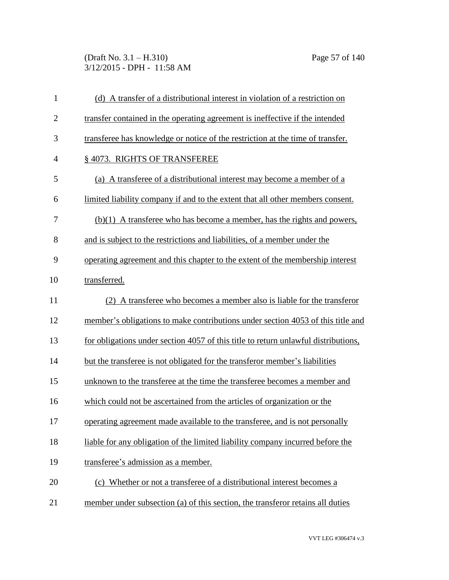(Draft No. 3.1 – H.310) Page 57 of 140 3/12/2015 - DPH - 11:58 AM

| 1              | (d) A transfer of a distributional interest in violation of a restriction on       |
|----------------|------------------------------------------------------------------------------------|
| $\overline{c}$ | transfer contained in the operating agreement is ineffective if the intended       |
| 3              | transferee has knowledge or notice of the restriction at the time of transfer.     |
| 4              | § 4073. RIGHTS OF TRANSFEREE                                                       |
| 5              | (a) A transferee of a distributional interest may become a member of a             |
| 6              | limited liability company if and to the extent that all other members consent.     |
| 7              | $(b)(1)$ A transferee who has become a member, has the rights and powers,          |
| 8              | and is subject to the restrictions and liabilities, of a member under the          |
| 9              | operating agreement and this chapter to the extent of the membership interest      |
| 10             | transferred.                                                                       |
| 11             | (2) A transferee who becomes a member also is liable for the transferor            |
| 12             | member's obligations to make contributions under section 4053 of this title and    |
| 13             | for obligations under section 4057 of this title to return unlawful distributions, |
| 14             | but the transferee is not obligated for the transferor member's liabilities        |
| 15             | unknown to the transferee at the time the transferee becomes a member and          |
| 16             | which could not be ascertained from the articles of organization or the            |
| 17             | operating agreement made available to the transferee, and is not personally        |
| 18             | liable for any obligation of the limited liability company incurred before the     |
| 19             | transferee's admission as a member.                                                |
| 20             | (c) Whether or not a transferee of a distributional interest becomes a             |
| 21             | member under subsection (a) of this section, the transferor retains all duties     |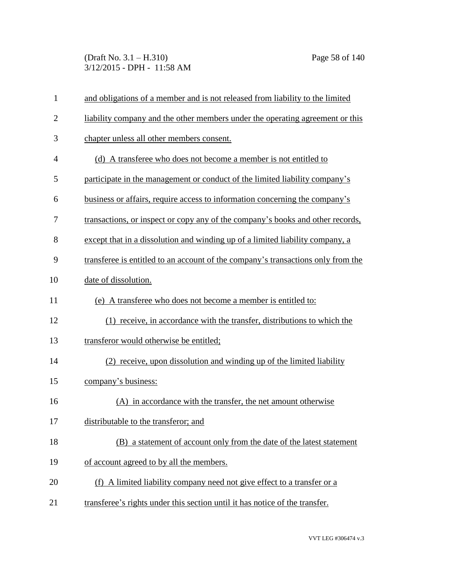(Draft No. 3.1 – H.310) Page 58 of 140 3/12/2015 - DPH - 11:58 AM

| $\mathbf{1}$   | and obligations of a member and is not released from liability to the limited    |
|----------------|----------------------------------------------------------------------------------|
| $\overline{2}$ | liability company and the other members under the operating agreement or this    |
| 3              | chapter unless all other members consent.                                        |
| $\overline{4}$ | (d) A transferee who does not become a member is not entitled to                 |
| 5              | participate in the management or conduct of the limited liability company's      |
| 6              | business or affairs, require access to information concerning the company's      |
| 7              | transactions, or inspect or copy any of the company's books and other records,   |
| 8              | except that in a dissolution and winding up of a limited liability company, a    |
| 9              | transferee is entitled to an account of the company's transactions only from the |
| 10             | date of dissolution.                                                             |
| 11             | (e) A transferee who does not become a member is entitled to:                    |
| 12             | (1) receive, in accordance with the transfer, distributions to which the         |
| 13             | transferor would otherwise be entitled;                                          |
| 14             | (2) receive, upon dissolution and winding up of the limited liability            |
| 15             | company's business:                                                              |
| 16             | (A) in accordance with the transfer, the net amount otherwise                    |
| 17             | distributable to the transferor; and                                             |
| 18             | (B) a statement of account only from the date of the latest statement            |
| 19             | of account agreed to by all the members.                                         |
| 20             | (f) A limited liability company need not give effect to a transfer or a          |
| 21             | transferee's rights under this section until it has notice of the transfer.      |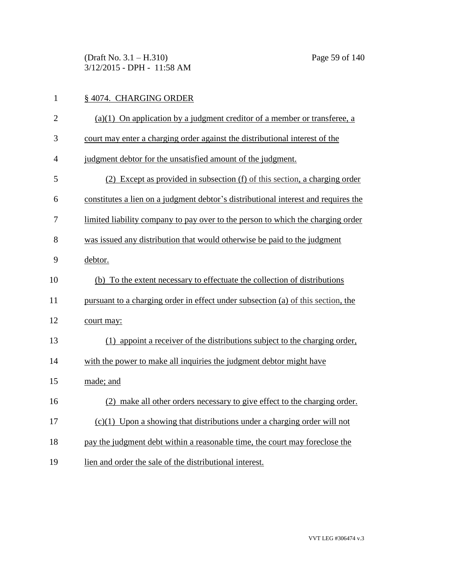(Draft No. 3.1 – H.310) Page 59 of 140 3/12/2015 - DPH - 11:58 AM

# 1 § 4074. CHARGING ORDER

| $\overline{2}$ | $(a)(1)$ On application by a judgment creditor of a member or transferee, a        |
|----------------|------------------------------------------------------------------------------------|
| 3              | court may enter a charging order against the distributional interest of the        |
| 4              | judgment debtor for the unsatisfied amount of the judgment.                        |
| 5              | (2) Except as provided in subsection (f) of this section, a charging order         |
| 6              | constitutes a lien on a judgment debtor's distributional interest and requires the |
| 7              | limited liability company to pay over to the person to which the charging order    |
| 8              | was issued any distribution that would otherwise be paid to the judgment           |
| 9              | debtor.                                                                            |
| 10             | (b) To the extent necessary to effectuate the collection of distributions          |
| 11             | pursuant to a charging order in effect under subsection (a) of this section, the   |
| 12             | court may:                                                                         |
| 13             | (1) appoint a receiver of the distributions subject to the charging order,         |
| 14             | with the power to make all inquiries the judgment debtor might have                |
| 15             | made; and                                                                          |
| 16             | (2) make all other orders necessary to give effect to the charging order.          |
| 17             | $(c)(1)$ Upon a showing that distributions under a charging order will not         |
| 18             | pay the judgment debt within a reasonable time, the court may foreclose the        |
| 19             | lien and order the sale of the distributional interest.                            |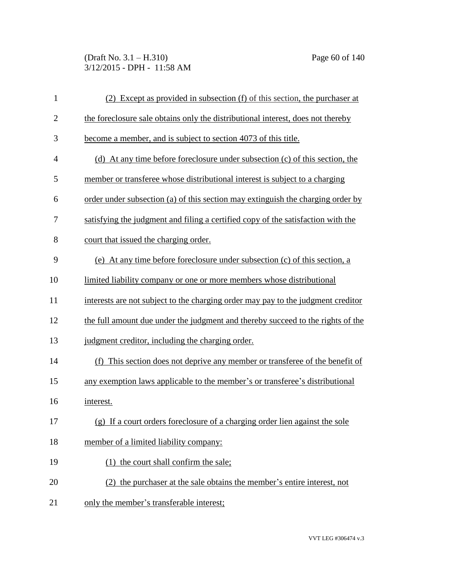(Draft No. 3.1 – H.310) Page 60 of 140 3/12/2015 - DPH - 11:58 AM

| $\mathbf{1}$   | (2) Except as provided in subsection (f) of this section, the purchaser at       |
|----------------|----------------------------------------------------------------------------------|
| $\overline{2}$ | the foreclosure sale obtains only the distributional interest, does not thereby  |
| 3              | become a member, and is subject to section 4073 of this title.                   |
| $\overline{4}$ | (d) At any time before foreclosure under subsection (c) of this section, the     |
| 5              | member or transferee whose distributional interest is subject to a charging      |
| 6              | order under subsection (a) of this section may extinguish the charging order by  |
| 7              | satisfying the judgment and filing a certified copy of the satisfaction with the |
| 8              | court that issued the charging order.                                            |
| 9              | (e) At any time before foreclosure under subsection (c) of this section, a       |
| 10             | limited liability company or one or more members whose distributional            |
| 11             | interests are not subject to the charging order may pay to the judgment creditor |
| 12             | the full amount due under the judgment and thereby succeed to the rights of the  |
| 13             | judgment creditor, including the charging order.                                 |
| 14             | (f) This section does not deprive any member or transferee of the benefit of     |
| 15             | any exemption laws applicable to the member's or transferee's distributional     |
| 16             | interest.                                                                        |
| 17             | (g) If a court orders foreclosure of a charging order lien against the sole      |
| 18             | member of a limited liability company:                                           |
| 19             | (1) the court shall confirm the sale;                                            |
| 20             | (2) the purchaser at the sale obtains the member's entire interest, not          |
| 21             | only the member's transferable interest;                                         |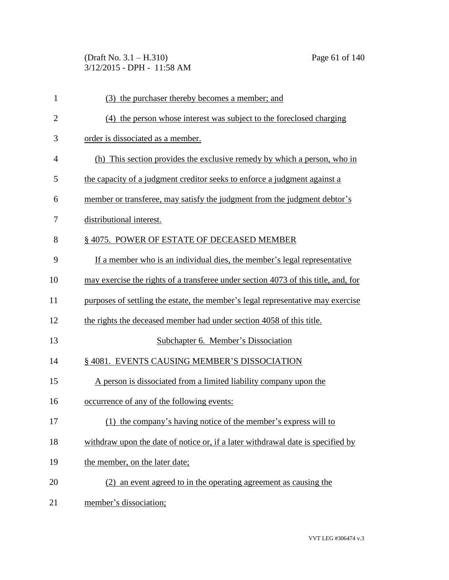(Draft No. 3.1 – H.310) Page 61 of 140 3/12/2015 - DPH - 11:58 AM

| $\mathbf{1}$ | (3) the purchaser thereby becomes a member; and                                    |
|--------------|------------------------------------------------------------------------------------|
| $\mathbf{2}$ | (4) the person whose interest was subject to the foreclosed charging               |
| 3            | order is dissociated as a member.                                                  |
| 4            | (h) This section provides the exclusive remedy by which a person, who in           |
| 5            | the capacity of a judgment creditor seeks to enforce a judgment against a          |
| 6            | member or transferee, may satisfy the judgment from the judgment debtor's          |
| 7            | distributional interest.                                                           |
| 8            | §4075. POWER OF ESTATE OF DECEASED MEMBER                                          |
| 9            | If a member who is an individual dies, the member's legal representative           |
| 10           | may exercise the rights of a transferee under section 4073 of this title, and, for |
| 11           | purposes of settling the estate, the member's legal representative may exercise    |
| 12           | the rights the deceased member had under section 4058 of this title.               |
| 13           | Subchapter 6. Member's Dissociation                                                |
| 14           | § 4081. EVENTS CAUSING MEMBER'S DISSOCIATION                                       |
| 15           | A person is dissociated from a limited liability company upon the                  |
| 16           | occurrence of any of the following events:                                         |
| 17           | (1) the company's having notice of the member's express will to                    |
| 18           | withdraw upon the date of notice or, if a later withdrawal date is specified by    |
| 19           | the member, on the later date;                                                     |
| 20           | (2) an event agreed to in the operating agreement as causing the                   |
| 21           | member's dissociation;                                                             |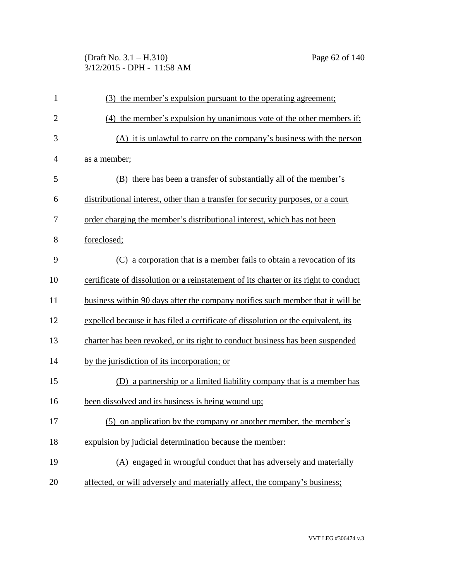## (Draft No. 3.1 – H.310) Page 62 of 140 3/12/2015 - DPH - 11:58 AM

| $\mathbf{1}$   | (3) the member's expulsion pursuant to the operating agreement;                      |
|----------------|--------------------------------------------------------------------------------------|
| $\overline{2}$ | (4) the member's expulsion by unanimous vote of the other members if:                |
| 3              | (A) it is unlawful to carry on the company's business with the person                |
| 4              | as a member;                                                                         |
| 5              | (B) there has been a transfer of substantially all of the member's                   |
| 6              | distributional interest, other than a transfer for security purposes, or a court     |
| 7              | order charging the member's distributional interest, which has not been              |
| 8              | foreclosed;                                                                          |
| 9              | (C) a corporation that is a member fails to obtain a revocation of its               |
| 10             | certificate of dissolution or a reinstatement of its charter or its right to conduct |
| 11             | business within 90 days after the company notifies such member that it will be       |
| 12             | expelled because it has filed a certificate of dissolution or the equivalent, its    |
| 13             | charter has been revoked, or its right to conduct business has been suspended        |
| 14             | by the jurisdiction of its incorporation; or                                         |
| 15             | (D) a partnership or a limited liability company that is a member has                |
| 16             | been dissolved and its business is being wound up;                                   |
| 17             | (5) on application by the company or another member, the member's                    |
| 18             | expulsion by judicial determination because the member:                              |
| 19             | (A) engaged in wrongful conduct that has adversely and materially                    |
| 20             | affected, or will adversely and materially affect, the company's business;           |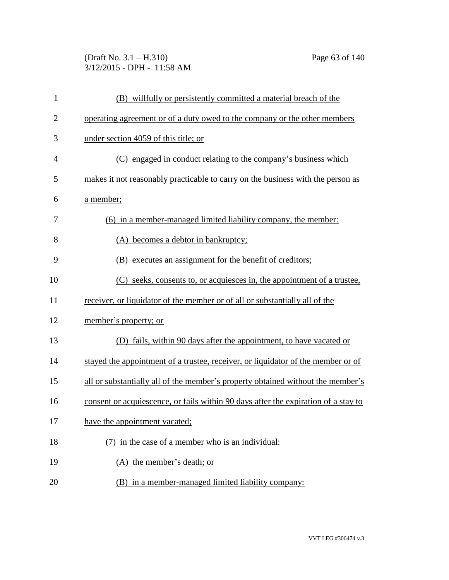(Draft No. 3.1 – H.310) Page 63 of 140 3/12/2015 - DPH - 11:58 AM

| $\mathbf{1}$   | (B) willfully or persistently committed a material breach of the                   |
|----------------|------------------------------------------------------------------------------------|
| $\overline{c}$ | operating agreement or of a duty owed to the company or the other members          |
| 3              | under section 4059 of this title; or                                               |
| $\overline{4}$ | (C) engaged in conduct relating to the company's business which                    |
| 5              | makes it not reasonably practicable to carry on the business with the person as    |
| 6              | a member;                                                                          |
| 7              | (6) in a member-managed limited liability company, the member:                     |
| 8              | (A) becomes a debtor in bankruptcy;                                                |
| 9              | (B) executes an assignment for the benefit of creditors;                           |
| 10             | (C) seeks, consents to, or acquiesces in, the appointment of a trustee,            |
| 11             | receiver, or liquidator of the member or of all or substantially all of the        |
| 12             | member's property; or                                                              |
| 13             | (D) fails, within 90 days after the appointment, to have vacated or                |
| 14             | stayed the appointment of a trustee, receiver, or liquidator of the member or of   |
| 15             | all or substantially all of the member's property obtained without the member's    |
| 16             | consent or acquiescence, or fails within 90 days after the expiration of a stay to |
| 17             | have the appointment vacated;                                                      |
| 18             | (7) in the case of a member who is an individual:                                  |
| 19             | (A) the member's death; or                                                         |
| 20             | (B) in a member-managed limited liability company:                                 |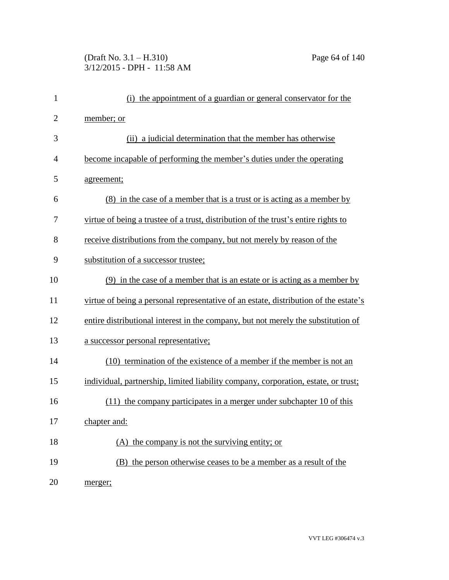# (Draft No. 3.1 – H.310) Page 64 of 140 3/12/2015 - DPH - 11:58 AM

| 1              | (i) the appointment of a guardian or general conservator for the                     |
|----------------|--------------------------------------------------------------------------------------|
| $\overline{2}$ | member; or                                                                           |
| 3              | (ii) a judicial determination that the member has otherwise                          |
| $\overline{4}$ | become incapable of performing the member's duties under the operating               |
| 5              | agreement;                                                                           |
| 6              | (8) in the case of a member that is a trust or is acting as a member by              |
| 7              | virtue of being a trustee of a trust, distribution of the trust's entire rights to   |
| 8              | receive distributions from the company, but not merely by reason of the              |
| 9              | substitution of a successor trustee;                                                 |
| 10             | $(9)$ in the case of a member that is an estate or is acting as a member by          |
| 11             | virtue of being a personal representative of an estate, distribution of the estate's |
| 12             | entire distributional interest in the company, but not merely the substitution of    |
| 13             | a successor personal representative;                                                 |
| 14             | (10) termination of the existence of a member if the member is not an                |
| 15             | individual, partnership, limited liability company, corporation, estate, or trust;   |
| 16             | $(11)$ the company participates in a merger under subchapter 10 of this              |
| 17             | chapter and:                                                                         |
| 18             | (A) the company is not the surviving entity; or                                      |
| 19             | (B) the person otherwise ceases to be a member as a result of the                    |
| 20             | merger;                                                                              |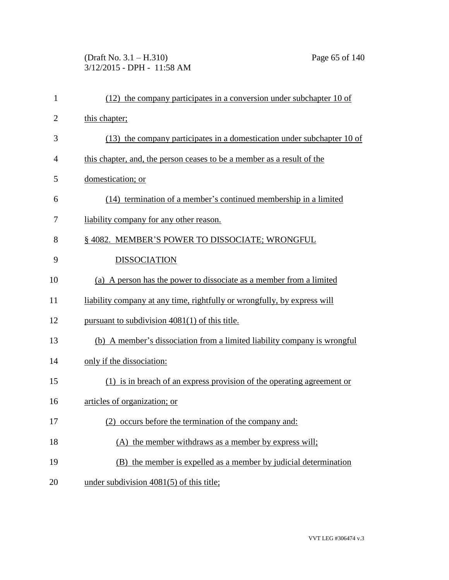(Draft No. 3.1 – H.310) Page 65 of 140 3/12/2015 - DPH - 11:58 AM

| $\mathbf{1}$   | $(12)$ the company participates in a conversion under subchapter 10 of    |
|----------------|---------------------------------------------------------------------------|
| $\overline{2}$ | this chapter;                                                             |
| 3              | $(13)$ the company participates in a domestication under subchapter 10 of |
| 4              | this chapter, and, the person ceases to be a member as a result of the    |
| 5              | domestication; or                                                         |
| 6              | (14) termination of a member's continued membership in a limited          |
| 7              | liability company for any other reason.                                   |
| 8              | § 4082. MEMBER'S POWER TO DISSOCIATE; WRONGFUL                            |
| 9              | <b>DISSOCIATION</b>                                                       |
| 10             | (a) A person has the power to dissociate as a member from a limited       |
| 11             | liability company at any time, rightfully or wrongfully, by express will  |
| 12             | pursuant to subdivision $4081(1)$ of this title.                          |
| 13             | (b) A member's dissociation from a limited liability company is wrongful  |
| 14             | only if the dissociation:                                                 |
| 15             | (1) is in breach of an express provision of the operating agreement or    |
| 16             | articles of organization; or                                              |
| 17             | (2) occurs before the termination of the company and:                     |
| 18             | (A) the member withdraws as a member by express will;                     |
| 19             | (B) the member is expelled as a member by judicial determination          |
| 20             | under subdivision $4081(5)$ of this title;                                |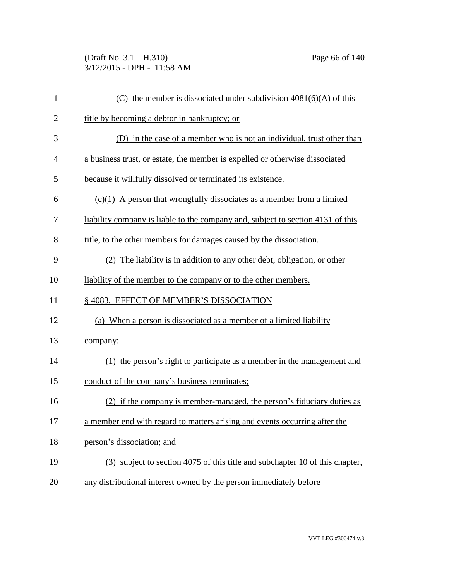(Draft No. 3.1 – H.310) Page 66 of 140 3/12/2015 - DPH - 11:58 AM

| $\mathbf{1}$   | (C) the member is dissociated under subdivision $4081(6)(A)$ of this                   |
|----------------|----------------------------------------------------------------------------------------|
| $\overline{2}$ | title by becoming a debtor in bankruptcy; or                                           |
| 3              | (D) in the case of a member who is not an individual, trust other than                 |
| 4              | a business trust, or estate, the member is expelled or otherwise dissociated           |
| 5              | because it willfully dissolved or terminated its existence.                            |
| 6              | $(c)(1)$ A person that wrongfully dissociates as a member from a limited               |
| 7              | <u>liability company is liable to the company and, subject to section 4131 of this</u> |
| 8              | title, to the other members for damages caused by the dissociation.                    |
| 9              | (2) The liability is in addition to any other debt, obligation, or other               |
| 10             | liability of the member to the company or to the other members.                        |
| 11             | §4083. EFFECT OF MEMBER'S DISSOCIATION                                                 |
| 12             | (a) When a person is dissociated as a member of a limited liability                    |
| 13             | company:                                                                               |
| 14             | (1) the person's right to participate as a member in the management and                |
| 15             | conduct of the company's business terminates;                                          |
| 16             | (2) if the company is member-managed, the person's fiduciary duties as                 |
| 17             | a member end with regard to matters arising and events occurring after the             |
| 18             | person's dissociation; and                                                             |
| 19             | (3) subject to section 4075 of this title and subchapter 10 of this chapter,           |
| 20             | any distributional interest owned by the person immediately before                     |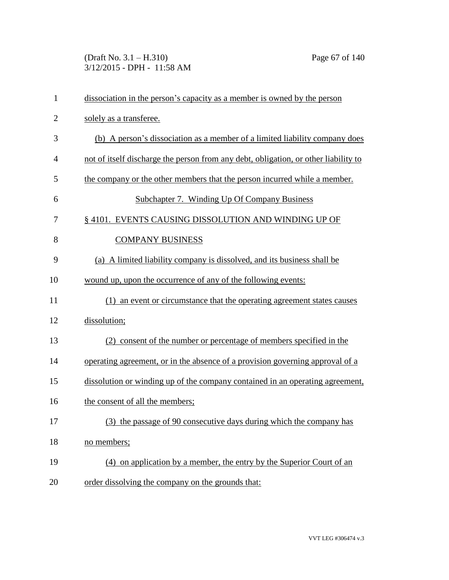(Draft No. 3.1 – H.310) Page 67 of 140 3/12/2015 - DPH - 11:58 AM

| $\mathbf{1}$   | dissociation in the person's capacity as a member is owned by the person            |
|----------------|-------------------------------------------------------------------------------------|
| $\overline{2}$ | solely as a transferee.                                                             |
| 3              | (b) A person's dissociation as a member of a limited liability company does         |
| $\overline{4}$ | not of itself discharge the person from any debt, obligation, or other liability to |
| 5              | the company or the other members that the person incurred while a member.           |
| 6              | Subchapter 7. Winding Up Of Company Business                                        |
| 7              | § 4101. EVENTS CAUSING DISSOLUTION AND WINDING UP OF                                |
| 8              | <b>COMPANY BUSINESS</b>                                                             |
| 9              | (a) A limited liability company is dissolved, and its business shall be             |
| 10             | wound up, upon the occurrence of any of the following events:                       |
| 11             | (1) an event or circumstance that the operating agreement states causes             |
| 12             | dissolution;                                                                        |
| 13             | (2) consent of the number or percentage of members specified in the                 |
| 14             | operating agreement, or in the absence of a provision governing approval of a       |
| 15             | dissolution or winding up of the company contained in an operating agreement,       |
| 16             | the consent of all the members;                                                     |
| 17             | (3) the passage of 90 consecutive days during which the company has                 |
| 18             | no members;                                                                         |
| 19             | (4) on application by a member, the entry by the Superior Court of an               |
| 20             | order dissolving the company on the grounds that:                                   |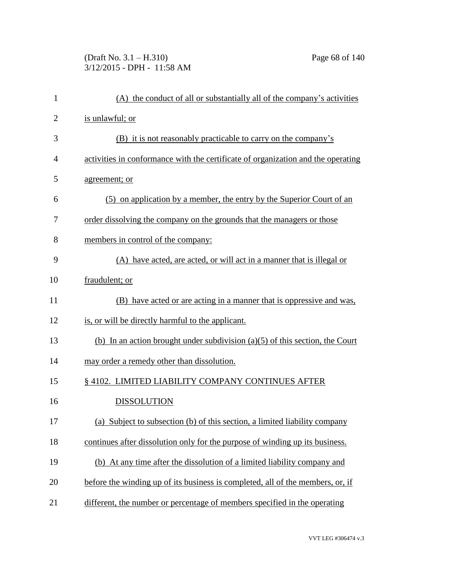(Draft No. 3.1 – H.310) Page 68 of 140 3/12/2015 - DPH - 11:58 AM

| $\mathbf{1}$   | (A) the conduct of all or substantially all of the company's activities          |
|----------------|----------------------------------------------------------------------------------|
| $\overline{2}$ | is unlawful; or                                                                  |
| 3              | (B) it is not reasonably practicable to carry on the company's                   |
| 4              | activities in conformance with the certificate of organization and the operating |
| 5              | agreement; or                                                                    |
| 6              | (5) on application by a member, the entry by the Superior Court of an            |
| 7              | order dissolving the company on the grounds that the managers or those           |
| 8              | members in control of the company:                                               |
| 9              | (A) have acted, are acted, or will act in a manner that is illegal or            |
| 10             | fraudulent; or                                                                   |
| 11             | (B) have acted or are acting in a manner that is oppressive and was.             |
| 12             | is, or will be directly harmful to the applicant.                                |
| 13             | (b) In an action brought under subdivision $(a)(5)$ of this section, the Court   |
| 14             | may order a remedy other than dissolution.                                       |
| 15             | §4102. LIMITED LIABILITY COMPANY CONTINUES AFTER                                 |
| 16             | <b>DISSOLUTION</b>                                                               |
| 17             | (a) Subject to subsection (b) of this section, a limited liability company       |
| 18             | continues after dissolution only for the purpose of winding up its business.     |
| 19             | (b) At any time after the dissolution of a limited liability company and         |
| 20             | before the winding up of its business is completed, all of the members, or, if   |
| 21             | different, the number or percentage of members specified in the operating        |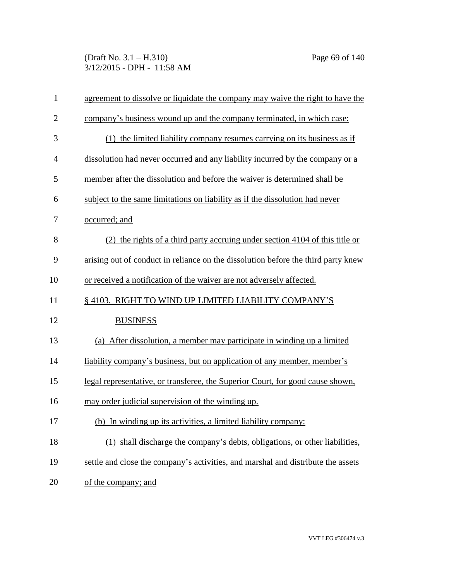(Draft No. 3.1 – H.310) Page 69 of 140 3/12/2015 - DPH - 11:58 AM

| $\mathbf{1}$   | agreement to dissolve or liquidate the company may waive the right to have the    |
|----------------|-----------------------------------------------------------------------------------|
| $\overline{2}$ | company's business wound up and the company terminated, in which case:            |
| 3              | (1) the limited liability company resumes carrying on its business as if          |
| $\overline{4}$ | dissolution had never occurred and any liability incurred by the company or a     |
| 5              | member after the dissolution and before the waiver is determined shall be         |
| 6              | subject to the same limitations on liability as if the dissolution had never      |
| 7              | occurred; and                                                                     |
| 8              | (2) the rights of a third party accruing under section 4104 of this title or      |
| 9              | arising out of conduct in reliance on the dissolution before the third party knew |
| 10             | or received a notification of the waiver are not adversely affected.              |
| 11             | §4103. RIGHT TO WIND UP LIMITED LIABILITY COMPANY'S                               |
| 12             | <b>BUSINESS</b>                                                                   |
| 13             | (a) After dissolution, a member may participate in winding up a limited           |
| 14             | liability company's business, but on application of any member, member's          |
| 15             | legal representative, or transferee, the Superior Court, for good cause shown,    |
| 16             | may order judicial supervision of the winding up.                                 |
| 17             | (b) In winding up its activities, a limited liability company:                    |
| 18             | (1) shall discharge the company's debts, obligations, or other liabilities,       |
| 19             | settle and close the company's activities, and marshal and distribute the assets  |
| 20             | of the company; and                                                               |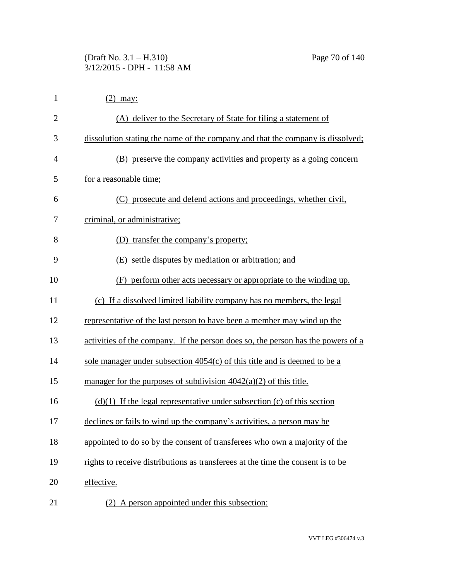| $\mathbf{1}$   | $(2)$ may:                                                                       |
|----------------|----------------------------------------------------------------------------------|
| $\overline{2}$ | (A) deliver to the Secretary of State for filing a statement of                  |
| 3              | dissolution stating the name of the company and that the company is dissolved;   |
| 4              | (B) preserve the company activities and property as a going concern              |
| 5              | for a reasonable time;                                                           |
| 6              | (C) prosecute and defend actions and proceedings, whether civil,                 |
| 7              | criminal, or administrative;                                                     |
| 8              | (D) transfer the company's property;                                             |
| 9              | (E) settle disputes by mediation or arbitration; and                             |
| 10             | (F) perform other acts necessary or appropriate to the winding up.               |
| 11             | (c) If a dissolved limited liability company has no members, the legal           |
| 12             | representative of the last person to have been a member may wind up the          |
| 13             | activities of the company. If the person does so, the person has the powers of a |
| 14             | sole manager under subsection $4054(c)$ of this title and is deemed to be a      |
| 15             | manager for the purposes of subdivision $4042(a)(2)$ of this title.              |
| 16             | $(d)(1)$ If the legal representative under subsection (c) of this section        |
| 17             | declines or fails to wind up the company's activities, a person may be           |
| 18             | appointed to do so by the consent of transferees who own a majority of the       |
| 19             | rights to receive distributions as transferees at the time the consent is to be  |
| 20             | effective.                                                                       |
| 21             | A person appointed under this subsection:<br>(2)                                 |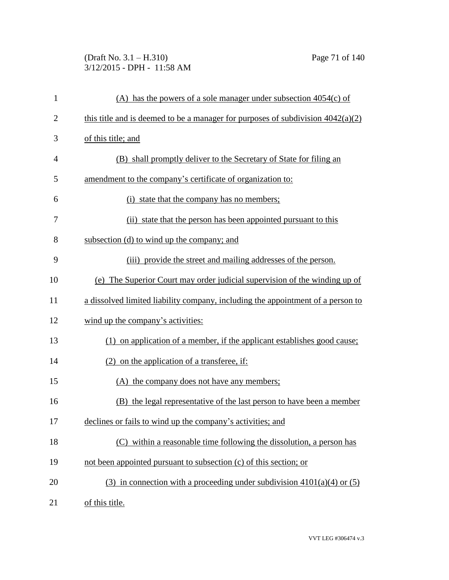## (Draft No. 3.1 – H.310) Page 71 of 140 3/12/2015 - DPH - 11:58 AM

| 1              | (A) has the powers of a sole manager under subsection $4054(c)$ of                |
|----------------|-----------------------------------------------------------------------------------|
| $\overline{2}$ | this title and is deemed to be a manager for purposes of subdivision $4042(a)(2)$ |
| 3              | of this title; and                                                                |
| $\overline{4}$ | (B) shall promptly deliver to the Secretary of State for filing an                |
| 5              | amendment to the company's certificate of organization to:                        |
| 6              | (i) state that the company has no members;                                        |
| 7              | (ii) state that the person has been appointed pursuant to this                    |
| 8              | subsection (d) to wind up the company; and                                        |
| 9              | (iii) provide the street and mailing addresses of the person.                     |
| 10             | (e) The Superior Court may order judicial supervision of the winding up of        |
| 11             | a dissolved limited liability company, including the appointment of a person to   |
| 12             | wind up the company's activities:                                                 |
| 13             | (1) on application of a member, if the applicant establishes good cause;          |
| 14             | $(2)$ on the application of a transferee, if:                                     |
| 15             | (A) the company does not have any members;                                        |
| 16             | (B) the legal representative of the last person to have been a member             |
| 17             | declines or fails to wind up the company's activities; and                        |
| 18             | (C) within a reasonable time following the dissolution, a person has              |
| 19             | not been appointed pursuant to subsection (c) of this section; or                 |
| 20             | (3) in connection with a proceeding under subdivision $4101(a)(4)$ or (5)         |
| 21             | of this title.                                                                    |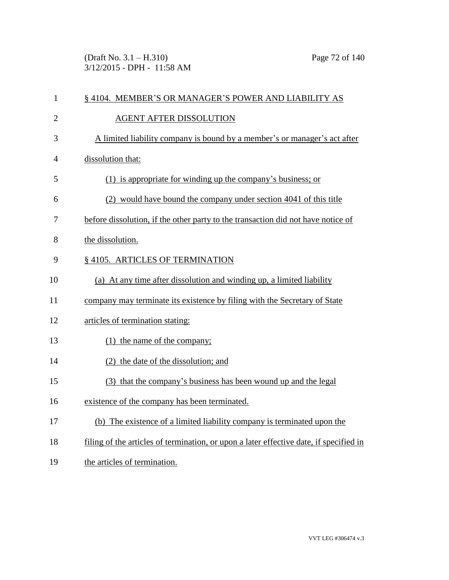(Draft No. 3.1 – H.310) Page 72 of 140 3/12/2015 - DPH - 11:58 AM

| $\mathbf{1}$   | § 4104. MEMBER'S OR MANAGER'S POWER AND LIABILITY AS                                   |
|----------------|----------------------------------------------------------------------------------------|
| $\overline{2}$ | <b>AGENT AFTER DISSOLUTION</b>                                                         |
| 3              | A limited liability company is bound by a member's or manager's act after              |
| $\overline{4}$ | dissolution that:                                                                      |
| 5              | (1) is appropriate for winding up the company's business; or                           |
| 6              | (2) would have bound the company under section 4041 of this title                      |
| 7              | before dissolution, if the other party to the transaction did not have notice of       |
| 8              | the dissolution.                                                                       |
| 9              | § 4105. ARTICLES OF TERMINATION                                                        |
| 10             | (a) At any time after dissolution and winding up, a limited liability                  |
| 11             | company may terminate its existence by filing with the Secretary of State              |
| 12             | articles of termination stating:                                                       |
| 13             | (1) the name of the company;                                                           |
| 14             | (2) the date of the dissolution; and                                                   |
| 15             | (3) that the company's business has been wound up and the legal                        |
| 16             | existence of the company has been terminated.                                          |
| 17             | (b) The existence of a limited liability company is terminated upon the                |
| 18             | filing of the articles of termination, or upon a later effective date, if specified in |
| 19             | the articles of termination.                                                           |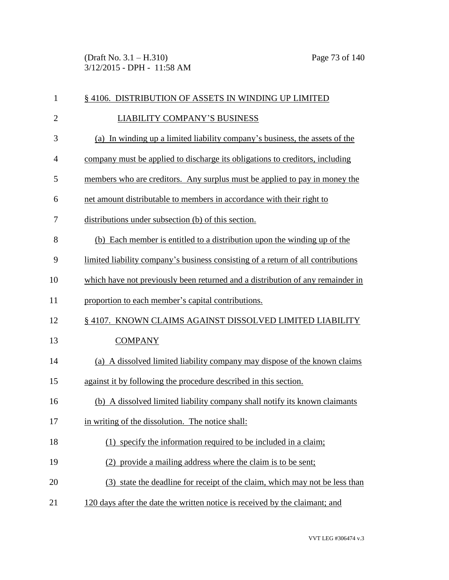(Draft No. 3.1 – H.310) Page 73 of 140 3/12/2015 - DPH - 11:58 AM

| $\mathbf{1}$   | § 4106. DISTRIBUTION OF ASSETS IN WINDING UP LIMITED                             |
|----------------|----------------------------------------------------------------------------------|
| $\overline{2}$ | <b>LIABILITY COMPANY'S BUSINESS</b>                                              |
| 3              | (a) In winding up a limited liability company's business, the assets of the      |
| $\overline{4}$ | company must be applied to discharge its obligations to creditors, including     |
| 5              | members who are creditors. Any surplus must be applied to pay in money the       |
| 6              | net amount distributable to members in accordance with their right to            |
| 7              | distributions under subsection (b) of this section.                              |
| 8              | (b) Each member is entitled to a distribution upon the winding up of the         |
| 9              | limited liability company's business consisting of a return of all contributions |
| 10             | which have not previously been returned and a distribution of any remainder in   |
| 11             | proportion to each member's capital contributions.                               |
| 12             | § 4107. KNOWN CLAIMS AGAINST DISSOLVED LIMITED LIABILITY                         |
| 13             | <b>COMPANY</b>                                                                   |
| 14             | (a) A dissolved limited liability company may dispose of the known claims        |
| 15             | against it by following the procedure described in this section.                 |
| 16             | (b) A dissolved limited liability company shall notify its known claimants       |
| 17             | in writing of the dissolution. The notice shall:                                 |
| 18             | (1) specify the information required to be included in a claim;                  |
| 19             | (2) provide a mailing address where the claim is to be sent;                     |
| 20             | (3) state the deadline for receipt of the claim, which may not be less than      |
| 21             | 120 days after the date the written notice is received by the claimant; and      |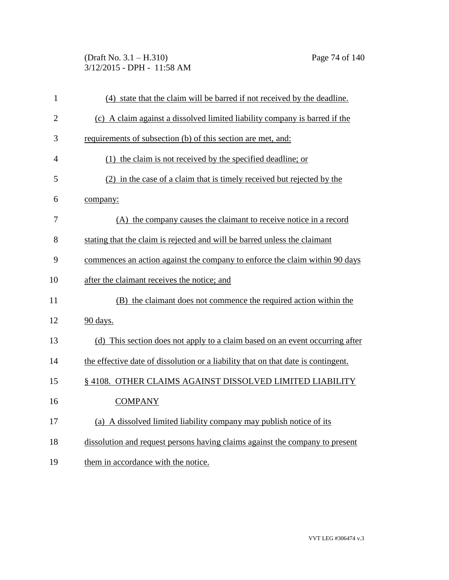(Draft No. 3.1 – H.310) Page 74 of 140 3/12/2015 - DPH - 11:58 AM

| $\mathbf{1}$   | (4) state that the claim will be barred if not received by the deadline.          |
|----------------|-----------------------------------------------------------------------------------|
| $\overline{2}$ | (c) A claim against a dissolved limited liability company is barred if the        |
| 3              | requirements of subsection (b) of this section are met, and:                      |
| $\overline{4}$ | (1) the claim is not received by the specified deadline; or                       |
| 5              | (2) in the case of a claim that is timely received but rejected by the            |
| 6              | company:                                                                          |
| 7              | (A) the company causes the claimant to receive notice in a record                 |
| 8              | stating that the claim is rejected and will be barred unless the claimant         |
| 9              | commences an action against the company to enforce the claim within 90 days       |
| 10             | after the claimant receives the notice; and                                       |
| 11             | (B) the claimant does not commence the required action within the                 |
| 12             | 90 days.                                                                          |
| 13             | (d) This section does not apply to a claim based on an event occurring after      |
| 14             | the effective date of dissolution or a liability that on that date is contingent. |
| 15             | § 4108. OTHER CLAIMS AGAINST DISSOLVED LIMITED LIABILITY                          |
| 16             | <b>COMPANY</b>                                                                    |
| 17             | (a) A dissolved limited liability company may publish notice of its               |
| 18             | dissolution and request persons having claims against the company to present      |
| 19             | them in accordance with the notice.                                               |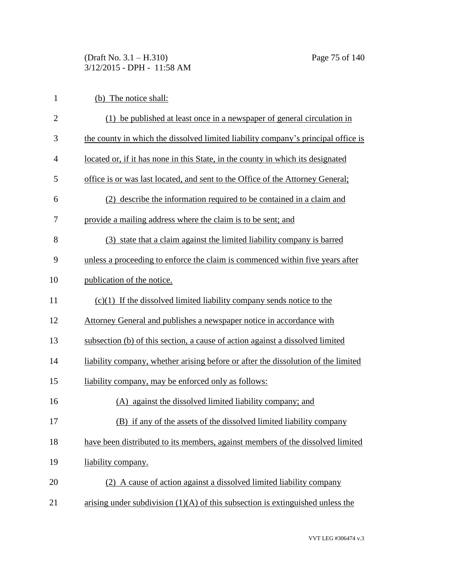(Draft No. 3.1 – H.310) Page 75 of 140 3/12/2015 - DPH - 11:58 AM

| 1              | (b) The notice shall:                                                             |
|----------------|-----------------------------------------------------------------------------------|
| $\mathbf{2}$   | (1) be published at least once in a newspaper of general circulation in           |
| 3              | the county in which the dissolved limited liability company's principal office is |
| $\overline{4}$ | located or, if it has none in this State, in the county in which its designated   |
| 5              | office is or was last located, and sent to the Office of the Attorney General;    |
| 6              | (2) describe the information required to be contained in a claim and              |
| 7              | provide a mailing address where the claim is to be sent; and                      |
| 8              | (3) state that a claim against the limited liability company is barred            |
| 9              | unless a proceeding to enforce the claim is commenced within five years after     |
| 10             | publication of the notice.                                                        |
| 11             | $(c)(1)$ If the dissolved limited liability company sends notice to the           |
| 12             | Attorney General and publishes a newspaper notice in accordance with              |
| 13             | subsection (b) of this section, a cause of action against a dissolved limited     |
| 14             | liability company, whether arising before or after the dissolution of the limited |
| 15             | liability company, may be enforced only as follows:                               |
| 16             | against the dissolved limited liability company; and<br>(A)                       |
| 17             | (B) if any of the assets of the dissolved limited liability company               |
| 18             | have been distributed to its members, against members of the dissolved limited    |
| 19             | liability company.                                                                |
| 20             | (2) A cause of action against a dissolved limited liability company               |
| 21             | arising under subdivision $(1)(A)$ of this subsection is extinguished unless the  |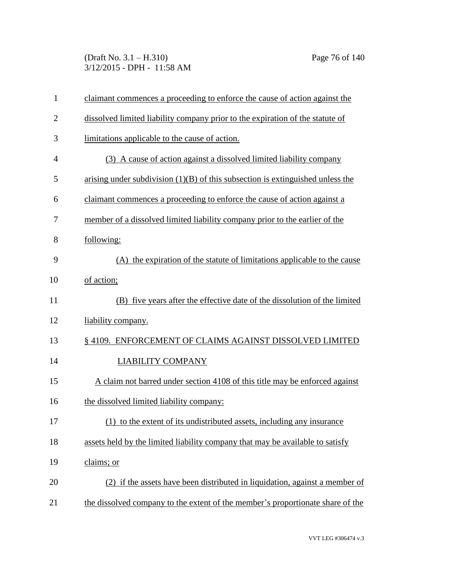(Draft No. 3.1 – H.310) Page 76 of 140 3/12/2015 - DPH - 11:58 AM

| 1              | claimant commences a proceeding to enforce the cause of action against the       |
|----------------|----------------------------------------------------------------------------------|
| $\overline{2}$ | dissolved limited liability company prior to the expiration of the statute of    |
| 3              | limitations applicable to the cause of action.                                   |
| $\overline{4}$ | (3) A cause of action against a dissolved limited liability company              |
| 5              | arising under subdivision $(1)(B)$ of this subsection is extinguished unless the |
| 6              | claimant commences a proceeding to enforce the cause of action against a         |
| 7              | member of a dissolved limited liability company prior to the earlier of the      |
| 8              | following:                                                                       |
| 9              | (A) the expiration of the statute of limitations applicable to the cause         |
| 10             | of action;                                                                       |
| 11             | (B) five years after the effective date of the dissolution of the limited        |
| 12             | liability company.                                                               |
| 13             | §4109. ENFORCEMENT OF CLAIMS AGAINST DISSOLVED LIMITED                           |
| 14             | <b>LIABILITY COMPANY</b>                                                         |
| 15             | A claim not barred under section 4108 of this title may be enforced against      |
| 16             | the dissolved limited liability company:                                         |
| 17             | (1) to the extent of its undistributed assets, including any insurance           |
| 18             | assets held by the limited liability company that may be available to satisfy    |
| 19             | claims; or                                                                       |
| 20             | (2) if the assets have been distributed in liquidation, against a member of      |
| 21             | the dissolved company to the extent of the member's proportionate share of the   |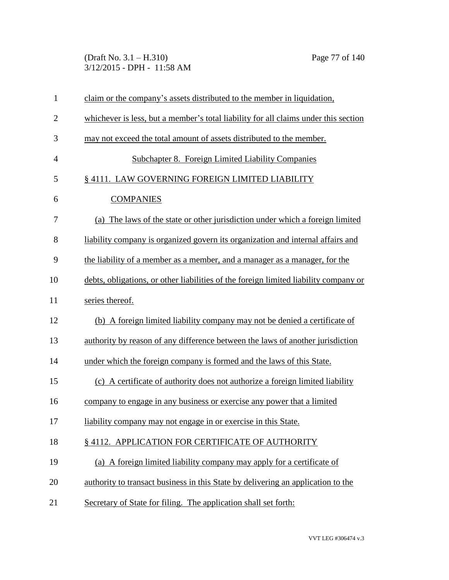(Draft No. 3.1 – H.310) Page 77 of 140 3/12/2015 - DPH - 11:58 AM

| $\mathbf{1}$   | claim or the company's assets distributed to the member in liquidation,              |
|----------------|--------------------------------------------------------------------------------------|
| $\overline{2}$ | whichever is less, but a member's total liability for all claims under this section  |
| 3              | may not exceed the total amount of assets distributed to the member.                 |
| $\overline{4}$ | <b>Subchapter 8. Foreign Limited Liability Companies</b>                             |
| 5              | § 4111. LAW GOVERNING FOREIGN LIMITED LIABILITY                                      |
| 6              | <b>COMPANIES</b>                                                                     |
| 7              | (a) The laws of the state or other jurisdiction under which a foreign limited        |
| 8              | liability company is organized govern its organization and internal affairs and      |
| 9              | the liability of a member as a member, and a manager as a manager, for the           |
| 10             | debts, obligations, or other liabilities of the foreign limited liability company or |
| 11             | series thereof.                                                                      |
| 12             | (b) A foreign limited liability company may not be denied a certificate of           |
| 13             | authority by reason of any difference between the laws of another jurisdiction       |
| 14             | under which the foreign company is formed and the laws of this State.                |
| 15             | (c) A certificate of authority does not authorize a foreign limited liability        |
| 16             | company to engage in any business or exercise any power that a limited               |
| 17             | liability company may not engage in or exercise in this State.                       |
| 18             | §4112. APPLICATION FOR CERTIFICATE OF AUTHORITY                                      |
| 19             | (a) A foreign limited liability company may apply for a certificate of               |
| 20             | authority to transact business in this State by delivering an application to the     |
| 21             | Secretary of State for filing. The application shall set forth:                      |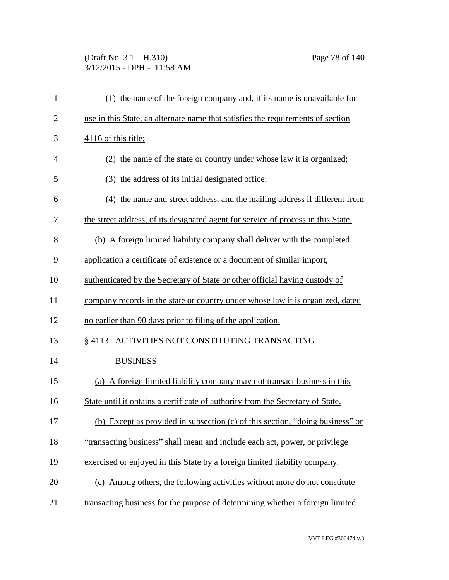# (Draft No. 3.1 – H.310) Page 78 of 140 3/12/2015 - DPH - 11:58 AM

| $\mathbf{1}$   | (1) the name of the foreign company and, if its name is unavailable for           |
|----------------|-----------------------------------------------------------------------------------|
| $\overline{2}$ | use in this State, an alternate name that satisfies the requirements of section   |
| 3              | 4116 of this title;                                                               |
| $\overline{4}$ | (2) the name of the state or country under whose law it is organized;             |
| 5              | (3) the address of its initial designated office;                                 |
| 6              | (4) the name and street address, and the mailing address if different from        |
| 7              | the street address, of its designated agent for service of process in this State. |
| 8              | (b) A foreign limited liability company shall deliver with the completed          |
| 9              | application a certificate of existence or a document of similar import,           |
| 10             | authenticated by the Secretary of State or other official having custody of       |
| 11             | company records in the state or country under whose law it is organized, dated    |
| 12             | no earlier than 90 days prior to filing of the application.                       |
| 13             | § 4113. ACTIVITIES NOT CONSTITUTING TRANSACTING                                   |
| 14             | <b>BUSINESS</b>                                                                   |
| 15             | (a) A foreign limited liability company may not transact business in this         |
| 16             | State until it obtains a certificate of authority from the Secretary of State.    |
| 17             | (b) Except as provided in subsection (c) of this section, "doing business" or     |
| 18             | "transacting business" shall mean and include each act, power, or privilege       |
| 19             | exercised or enjoyed in this State by a foreign limited liability company.        |
| 20             | (c) Among others, the following activities without more do not constitute         |
| 21             | transacting business for the purpose of determining whether a foreign limited     |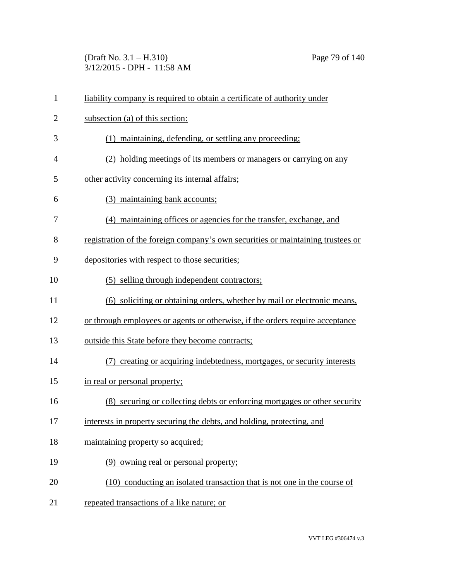(Draft No. 3.1 – H.310) Page 79 of 140 3/12/2015 - DPH - 11:58 AM

| $\mathbf{1}$   | liability company is required to obtain a certificate of authority under        |
|----------------|---------------------------------------------------------------------------------|
| $\overline{2}$ | subsection (a) of this section:                                                 |
| 3              | (1) maintaining, defending, or settling any proceeding;                         |
| $\overline{4}$ | (2) holding meetings of its members or managers or carrying on any              |
| 5              | other activity concerning its internal affairs;                                 |
| 6              | (3) maintaining bank accounts;                                                  |
| 7              | (4) maintaining offices or agencies for the transfer, exchange, and             |
| 8              | registration of the foreign company's own securities or maintaining trustees or |
| 9              | depositories with respect to those securities;                                  |
| 10             | (5) selling through independent contractors;                                    |
| 11             | (6) soliciting or obtaining orders, whether by mail or electronic means,        |
| 12             | or through employees or agents or otherwise, if the orders require acceptance   |
| 13             | outside this State before they become contracts;                                |
| 14             | (7) creating or acquiring indebtedness, mortgages, or security interests        |
| 15             | in real or personal property;                                                   |
| 16             | (8) securing or collecting debts or enforcing mortgages or other security       |
| 17             | interests in property securing the debts, and holding, protecting, and          |
| 18             | maintaining property so acquired;                                               |
| 19             | (9) owning real or personal property;                                           |
| 20             | (10) conducting an isolated transaction that is not one in the course of        |
| 21             | repeated transactions of a like nature; or                                      |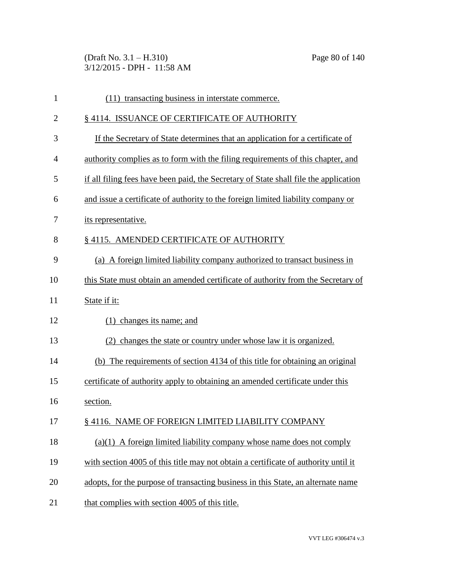(Draft No. 3.1 – H.310) Page 80 of 140 3/12/2015 - DPH - 11:58 AM

| $\mathbf{1}$   | (11) transacting business in interstate commerce.                                    |
|----------------|--------------------------------------------------------------------------------------|
| $\overline{2}$ | §4114. ISSUANCE OF CERTIFICATE OF AUTHORITY                                          |
| 3              | If the Secretary of State determines that an application for a certificate of        |
| 4              | authority complies as to form with the filing requirements of this chapter, and      |
| 5              | if all filing fees have been paid, the Secretary of State shall file the application |
| 6              | and issue a certificate of authority to the foreign limited liability company or     |
| 7              | its representative.                                                                  |
| 8              | §4115. AMENDED CERTIFICATE OF AUTHORITY                                              |
| 9              | (a) A foreign limited liability company authorized to transact business in           |
| 10             | this State must obtain an amended certificate of authority from the Secretary of     |
| 11             | State if it:                                                                         |
| 12             | $(1)$ changes its name; and                                                          |
| 13             | (2) changes the state or country under whose law it is organized.                    |
| 14             | (b) The requirements of section 4134 of this title for obtaining an original         |
| 15             | certificate of authority apply to obtaining an amended certificate under this        |
| 16             | section.                                                                             |
| 17             | § 4116. NAME OF FOREIGN LIMITED LIABILITY COMPANY                                    |
| 18             | $(a)(1)$ A foreign limited liability company whose name does not comply              |
| 19             | with section 4005 of this title may not obtain a certificate of authority until it   |
| 20             | adopts, for the purpose of transacting business in this State, an alternate name     |
| 21             | that complies with section 4005 of this title.                                       |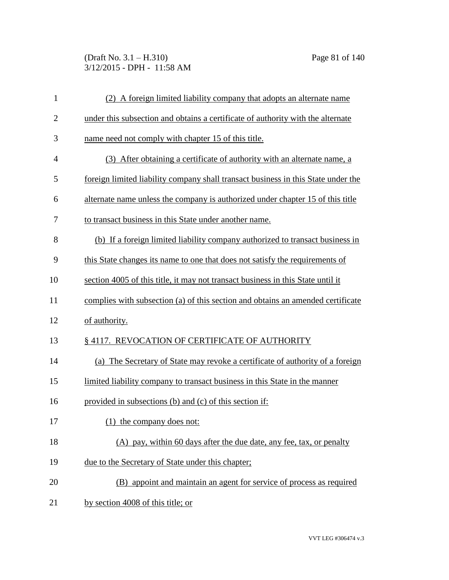(Draft No. 3.1 – H.310) Page 81 of 140 3/12/2015 - DPH - 11:58 AM

| $\mathbf{1}$   | (2) A foreign limited liability company that adopts an alternate name             |
|----------------|-----------------------------------------------------------------------------------|
| $\overline{2}$ | under this subsection and obtains a certificate of authority with the alternate   |
| 3              | name need not comply with chapter 15 of this title.                               |
| 4              | (3) After obtaining a certificate of authority with an alternate name, a          |
| 5              | foreign limited liability company shall transact business in this State under the |
| 6              | alternate name unless the company is authorized under chapter 15 of this title    |
| 7              | to transact business in this State under another name.                            |
| 8              | (b) If a foreign limited liability company authorized to transact business in     |
| 9              | this State changes its name to one that does not satisfy the requirements of      |
| 10             | section 4005 of this title, it may not transact business in this State until it   |
| 11             | complies with subsection (a) of this section and obtains an amended certificate   |
| 12             | of authority.                                                                     |
| 13             | §4117. REVOCATION OF CERTIFICATE OF AUTHORITY                                     |
| 14             | (a) The Secretary of State may revoke a certificate of authority of a foreign     |
| 15             | limited liability company to transact business in this State in the manner        |
| 16             | provided in subsections (b) and (c) of this section if:                           |
| 17             | the company does not:                                                             |
| 18             | (A) pay, within 60 days after the due date, any fee, tax, or penalty              |
| 19             | due to the Secretary of State under this chapter;                                 |
| 20             | (B) appoint and maintain an agent for service of process as required              |
| 21             | by section 4008 of this title; or                                                 |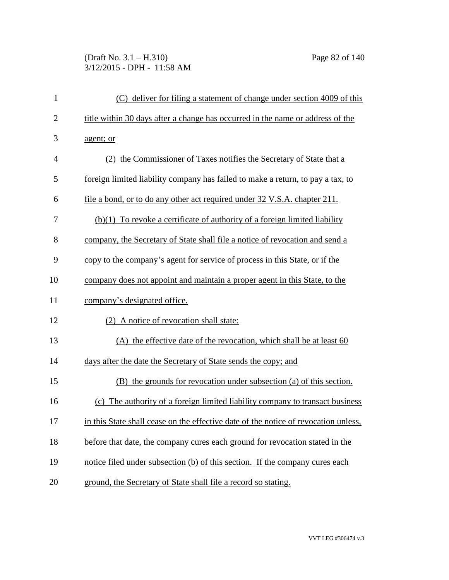# (Draft No. 3.1 – H.310) Page 82 of 140 3/12/2015 - DPH - 11:58 AM

| $\mathbf{1}$   | (C) deliver for filing a statement of change under section 4009 of this             |
|----------------|-------------------------------------------------------------------------------------|
| $\overline{2}$ | title within 30 days after a change has occurred in the name or address of the      |
| 3              | agent; or                                                                           |
| $\overline{4}$ | (2) the Commissioner of Taxes notifies the Secretary of State that a                |
| 5              | foreign limited liability company has failed to make a return, to pay a tax, to     |
| 6              | file a bond, or to do any other act required under 32 V.S.A. chapter 211.           |
| 7              | $(b)(1)$ To revoke a certificate of authority of a foreign limited liability        |
| 8              | company, the Secretary of State shall file a notice of revocation and send a        |
| 9              | copy to the company's agent for service of process in this State, or if the         |
| 10             | company does not appoint and maintain a proper agent in this State, to the          |
| 11             | company's designated office.                                                        |
| 12             | (2) A notice of revocation shall state:                                             |
| 13             | (A) the effective date of the revocation, which shall be at least 60                |
| 14             | days after the date the Secretary of State sends the copy; and                      |
| 15             | (B) the grounds for revocation under subsection (a) of this section.                |
| 16             | (c) The authority of a foreign limited liability company to transact business       |
| 17             | in this State shall cease on the effective date of the notice of revocation unless, |
| 18             | before that date, the company cures each ground for revocation stated in the        |
| 19             | notice filed under subsection (b) of this section. If the company cures each        |
| 20             | ground, the Secretary of State shall file a record so stating.                      |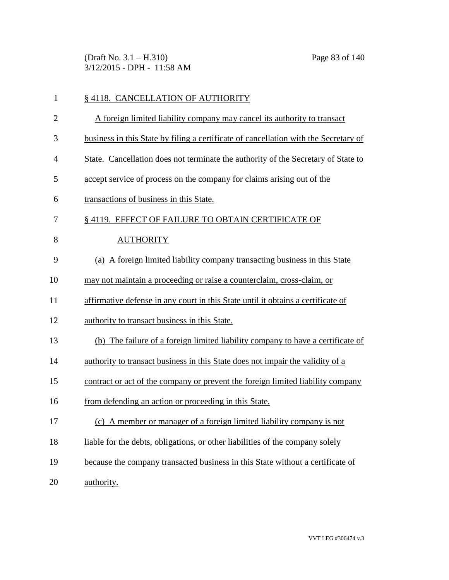(Draft No. 3.1 – H.310) Page 83 of 140 3/12/2015 - DPH - 11:58 AM

| 1              | § 4118. CANCELLATION OF AUTHORITY                                                    |
|----------------|--------------------------------------------------------------------------------------|
| $\overline{2}$ | A foreign limited liability company may cancel its authority to transact             |
| 3              | business in this State by filing a certificate of cancellation with the Secretary of |
| $\overline{4}$ | State. Cancellation does not terminate the authority of the Secretary of State to    |
| 5              | accept service of process on the company for claims arising out of the               |
| 6              | transactions of business in this State.                                              |
| 7              | §4119. EFFECT OF FAILURE TO OBTAIN CERTIFICATE OF                                    |
| 8              | <b>AUTHORITY</b>                                                                     |
| 9              | (a) A foreign limited liability company transacting business in this State           |
| 10             | may not maintain a proceeding or raise a counterclaim, cross-claim, or               |
| 11             | affirmative defense in any court in this State until it obtains a certificate of     |
| 12             | authority to transact business in this State.                                        |
| 13             | (b) The failure of a foreign limited liability company to have a certificate of      |
| 14             | authority to transact business in this State does not impair the validity of a       |
| 15             | contract or act of the company or prevent the foreign limited liability company      |
| 16             | from defending an action or proceeding in this State.                                |
| 17             | (c) A member or manager of a foreign limited liability company is not                |
| 18             | liable for the debts, obligations, or other liabilities of the company solely        |
| 19             | because the company transacted business in this State without a certificate of       |
| 20             | authority.                                                                           |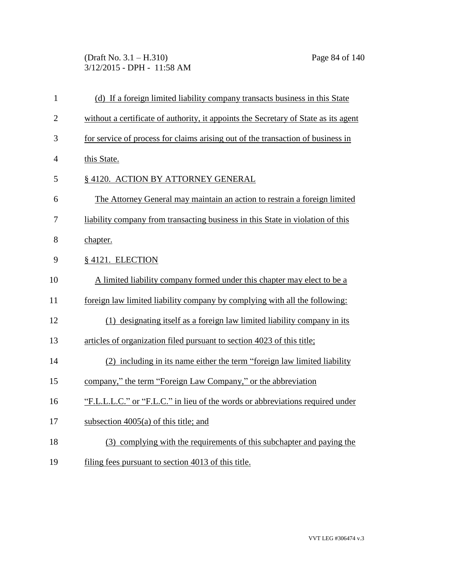(Draft No. 3.1 – H.310) Page 84 of 140 3/12/2015 - DPH - 11:58 AM

| $\mathbf{1}$   | (d) If a foreign limited liability company transacts business in this State         |
|----------------|-------------------------------------------------------------------------------------|
| $\overline{2}$ | without a certificate of authority, it appoints the Secretary of State as its agent |
| 3              | for service of process for claims arising out of the transaction of business in     |
| $\overline{4}$ | this State.                                                                         |
| 5              | § 4120. ACTION BY ATTORNEY GENERAL                                                  |
| 6              | The Attorney General may maintain an action to restrain a foreign limited           |
| 7              | liability company from transacting business in this State in violation of this      |
| 8              | chapter.                                                                            |
| 9              | § 4121. ELECTION                                                                    |
| 10             | A limited liability company formed under this chapter may elect to be a             |
| 11             | foreign law limited liability company by complying with all the following:          |
| 12             | (1) designating itself as a foreign law limited liability company in its            |
| 13             | articles of organization filed pursuant to section 4023 of this title;              |
| 14             | (2) including in its name either the term "foreign law limited liability            |
| 15             | company," the term "Foreign Law Company," or the abbreviation                       |
| 16             | "F.L.L.L.C." or "F.L.C." in lieu of the words or abbreviations required under       |
| 17             | subsection $4005(a)$ of this title; and                                             |
| 18             | (3) complying with the requirements of this subchapter and paying the               |
| 19             | filing fees pursuant to section 4013 of this title.                                 |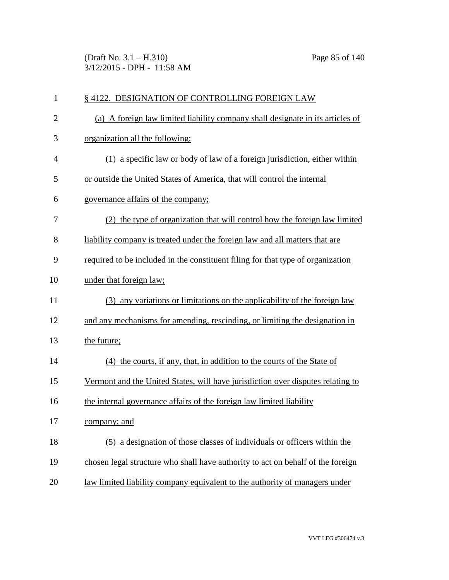(Draft No. 3.1 – H.310) Page 85 of 140 3/12/2015 - DPH - 11:58 AM

| $\mathbf{1}$   | § 4122. DESIGNATION OF CONTROLLING FOREIGN LAW                                  |
|----------------|---------------------------------------------------------------------------------|
| $\overline{c}$ | (a) A foreign law limited liability company shall designate in its articles of  |
| 3              | organization all the following:                                                 |
| $\overline{4}$ | (1) a specific law or body of law of a foreign jurisdiction, either within      |
| 5              | or outside the United States of America, that will control the internal         |
| 6              | governance affairs of the company;                                              |
| 7              | (2) the type of organization that will control how the foreign law limited      |
| 8              | liability company is treated under the foreign law and all matters that are     |
| 9              | required to be included in the constituent filing for that type of organization |
| 10             | under that foreign law;                                                         |
| 11             | (3) any variations or limitations on the applicability of the foreign law       |
| 12             | and any mechanisms for amending, rescinding, or limiting the designation in     |
| 13             | the future;                                                                     |
| 14             | (4) the courts, if any, that, in addition to the courts of the State of         |
| 15             | Vermont and the United States, will have jurisdiction over disputes relating to |
| 16             | the internal governance affairs of the foreign law limited liability            |
| 17             | <u>company; and</u>                                                             |
| 18             | (5) a designation of those classes of individuals or officers within the        |
| 19             | chosen legal structure who shall have authority to act on behalf of the foreign |
| 20             | law limited liability company equivalent to the authority of managers under     |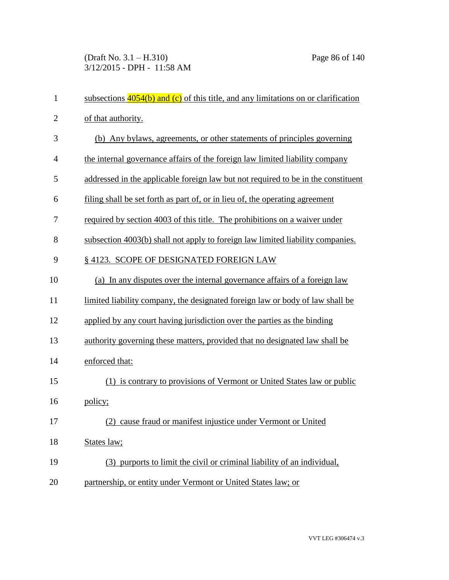(Draft No. 3.1 – H.310) Page 86 of 140 3/12/2015 - DPH - 11:58 AM

| $\mathbf{1}$   | subsections $4054(b)$ and (c) of this title, and any limitations on or clarification |
|----------------|--------------------------------------------------------------------------------------|
| $\overline{2}$ | of that authority.                                                                   |
| 3              | (b) Any bylaws, agreements, or other statements of principles governing              |
| $\overline{4}$ | the internal governance affairs of the foreign law limited liability company         |
| 5              | addressed in the applicable foreign law but not required to be in the constituent    |
| 6              | filing shall be set forth as part of, or in lieu of, the operating agreement         |
| 7              | required by section 4003 of this title. The prohibitions on a waiver under           |
| 8              | subsection 4003(b) shall not apply to foreign law limited liability companies.       |
| 9              | §4123. SCOPE OF DESIGNATED FOREIGN LAW                                               |
| 10             | (a) In any disputes over the internal governance affairs of a foreign law            |
| 11             | limited liability company, the designated foreign law or body of law shall be        |
| 12             | applied by any court having jurisdiction over the parties as the binding             |
| 13             | authority governing these matters, provided that no designated law shall be          |
| 14             | enforced that:                                                                       |
| 15             | (1) is contrary to provisions of Vermont or United States law or public              |
| 16             | policy;                                                                              |
| 17             | (2) cause fraud or manifest injustice under Vermont or United                        |
| 18             | States law;                                                                          |
| 19             | (3) purports to limit the civil or criminal liability of an individual,              |
| 20             | partnership, or entity under Vermont or United States law; or                        |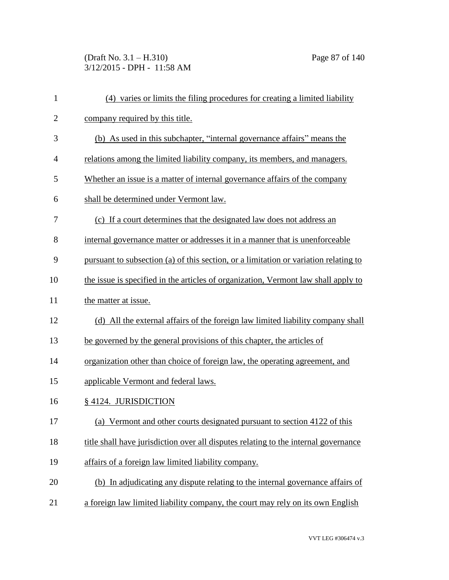(Draft No. 3.1 – H.310) Page 87 of 140 3/12/2015 - DPH - 11:58 AM

| $\mathbf{1}$ | (4) varies or limits the filing procedures for creating a limited liability          |
|--------------|--------------------------------------------------------------------------------------|
| $\mathbf{2}$ | company required by this title.                                                      |
| 3            | (b) As used in this subchapter, "internal governance affairs" means the              |
| 4            | relations among the limited liability company, its members, and managers.            |
| 5            | Whether an issue is a matter of internal governance affairs of the company           |
| 6            | shall be determined under Vermont law.                                               |
| 7            | (c) If a court determines that the designated law does not address an                |
| 8            | internal governance matter or addresses it in a manner that is unenforceable         |
| 9            | pursuant to subsection (a) of this section, or a limitation or variation relating to |
| 10           | the issue is specified in the articles of organization, Vermont law shall apply to   |
| 11           | the matter at issue.                                                                 |
| 12           | (d) All the external affairs of the foreign law limited liability company shall      |
| 13           | be governed by the general provisions of this chapter, the articles of               |
| 14           | organization other than choice of foreign law, the operating agreement, and          |
| 15           | applicable Vermont and federal laws.                                                 |
| 16           | § 4124. JURISDICTION                                                                 |
| 17           | (a) Vermont and other courts designated pursuant to section 4122 of this             |
| 18           | title shall have jurisdiction over all disputes relating to the internal governance  |
| 19           | affairs of a foreign law limited liability company.                                  |
| 20           | (b) In adjudicating any dispute relating to the internal governance affairs of       |
| 21           | a foreign law limited liability company, the court may rely on its own English       |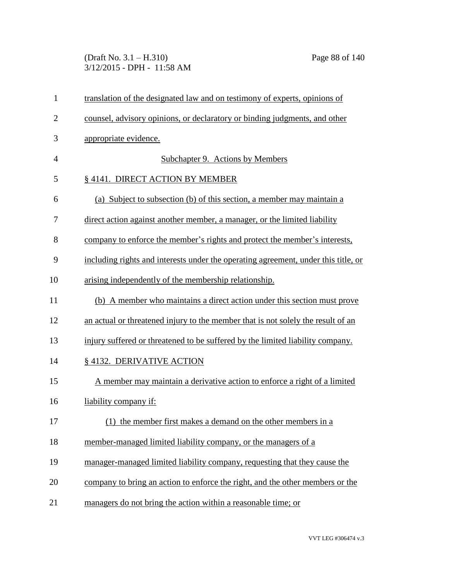(Draft No. 3.1 – H.310) Page 88 of 140 3/12/2015 - DPH - 11:58 AM

| $\mathbf{1}$   | translation of the designated law and on testimony of experts, opinions of         |
|----------------|------------------------------------------------------------------------------------|
| $\overline{2}$ | counsel, advisory opinions, or declaratory or binding judgments, and other         |
| 3              | appropriate evidence.                                                              |
| 4              | Subchapter 9. Actions by Members                                                   |
| 5              | § 4141. DIRECT ACTION BY MEMBER                                                    |
| 6              | (a) Subject to subsection (b) of this section, a member may maintain a             |
| 7              | direct action against another member, a manager, or the limited liability          |
| 8              | company to enforce the member's rights and protect the member's interests,         |
| 9              | including rights and interests under the operating agreement, under this title, or |
| 10             | arising independently of the membership relationship.                              |
| 11             | (b) A member who maintains a direct action under this section must prove           |
| 12             | an actual or threatened injury to the member that is not solely the result of an   |
| 13             | injury suffered or threatened to be suffered by the limited liability company.     |
| 14             | §4132. DERIVATIVE ACTION                                                           |
| 15             | A member may maintain a derivative action to enforce a right of a limited          |
| 16             | liability company if:                                                              |
| 17             | (1) the member first makes a demand on the other members in a                      |
| 18             | member-managed limited liability company, or the managers of a                     |
| 19             | manager-managed limited liability company, requesting that they cause the          |
| 20             | company to bring an action to enforce the right, and the other members or the      |
| 21             | managers do not bring the action within a reasonable time; or                      |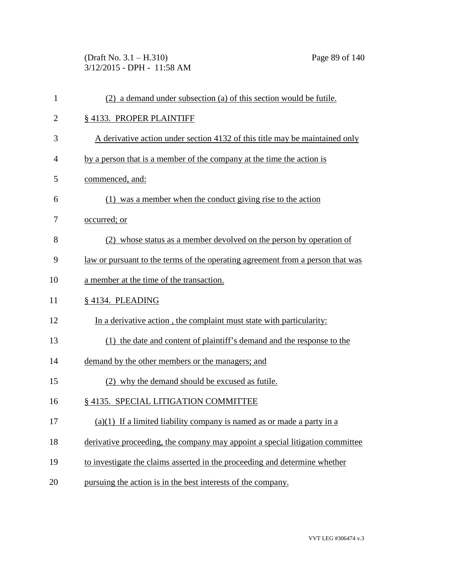(Draft No. 3.1 – H.310) Page 89 of 140 3/12/2015 - DPH - 11:58 AM

| $\mathbf{1}$   | (2) a demand under subsection (a) of this section would be futile.                    |
|----------------|---------------------------------------------------------------------------------------|
| $\overline{c}$ | § 4133. PROPER PLAINTIFF                                                              |
| 3              | A derivative action under section 4132 of this title may be maintained only           |
| $\overline{4}$ | by a person that is a member of the company at the time the action is                 |
| 5              | commenced, and:                                                                       |
| 6              | (1) was a member when the conduct giving rise to the action                           |
| 7              | occurred; or                                                                          |
| 8              | (2) whose status as a member devolved on the person by operation of                   |
| 9              | <u>law or pursuant to the terms of the operating agreement from a person that was</u> |
| 10             | a member at the time of the transaction.                                              |
| 11             | § 4134. PLEADING                                                                      |
| 12             | In a derivative action, the complaint must state with particularity:                  |
| 13             | (1) the date and content of plaintiff's demand and the response to the                |
| 14             | demand by the other members or the managers; and                                      |
| 15             | (2) why the demand should be excused as futile.                                       |
| 16             | § 4135. SPECIAL LITIGATION COMMITTEE                                                  |
| 17             | $(a)(1)$ If a limited liability company is named as or made a party in a              |
| 18             | derivative proceeding, the company may appoint a special litigation committee         |
| 19             | to investigate the claims asserted in the proceeding and determine whether            |
| 20             | pursuing the action is in the best interests of the company.                          |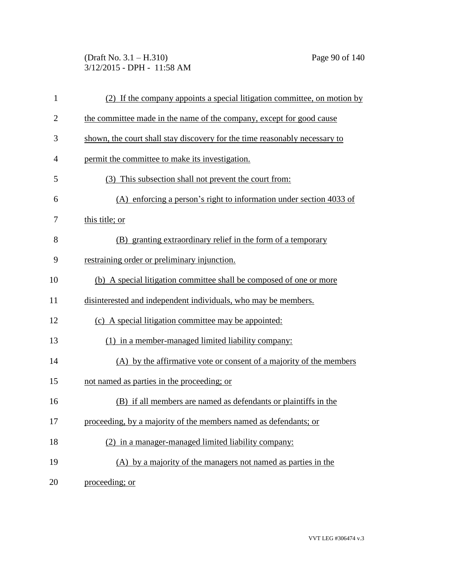(Draft No. 3.1 – H.310) Page 90 of 140 3/12/2015 - DPH - 11:58 AM

| $\mathbf{1}$   | (2) If the company appoints a special litigation committee, on motion by   |
|----------------|----------------------------------------------------------------------------|
| $\overline{2}$ | the committee made in the name of the company, except for good cause       |
| 3              | shown, the court shall stay discovery for the time reasonably necessary to |
| $\overline{4}$ | permit the committee to make its investigation.                            |
| 5              | (3) This subsection shall not prevent the court from:                      |
| 6              | (A) enforcing a person's right to information under section 4033 of        |
| 7              | this title; or                                                             |
| 8              | (B) granting extraordinary relief in the form of a temporary               |
| 9              | restraining order or preliminary injunction.                               |
| 10             | (b) A special litigation committee shall be composed of one or more        |
| 11             | disinterested and independent individuals, who may be members.             |
| 12             | (c) A special litigation committee may be appointed:                       |
| 13             | (1) in a member-managed limited liability company:                         |
| 14             | (A) by the affirmative vote or consent of a majority of the members        |
| 15             | not named as parties in the proceeding; or                                 |
| 16             | (B) if all members are named as defendants or plaintiffs in the            |
| 17             | proceeding, by a majority of the members named as defendants; or           |
| 18             | (2) in a manager-managed limited liability company:                        |
| 19             | (A) by a majority of the managers not named as parties in the              |
| 20             | proceeding; or                                                             |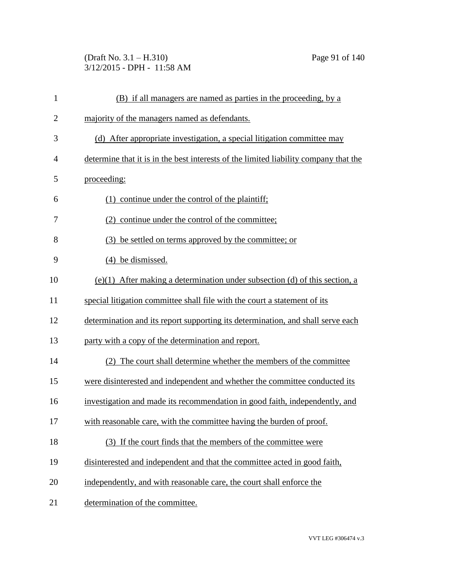(Draft No. 3.1 – H.310) Page 91 of 140 3/12/2015 - DPH - 11:58 AM

| $\mathbf{1}$   | (B) if all managers are named as parties in the proceeding, by a                     |
|----------------|--------------------------------------------------------------------------------------|
| $\overline{2}$ | majority of the managers named as defendants.                                        |
| 3              | (d) After appropriate investigation, a special litigation committee may              |
| $\overline{4}$ | determine that it is in the best interests of the limited liability company that the |
| 5              | proceeding:                                                                          |
| 6              | (1) continue under the control of the plaintiff;                                     |
| 7              | (2) continue under the control of the committee;                                     |
| 8              | (3) be settled on terms approved by the committee; or                                |
| 9              | (4) be dismissed.                                                                    |
| 10             | $(e)(1)$ After making a determination under subsection (d) of this section, a        |
| 11             | special litigation committee shall file with the court a statement of its            |
| 12             | determination and its report supporting its determination, and shall serve each      |
| 13             | party with a copy of the determination and report.                                   |
| 14             | (2) The court shall determine whether the members of the committee                   |
| 15             | were disinterested and independent and whether the committee conducted its           |
| 16             | investigation and made its recommendation in good faith, independently, and          |
| 17             | with reasonable care, with the committee having the burden of proof.                 |
| 18             | (3) If the court finds that the members of the committee were                        |
| 19             | disinterested and independent and that the committee acted in good faith,            |
| 20             | independently, and with reasonable care, the court shall enforce the                 |
| 21             | determination of the committee.                                                      |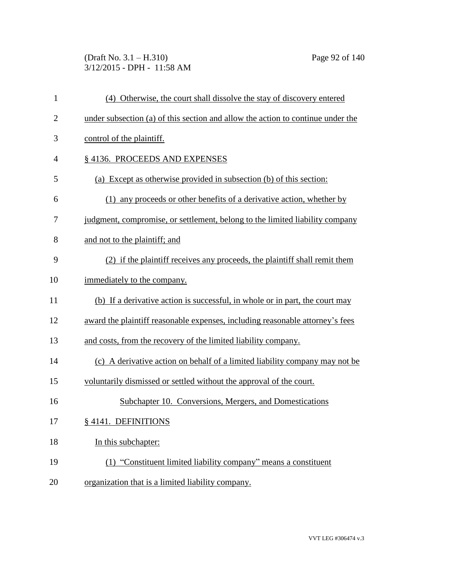(Draft No. 3.1 – H.310) Page 92 of 140 3/12/2015 - DPH - 11:58 AM

| $\mathbf{1}$   | (4) Otherwise, the court shall dissolve the stay of discovery entered           |
|----------------|---------------------------------------------------------------------------------|
| $\overline{2}$ | under subsection (a) of this section and allow the action to continue under the |
| 3              | control of the plaintiff.                                                       |
| 4              | §4136. PROCEEDS AND EXPENSES                                                    |
| 5              | (a) Except as otherwise provided in subsection (b) of this section:             |
| 6              | (1) any proceeds or other benefits of a derivative action, whether by           |
| 7              | judgment, compromise, or settlement, belong to the limited liability company    |
| 8              | and not to the plaintiff; and                                                   |
| 9              | (2) if the plaint if receives any proceeds, the plaint if shall remit them      |
| 10             | immediately to the company.                                                     |
| 11             | (b) If a derivative action is successful, in whole or in part, the court may    |
| 12             | award the plaintiff reasonable expenses, including reasonable attorney's fees   |
| 13             | and costs, from the recovery of the limited liability company.                  |
| 14             | (c) A derivative action on behalf of a limited liability company may not be     |
| 15             | voluntarily dismissed or settled without the approval of the court.             |
| 16             | Subchapter 10. Conversions, Mergers, and Domestications                         |
| 17             | § 4141. DEFINITIONS                                                             |
| 18             | In this subchapter:                                                             |
| 19             | (1) "Constituent limited liability company" means a constituent                 |
| 20             | organization that is a limited liability company.                               |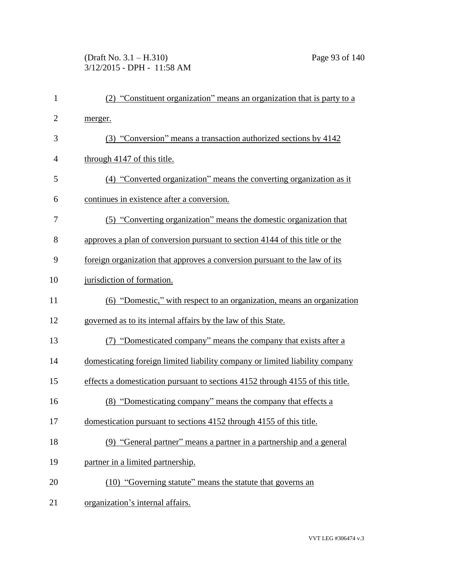# (Draft No. 3.1 – H.310) Page 93 of 140 3/12/2015 - DPH - 11:58 AM

| $\mathbf{1}$   | (2) "Constituent organization" means an organization that is party to a       |
|----------------|-------------------------------------------------------------------------------|
| $\overline{2}$ | merger.                                                                       |
| 3              | (3) "Conversion" means a transaction authorized sections by 4142              |
| 4              | through 4147 of this title.                                                   |
| 5              | (4) "Converted organization" means the converting organization as it          |
| 6              | continues in existence after a conversion.                                    |
| 7              | (5) "Converting organization" means the domestic organization that            |
| 8              | approves a plan of conversion pursuant to section 4144 of this title or the   |
| 9              | foreign organization that approves a conversion pursuant to the law of its    |
| 10             | jurisdiction of formation.                                                    |
| 11             | (6) "Domestic," with respect to an organization, means an organization        |
| 12             | governed as to its internal affairs by the law of this State.                 |
| 13             | (7) "Domesticated company" means the company that exists after a              |
| 14             | domesticating foreign limited liability company or limited liability company  |
| 15             | effects a domestication pursuant to sections 4152 through 4155 of this title. |
| 16             | (8) "Domesticating company" means the company that effects a                  |
| 17             | domestication pursuant to sections 4152 through 4155 of this title.           |
| 18             | (9) "General partner" means a partner in a partnership and a general          |
| 19             | partner in a limited partnership.                                             |
| 20             | (10) "Governing statute" means the statute that governs an                    |
| 21             | organization's internal affairs.                                              |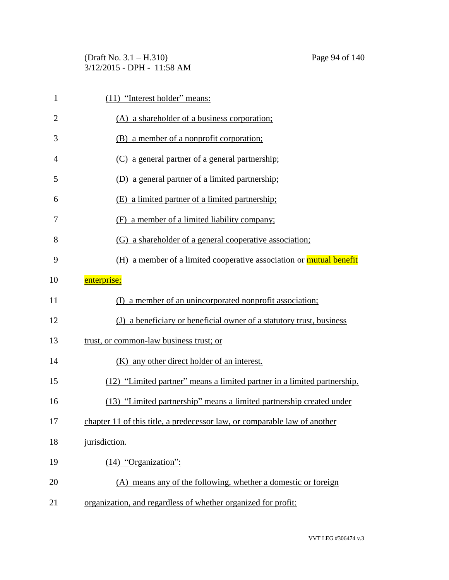(Draft No. 3.1 – H.310) Page 94 of 140 3/12/2015 - DPH - 11:58 AM

| $\mathbf{1}$   | (11) "Interest holder" means:                                             |
|----------------|---------------------------------------------------------------------------|
| $\overline{2}$ | (A) a shareholder of a business corporation;                              |
| 3              | (B) a member of a nonprofit corporation;                                  |
| 4              | (C) a general partner of a general partnership;                           |
| 5              | (D) a general partner of a limited partnership;                           |
| 6              | (E) a limited partner of a limited partnership;                           |
| 7              | (F) a member of a limited liability company;                              |
| 8              | (G) a shareholder of a general cooperative association;                   |
| 9              | (H) a member of a limited cooperative association or mutual benefit       |
| 10             | enterprise;                                                               |
| 11             | (I) a member of an unincorporated nonprofit association;                  |
| 12             | (J) a beneficiary or beneficial owner of a statutory trust, business      |
| 13             | trust, or common-law business trust; or                                   |
| 14             | (K) any other direct holder of an interest.                               |
| 15             | (12) "Limited partner" means a limited partner in a limited partnership.  |
| 16             | (13) "Limited partnership" means a limited partnership created under      |
| 17             | chapter 11 of this title, a predecessor law, or comparable law of another |
| 18             | jurisdiction.                                                             |
| 19             | $(14)$ "Organization":                                                    |
| 20             | (A) means any of the following, whether a domestic or foreign             |
| 21             | organization, and regardless of whether organized for profit:             |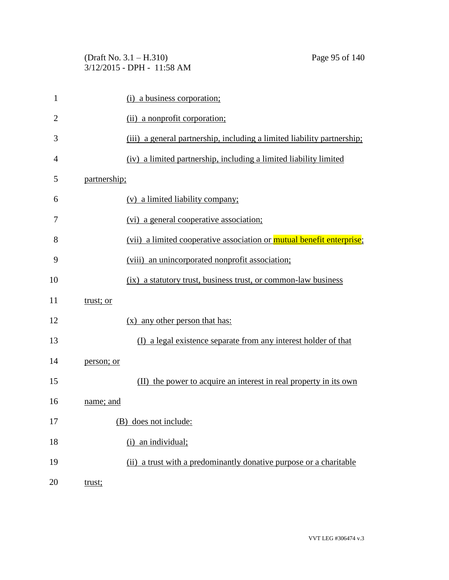(Draft No. 3.1 – H.310) Page 95 of 140 3/12/2015 - DPH - 11:58 AM

| 1              | (i) a business corporation;                                             |
|----------------|-------------------------------------------------------------------------|
| $\overline{2}$ | (ii) a nonprofit corporation;                                           |
| 3              | (iii) a general partnership, including a limited liability partnership; |
| 4              | (iv) a limited partnership, including a limited liability limited       |
| 5              | partnership;                                                            |
| 6              | (v) a limited liability company;                                        |
| 7              | (vi) a general cooperative association;                                 |
| 8              | (vii) a limited cooperative association or mutual benefit enterprise;   |
| 9              | (viii) an unincorporated nonprofit association;                         |
| 10             | (ix) a statutory trust, business trust, or common-law business          |
| 11             | trust; or                                                               |
| 12             | $(x)$ any other person that has:                                        |
| 13             | (I) a legal existence separate from any interest holder of that         |
| 14             | person; or                                                              |
| 15             | (II) the power to acquire an interest in real property in its own       |
| 16             | name; and                                                               |
| 17             | (B) does not include:                                                   |
| 18             | (i) an individual;                                                      |
| 19             | (ii) a trust with a predominantly donative purpose or a charitable      |
| 20             | trust;                                                                  |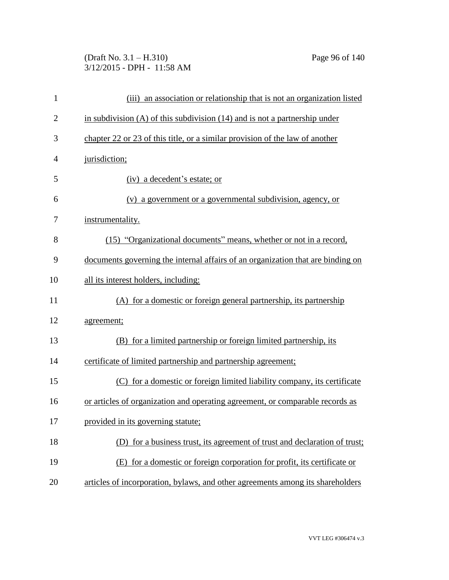# (Draft No. 3.1 – H.310) Page 96 of 140 3/12/2015 - DPH - 11:58 AM

| $\mathbf{1}$   | (iii) an association or relationship that is not an organization listed         |
|----------------|---------------------------------------------------------------------------------|
| $\overline{2}$ | in subdivision $(A)$ of this subdivision $(14)$ and is not a partnership under  |
| 3              | chapter 22 or 23 of this title, or a similar provision of the law of another    |
| 4              | jurisdiction;                                                                   |
| 5              | (iv) a decedent's estate; or                                                    |
| 6              | (v) a government or a governmental subdivision, agency, or                      |
| 7              | instrumentality.                                                                |
| 8              | (15) "Organizational documents" means, whether or not in a record,              |
| 9              | documents governing the internal affairs of an organization that are binding on |
| 10             | all its interest holders, including:                                            |
| 11             | (A) for a domestic or foreign general partnership, its partnership              |
| 12             | agreement;                                                                      |
| 13             | (B) for a limited partnership or foreign limited partnership, its               |
| 14             | certificate of limited partnership and partnership agreement;                   |
| 15             | (C) for a domestic or foreign limited liability company, its certificate        |
| 16             | or articles of organization and operating agreement, or comparable records as   |
| 17             | provided in its governing statute;                                              |
| 18             | (D) for a business trust, its agreement of trust and declaration of trust;      |
| 19             | (E) for a domestic or foreign corporation for profit, its certificate or        |
| 20             | articles of incorporation, bylaws, and other agreements among its shareholders  |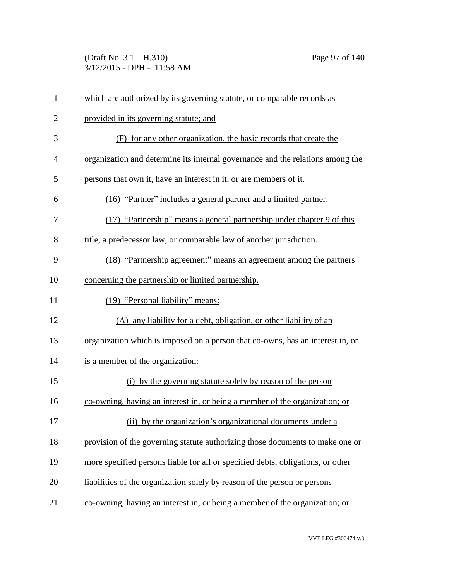(Draft No. 3.1 – H.310) Page 97 of 140 3/12/2015 - DPH - 11:58 AM

| $\mathbf{1}$ | which are authorized by its governing statute, or comparable records as         |
|--------------|---------------------------------------------------------------------------------|
| $\mathbf{2}$ | provided in its governing statute; and                                          |
| 3            | (F) for any other organization, the basic records that create the               |
| 4            | organization and determine its internal governance and the relations among the  |
| 5            | persons that own it, have an interest in it, or are members of it.              |
| 6            | (16) "Partner" includes a general partner and a limited partner.                |
| 7            | (17) "Partnership" means a general partnership under chapter 9 of this          |
| 8            | title, a predecessor law, or comparable law of another jurisdiction.            |
| 9            | (18) "Partnership agreement" means an agreement among the partners              |
| 10           | concerning the partnership or limited partnership.                              |
| 11           | (19) "Personal liability" means:                                                |
| 12           | (A) any liability for a debt, obligation, or other liability of an              |
| 13           | organization which is imposed on a person that co-owns, has an interest in, or  |
| 14           | is a member of the organization:                                                |
| 15           | (i) by the governing statute solely by reason of the person                     |
| 16           | co-owning, having an interest in, or being a member of the organization; or     |
| 17           | (ii) by the organization's organizational documents under a                     |
| 18           | provision of the governing statute authorizing those documents to make one or   |
| 19           | more specified persons liable for all or specified debts, obligations, or other |
| 20           | liabilities of the organization solely by reason of the person or persons       |
| 21           | co-owning, having an interest in, or being a member of the organization; or     |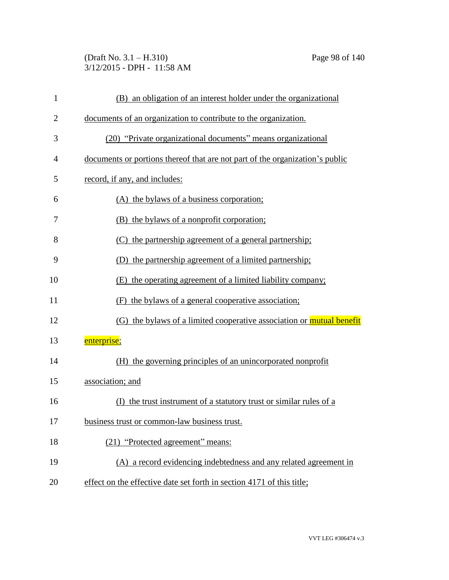(Draft No. 3.1 – H.310) Page 98 of 140 3/12/2015 - DPH - 11:58 AM

| $\mathbf{1}$   | (B) an obligation of an interest holder under the organizational             |
|----------------|------------------------------------------------------------------------------|
| $\overline{2}$ | documents of an organization to contribute to the organization.              |
| 3              | (20) "Private organizational documents" means organizational                 |
| 4              | documents or portions thereof that are not part of the organization's public |
| 5              | record, if any, and includes:                                                |
| 6              | (A) the bylaws of a business corporation;                                    |
| 7              | (B) the bylaws of a nonprofit corporation;                                   |
| 8              | (C) the partnership agreement of a general partnership;                      |
| 9              | (D) the partnership agreement of a limited partnership;                      |
| 10             | (E) the operating agreement of a limited liability company;                  |
| 11             | (F) the bylaws of a general cooperative association;                         |
| 12             | (G) the bylaws of a limited cooperative association or mutual benefit        |
| 13             | enterprise;                                                                  |
| 14             | (H) the governing principles of an unincorporated nonprofit                  |
| 15             | association; and                                                             |
| 16             | the trust instrument of a statutory trust or similar rules of a<br>(1)       |
| 17             | business trust or common-law business trust.                                 |
| 18             | (21) "Protected agreement" means:                                            |
| 19             | (A) a record evidencing indebtedness and any related agreement in            |
| 20             | effect on the effective date set forth in section 4171 of this title;        |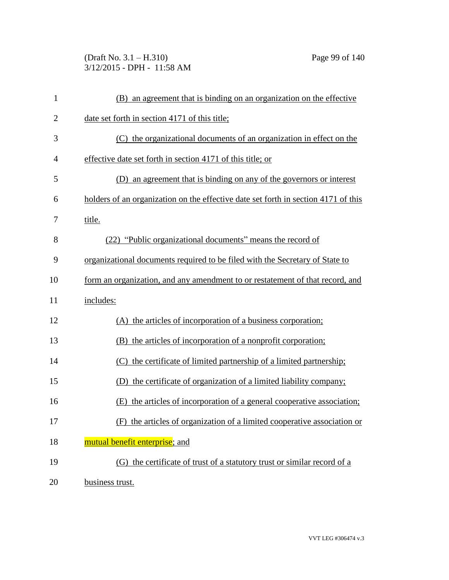(Draft No. 3.1 – H.310) Page 99 of 140 3/12/2015 - DPH - 11:58 AM

| $\mathbf{1}$   | (B) an agreement that is binding on an organization on the effective               |
|----------------|------------------------------------------------------------------------------------|
| $\overline{2}$ | date set forth in section 4171 of this title;                                      |
| 3              | (C) the organizational documents of an organization in effect on the               |
| 4              | effective date set forth in section 4171 of this title; or                         |
| 5              | an agreement that is binding on any of the governors or interest<br>(D)            |
| 6              | holders of an organization on the effective date set forth in section 4171 of this |
| 7              | title.                                                                             |
| 8              | (22) "Public organizational documents" means the record of                         |
| 9              | organizational documents required to be filed with the Secretary of State to       |
| 10             | form an organization, and any amendment to or restatement of that record, and      |
| 11             | includes:                                                                          |
| 12             | (A) the articles of incorporation of a business corporation;                       |
| 13             | (B) the articles of incorporation of a nonprofit corporation;                      |
| 14             | (C) the certificate of limited partnership of a limited partnership;               |
| 15             | (D) the certificate of organization of a limited liability company;                |
| 16             | (E) the articles of incorporation of a general cooperative association;            |
| 17             | (F) the articles of organization of a limited cooperative association or           |
| 18             | mutual benefit enterprise; and                                                     |
| 19             | (G) the certificate of trust of a statutory trust or similar record of a           |
| 20             | business trust.                                                                    |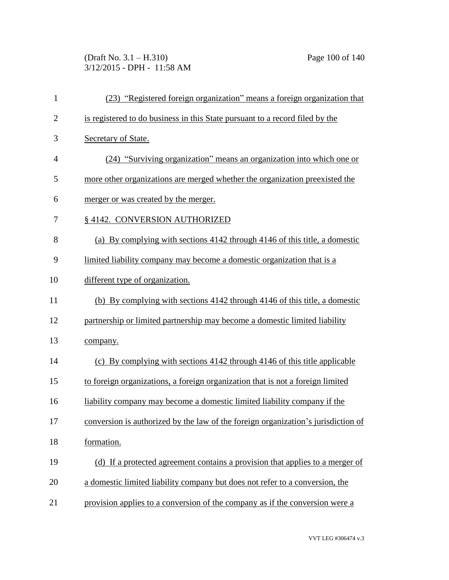(Draft No. 3.1 – H.310) Page 100 of 140 3/12/2015 - DPH - 11:58 AM

| $\mathbf{1}$   | (23) "Registered foreign organization" means a foreign organization that          |
|----------------|-----------------------------------------------------------------------------------|
| $\mathbf{2}$   | is registered to do business in this State pursuant to a record filed by the      |
| 3              | Secretary of State.                                                               |
| $\overline{4}$ | (24) "Surviving organization" means an organization into which one or             |
| 5              | more other organizations are merged whether the organization preexisted the       |
| 6              | merger or was created by the merger.                                              |
| 7              | § 4142. CONVERSION AUTHORIZED                                                     |
| 8              | (a) By complying with sections 4142 through 4146 of this title, a domestic        |
| 9              | limited liability company may become a domestic organization that is a            |
| 10             | different type of organization.                                                   |
| 11             | (b) By complying with sections 4142 through 4146 of this title, a domestic        |
| 12             | partnership or limited partnership may become a domestic limited liability        |
| 13             | company.                                                                          |
| 14             | (c) By complying with sections 4142 through 4146 of this title applicable         |
| 15             | to foreign organizations, a foreign organization that is not a foreign limited    |
| 16             | liability company may become a domestic limited liability company if the          |
| 17             | conversion is authorized by the law of the foreign organization's jurisdiction of |
| 18             | formation.                                                                        |
| 19             | (d) If a protected agreement contains a provision that applies to a merger of     |
| 20             | a domestic limited liability company but does not refer to a conversion, the      |
| 21             | provision applies to a conversion of the company as if the conversion were a      |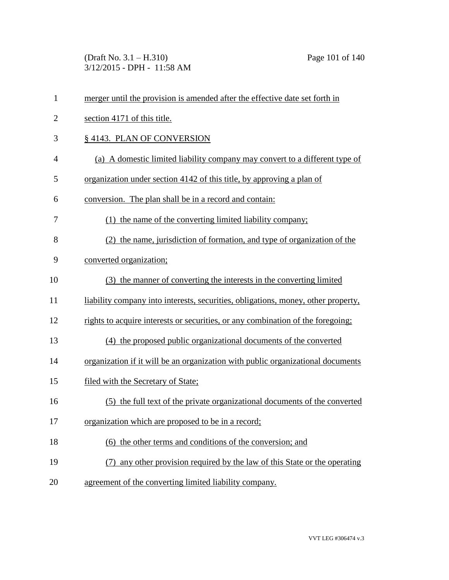(Draft No. 3.1 – H.310) Page 101 of 140 3/12/2015 - DPH - 11:58 AM

| $\mathbf{1}$   | merger until the provision is amended after the effective date set forth in       |
|----------------|-----------------------------------------------------------------------------------|
| $\overline{2}$ | section 4171 of this title.                                                       |
| 3              | § 4143. PLAN OF CONVERSION                                                        |
| $\overline{4}$ | (a) A domestic limited liability company may convert to a different type of       |
| 5              | organization under section 4142 of this title, by approving a plan of             |
| 6              | conversion. The plan shall be in a record and contain:                            |
| 7              | (1) the name of the converting limited liability company;                         |
| 8              | (2) the name, jurisdiction of formation, and type of organization of the          |
| 9              | converted organization;                                                           |
| 10             | (3) the manner of converting the interests in the converting limited              |
| 11             | liability company into interests, securities, obligations, money, other property, |
| 12             | rights to acquire interests or securities, or any combination of the foregoing;   |
| 13             | (4) the proposed public organizational documents of the converted                 |
| 14             | organization if it will be an organization with public organizational documents   |
| 15             | filed with the Secretary of State;                                                |
| 16             | (5) the full text of the private organizational documents of the converted        |
| 17             | organization which are proposed to be in a record;                                |
| 18             | (6) the other terms and conditions of the conversion; and                         |
| 19             | (7) any other provision required by the law of this State or the operating        |
| 20             | agreement of the converting limited liability company.                            |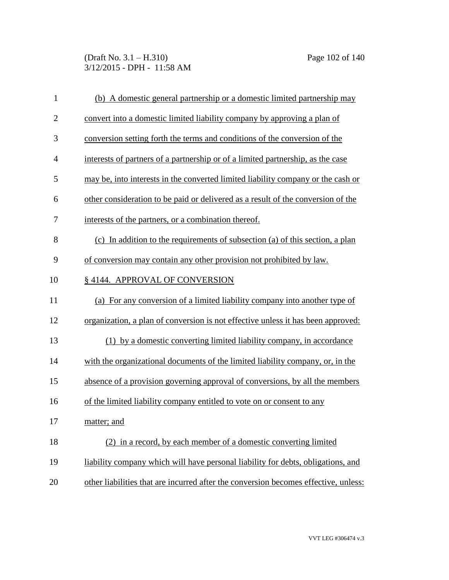(Draft No. 3.1 – H.310) Page 102 of 140 3/12/2015 - DPH - 11:58 AM

| $\mathbf{1}$   | (b) A domestic general partnership or a domestic limited partnership may            |
|----------------|-------------------------------------------------------------------------------------|
| $\overline{2}$ | convert into a domestic limited liability company by approving a plan of            |
| 3              | conversion setting forth the terms and conditions of the conversion of the          |
| $\overline{4}$ | interests of partners of a partnership or of a limited partnership, as the case     |
| 5              | may be, into interests in the converted limited liability company or the cash or    |
| 6              | other consideration to be paid or delivered as a result of the conversion of the    |
| 7              | interests of the partners, or a combination thereof.                                |
| 8              | (c) In addition to the requirements of subsection (a) of this section, a plan       |
| 9              | of conversion may contain any other provision not prohibited by law.                |
| 10             | §4144. APPROVAL OF CONVERSION                                                       |
| 11             | (a) For any conversion of a limited liability company into another type of          |
| 12             | organization, a plan of conversion is not effective unless it has been approved:    |
| 13             | (1) by a domestic converting limited liability company, in accordance               |
| 14             | with the organizational documents of the limited liability company, or, in the      |
| 15             | absence of a provision governing approval of conversions, by all the members        |
| 16             | of the limited liability company entitled to vote on or consent to any              |
| 17             | matter; and                                                                         |
| 18             | (2) in a record, by each member of a domestic converting limited                    |
| 19             | liability company which will have personal liability for debts, obligations, and    |
| 20             | other liabilities that are incurred after the conversion becomes effective, unless: |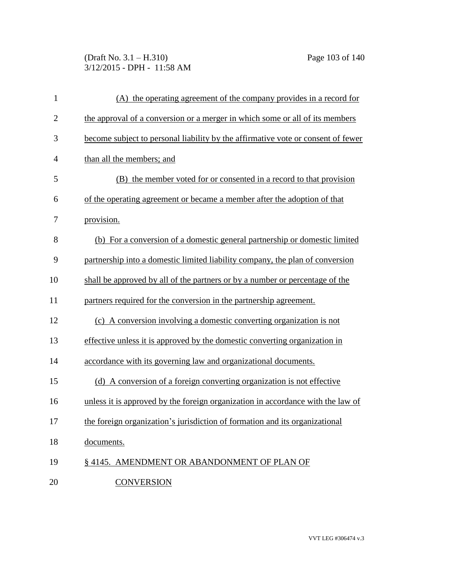(Draft No. 3.1 – H.310) Page 103 of 140 3/12/2015 - DPH - 11:58 AM

| $\mathbf{1}$   | (A) the operating agreement of the company provides in a record for              |
|----------------|----------------------------------------------------------------------------------|
| $\overline{2}$ | the approval of a conversion or a merger in which some or all of its members     |
| 3              | become subject to personal liability by the affirmative vote or consent of fewer |
| 4              | than all the members; and                                                        |
| 5              | (B) the member voted for or consented in a record to that provision              |
| 6              | of the operating agreement or became a member after the adoption of that         |
| 7              | provision.                                                                       |
| 8              | (b) For a conversion of a domestic general partnership or domestic limited       |
| 9              | partnership into a domestic limited liability company, the plan of conversion    |
| 10             | shall be approved by all of the partners or by a number or percentage of the     |
| 11             | partners required for the conversion in the partnership agreement.               |
| 12             | (c) A conversion involving a domestic converting organization is not             |
| 13             | effective unless it is approved by the domestic converting organization in       |
| 14             | accordance with its governing law and organizational documents.                  |
| 15             | (d) A conversion of a foreign converting organization is not effective           |
| 16             | unless it is approved by the foreign organization in accordance with the law of  |
| 17             | the foreign organization's jurisdiction of formation and its organizational      |
| 18             | documents.                                                                       |
| 19             | § 4145. AMENDMENT OR ABANDONMENT OF PLAN OF                                      |
| 20             | <b>CONVERSION</b>                                                                |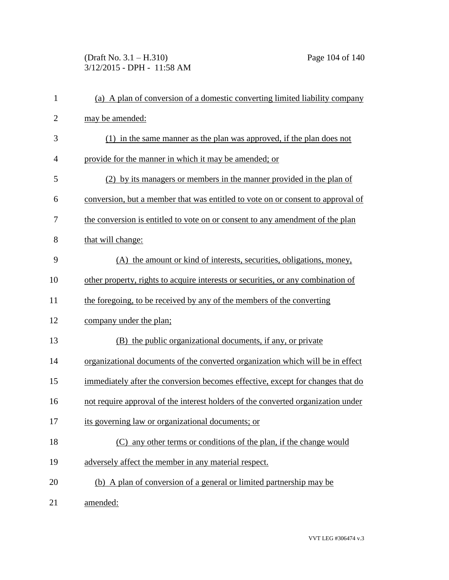(Draft No. 3.1 – H.310) Page 104 of 140 3/12/2015 - DPH - 11:58 AM

| $\mathbf{1}$   | (a) A plan of conversion of a domestic converting limited liability company      |
|----------------|----------------------------------------------------------------------------------|
| $\overline{2}$ | may be amended:                                                                  |
| 3              | (1) in the same manner as the plan was approved, if the plan does not            |
| 4              | provide for the manner in which it may be amended; or                            |
| 5              | (2) by its managers or members in the manner provided in the plan of             |
| 6              | conversion, but a member that was entitled to vote on or consent to approval of  |
| 7              | the conversion is entitled to vote on or consent to any amendment of the plan    |
| 8              | that will change:                                                                |
| 9              | (A) the amount or kind of interests, securities, obligations, money,             |
| 10             | other property, rights to acquire interests or securities, or any combination of |
| 11             | the foregoing, to be received by any of the members of the converting            |
| 12             | company under the plan;                                                          |
| 13             | (B) the public organizational documents, if any, or private                      |
| 14             | organizational documents of the converted organization which will be in effect   |
| 15             | immediately after the conversion becomes effective, except for changes that do   |
| 16             | not require approval of the interest holders of the converted organization under |
| 17             | its governing law or organizational documents; or                                |
| 18             | (C) any other terms or conditions of the plan, if the change would               |
| 19             | adversely affect the member in any material respect.                             |
| 20             | (b) A plan of conversion of a general or limited partnership may be              |
| 21             | amended:                                                                         |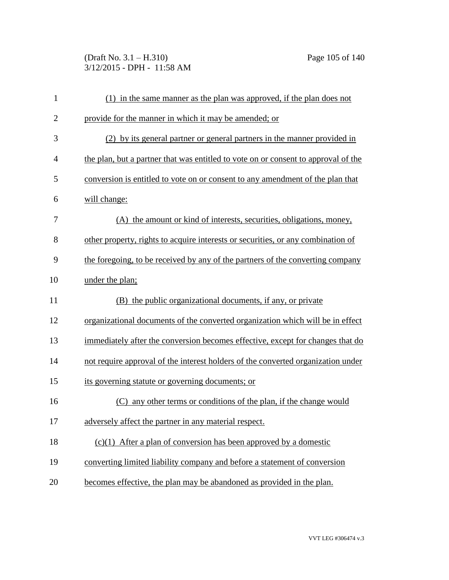(Draft No. 3.1 – H.310) Page 105 of 140 3/12/2015 - DPH - 11:58 AM

| $\mathbf{1}$   | (1) in the same manner as the plan was approved, if the plan does not              |
|----------------|------------------------------------------------------------------------------------|
| $\overline{2}$ | provide for the manner in which it may be amended; or                              |
| 3              | (2) by its general partner or general partners in the manner provided in           |
| $\overline{4}$ | the plan, but a partner that was entitled to vote on or consent to approval of the |
| 5              | conversion is entitled to vote on or consent to any amendment of the plan that     |
| 6              | will change:                                                                       |
| 7              | (A) the amount or kind of interests, securities, obligations, money,               |
| 8              | other property, rights to acquire interests or securities, or any combination of   |
| 9              | the foregoing, to be received by any of the partners of the converting company     |
| 10             | under the plan;                                                                    |
| 11             | (B) the public organizational documents, if any, or private                        |
| 12             | organizational documents of the converted organization which will be in effect     |
| 13             | immediately after the conversion becomes effective, except for changes that do     |
| 14             | not require approval of the interest holders of the converted organization under   |
| 15             | its governing statute or governing documents; or                                   |
| 16             | any other terms or conditions of the plan, if the change would                     |
| 17             | adversely affect the partner in any material respect.                              |
| 18             | $(c)(1)$ After a plan of conversion has been approved by a domestic                |
| 19             | converting limited liability company and before a statement of conversion          |
| 20             | becomes effective, the plan may be abandoned as provided in the plan.              |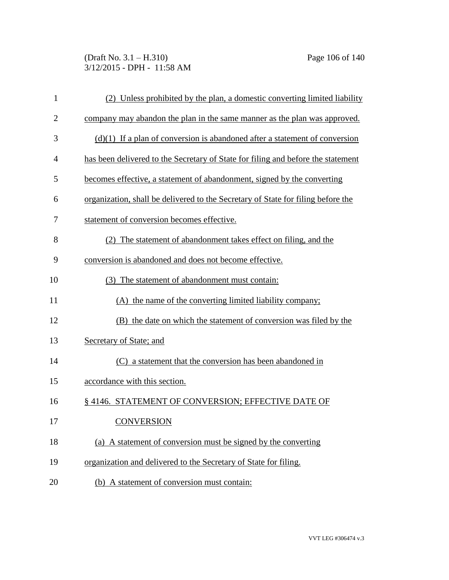(Draft No. 3.1 – H.310) Page 106 of 140 3/12/2015 - DPH - 11:58 AM

| $\mathbf{1}$   | (2) Unless prohibited by the plan, a domestic converting limited liability       |
|----------------|----------------------------------------------------------------------------------|
| $\overline{2}$ | company may abandon the plan in the same manner as the plan was approved.        |
| 3              | $(d)(1)$ If a plan of conversion is abandoned after a statement of conversion    |
| 4              | has been delivered to the Secretary of State for filing and before the statement |
| 5              | becomes effective, a statement of abandonment, signed by the converting          |
| 6              | organization, shall be delivered to the Secretary of State for filing before the |
| 7              | statement of conversion becomes effective.                                       |
| 8              | (2) The statement of abandonment takes effect on filing, and the                 |
| 9              | conversion is abandoned and does not become effective.                           |
| 10             | (3) The statement of abandonment must contain:                                   |
| 11             | (A) the name of the converting limited liability company;                        |
| 12             | (B) the date on which the statement of conversion was filed by the               |
| 13             | Secretary of State; and                                                          |
| 14             | (C) a statement that the conversion has been abandoned in                        |
| 15             | accordance with this section.                                                    |
| 16             | §4146. STATEMENT OF CONVERSION; EFFECTIVE DATE OF                                |
| 17             | <b>CONVERSION</b>                                                                |
| 18             | (a) A statement of conversion must be signed by the converting                   |
| 19             | organization and delivered to the Secretary of State for filing.                 |
| 20             | (b) A statement of conversion must contain:                                      |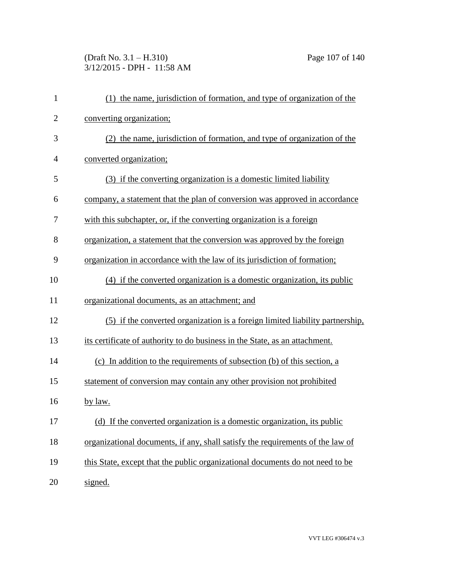# (Draft No. 3.1 – H.310) Page 107 of 140 3/12/2015 - DPH - 11:58 AM

| $\mathbf{1}$   | (1) the name, jurisdiction of formation, and type of organization of the       |
|----------------|--------------------------------------------------------------------------------|
| $\overline{c}$ | converting organization;                                                       |
| 3              | (2) the name, jurisdiction of formation, and type of organization of the       |
| 4              | converted organization;                                                        |
| 5              | (3) if the converting organization is a domestic limited liability             |
| 6              | company, a statement that the plan of conversion was approved in accordance    |
| 7              | with this subchapter, or, if the converting organization is a foreign          |
| 8              | organization, a statement that the conversion was approved by the foreign      |
| 9              | organization in accordance with the law of its jurisdiction of formation;      |
| 10             | (4) if the converted organization is a domestic organization, its public       |
| 11             | organizational documents, as an attachment; and                                |
| 12             | (5) if the converted organization is a foreign limited liability partnership,  |
| 13             | its certificate of authority to do business in the State, as an attachment.    |
| 14             | (c) In addition to the requirements of subsection (b) of this section, a       |
| 15             | statement of conversion may contain any other provision not prohibited         |
| 16             | by law.                                                                        |
| 17             | (d) If the converted organization is a domestic organization, its public       |
| 18             | organizational documents, if any, shall satisfy the requirements of the law of |
| 19             | this State, except that the public organizational documents do not need to be  |
| 20             | signed.                                                                        |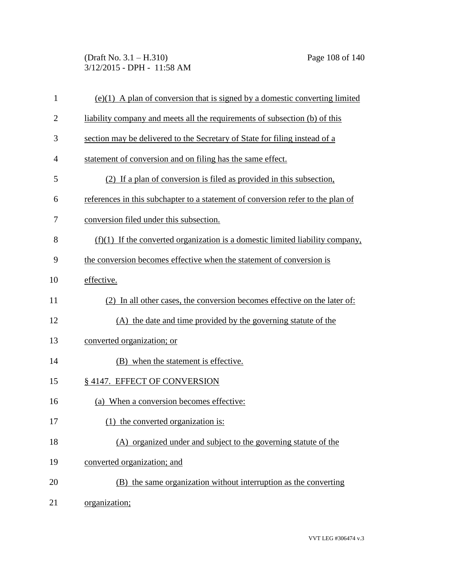(Draft No. 3.1 – H.310) Page 108 of 140 3/12/2015 - DPH - 11:58 AM

| $\mathbf{1}$   | $(e)(1)$ A plan of conversion that is signed by a domestic converting limited   |
|----------------|---------------------------------------------------------------------------------|
| $\overline{2}$ | liability company and meets all the requirements of subsection (b) of this      |
| 3              | section may be delivered to the Secretary of State for filing instead of a      |
| 4              | statement of conversion and on filing has the same effect.                      |
| 5              | (2) If a plan of conversion is filed as provided in this subsection,            |
| 6              | references in this subchapter to a statement of conversion refer to the plan of |
| 7              | conversion filed under this subsection.                                         |
| 8              | $(f)(1)$ If the converted organization is a domestic limited liability company, |
| 9              | the conversion becomes effective when the statement of conversion is            |
| 10             | effective.                                                                      |
| 11             | (2) In all other cases, the conversion becomes effective on the later of:       |
| 12             | (A) the date and time provided by the governing statute of the                  |
| 13             | converted organization; or                                                      |
| 14             | (B) when the statement is effective.                                            |
| 15             | § 4147. EFFECT OF CONVERSION                                                    |
| 16             | (a) When a conversion becomes effective:                                        |
| 17             | (1) the converted organization is:                                              |
| 18             | (A) organized under and subject to the governing statute of the                 |
| 19             | converted organization; and                                                     |
| 20             | (B) the same organization without interruption as the converting                |
| 21             | organization;                                                                   |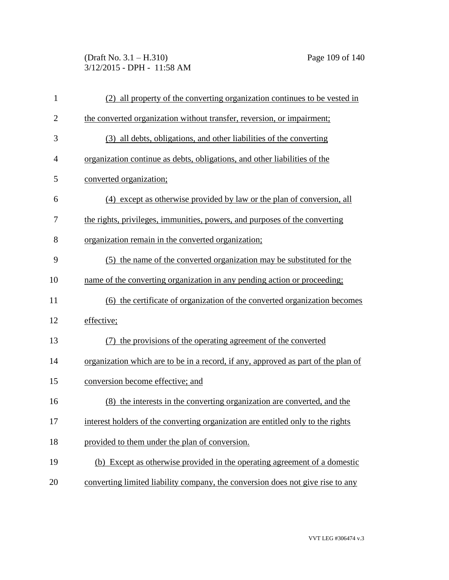(Draft No. 3.1 – H.310) Page 109 of 140 3/12/2015 - DPH - 11:58 AM

| $\mathbf{1}$   | (2) all property of the converting organization continues to be vested in         |
|----------------|-----------------------------------------------------------------------------------|
| $\overline{2}$ | the converted organization without transfer, reversion, or impairment;            |
| 3              | (3) all debts, obligations, and other liabilities of the converting               |
| 4              | organization continue as debts, obligations, and other liabilities of the         |
| 5              | converted organization;                                                           |
| 6              | (4) except as otherwise provided by law or the plan of conversion, all            |
| 7              | the rights, privileges, immunities, powers, and purposes of the converting        |
| 8              | organization remain in the converted organization;                                |
| 9              | (5) the name of the converted organization may be substituted for the             |
| 10             | name of the converting organization in any pending action or proceeding;          |
| 11             | (6) the certificate of organization of the converted organization becomes         |
| 12             | effective;                                                                        |
| 13             | (7) the provisions of the operating agreement of the converted                    |
| 14             | organization which are to be in a record, if any, approved as part of the plan of |
| 15             | conversion become effective; and                                                  |
| 16             | (8) the interests in the converting organization are converted, and the           |
| 17             | interest holders of the converting organization are entitled only to the rights   |
| 18             | provided to them under the plan of conversion.                                    |
| 19             | (b) Except as otherwise provided in the operating agreement of a domestic         |
| 20             | converting limited liability company, the conversion does not give rise to any    |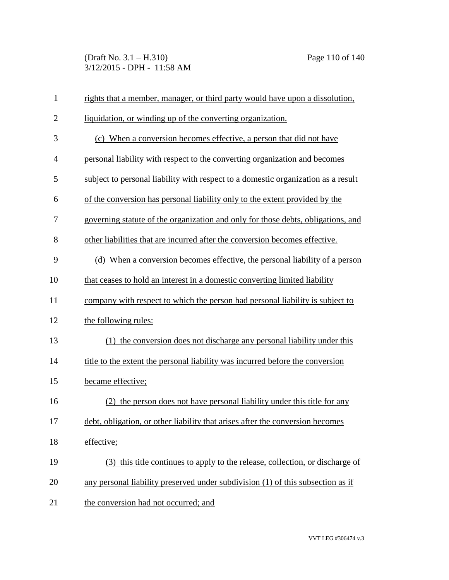(Draft No. 3.1 – H.310) Page 110 of 140 3/12/2015 - DPH - 11:58 AM

| $\mathbf{1}$   | rights that a member, manager, or third party would have upon a dissolution,      |
|----------------|-----------------------------------------------------------------------------------|
| $\overline{2}$ | liquidation, or winding up of the converting organization.                        |
| 3              | (c) When a conversion becomes effective, a person that did not have               |
| $\overline{4}$ | personal liability with respect to the converting organization and becomes        |
| 5              | subject to personal liability with respect to a domestic organization as a result |
| 6              | of the conversion has personal liability only to the extent provided by the       |
| 7              | governing statute of the organization and only for those debts, obligations, and  |
| 8              | other liabilities that are incurred after the conversion becomes effective.       |
| 9              | (d) When a conversion becomes effective, the personal liability of a person       |
| 10             | that ceases to hold an interest in a domestic converting limited liability        |
| 11             | company with respect to which the person had personal liability is subject to     |
| 12             | the following rules:                                                              |
| 13             | (1) the conversion does not discharge any personal liability under this           |
| 14             | title to the extent the personal liability was incurred before the conversion     |
| 15             | became effective;                                                                 |
| 16             | (2) the person does not have personal liability under this title for any          |
| 17             | debt, obligation, or other liability that arises after the conversion becomes     |
| 18             | effective;                                                                        |
| 19             | (3) this title continues to apply to the release, collection, or discharge of     |
| 20             | any personal liability preserved under subdivision (1) of this subsection as if   |
| 21             | the conversion had not occurred; and                                              |

VVT LEG #306474 v.3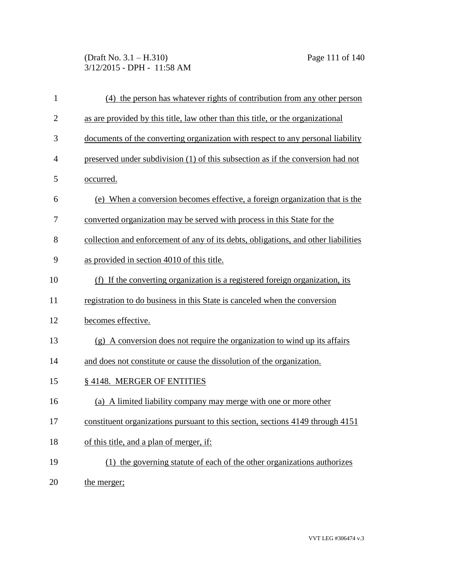(Draft No. 3.1 – H.310) Page 111 of 140 3/12/2015 - DPH - 11:58 AM

| 1              | (4) the person has whatever rights of contribution from any other person           |
|----------------|------------------------------------------------------------------------------------|
| $\overline{2}$ | as are provided by this title, law other than this title, or the organizational    |
| 3              | documents of the converting organization with respect to any personal liability    |
| 4              | preserved under subdivision (1) of this subsection as if the conversion had not    |
| 5              | occurred.                                                                          |
| 6              | (e) When a conversion becomes effective, a foreign organization that is the        |
| 7              | converted organization may be served with process in this State for the            |
| 8              | collection and enforcement of any of its debts, obligations, and other liabilities |
| 9              | as provided in section 4010 of this title.                                         |
| 10             | (f) If the converting organization is a registered foreign organization, its       |
| 11             | registration to do business in this State is canceled when the conversion          |
| 12             | becomes effective.                                                                 |
| 13             | (g) A conversion does not require the organization to wind up its affairs          |
| 14             | and does not constitute or cause the dissolution of the organization.              |
| 15             | §4148. MERGER OF ENTITIES                                                          |
| 16             | (a) A limited liability company may merge with one or more other                   |
| 17             | constituent organizations pursuant to this section, sections 4149 through 4151     |
| 18             | of this title, and a plan of merger, if:                                           |
| 19             | (1) the governing statute of each of the other organizations authorizes            |
| 20             | the merger;                                                                        |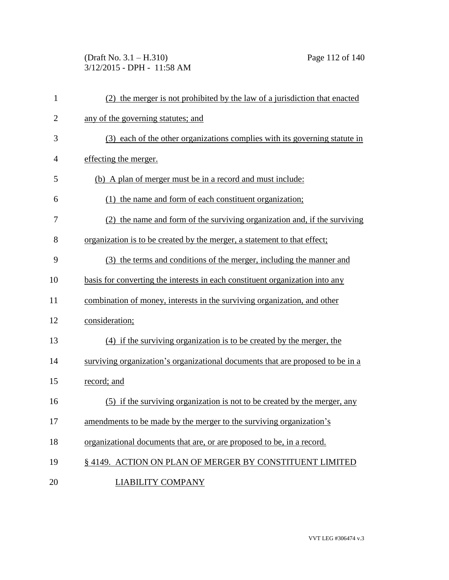(Draft No. 3.1 – H.310) Page 112 of 140 3/12/2015 - DPH - 11:58 AM

| $\mathbf{1}$   | (2) the merger is not prohibited by the law of a jurisdiction that enacted     |
|----------------|--------------------------------------------------------------------------------|
| $\overline{2}$ | any of the governing statutes; and                                             |
| 3              | (3) each of the other organizations complies with its governing statute in     |
| $\overline{4}$ | effecting the merger.                                                          |
| 5              | (b) A plan of merger must be in a record and must include:                     |
| 6              | (1) the name and form of each constituent organization;                        |
| 7              | (2) the name and form of the surviving organization and, if the surviving      |
| 8              | organization is to be created by the merger, a statement to that effect;       |
| 9              | (3) the terms and conditions of the merger, including the manner and           |
| 10             | basis for converting the interests in each constituent organization into any   |
| 11             | combination of money, interests in the surviving organization, and other       |
| 12             | consideration;                                                                 |
| 13             | (4) if the surviving organization is to be created by the merger, the          |
| 14             | surviving organization's organizational documents that are proposed to be in a |
| 15             | record; and                                                                    |
| 16             | (5) if the surviving organization is not to be created by the merger, any      |
| 17             | amendments to be made by the merger to the surviving organization's            |
| 18             | organizational documents that are, or are proposed to be, in a record.         |
| 19             | § 4149. ACTION ON PLAN OF MERGER BY CONSTITUENT LIMITED                        |
| 20             | <b>LIABILITY COMPANY</b>                                                       |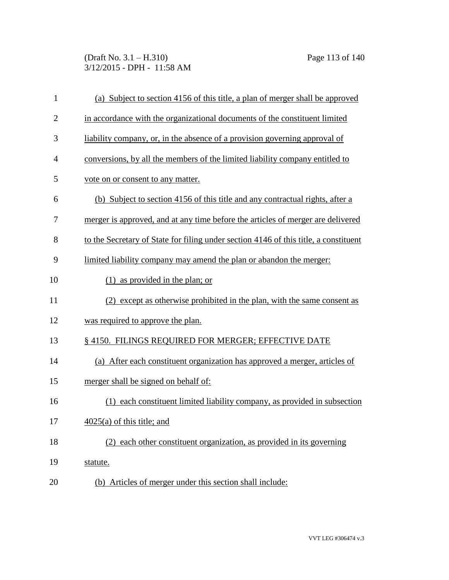(Draft No. 3.1 – H.310) Page 113 of 140 3/12/2015 - DPH - 11:58 AM

| $\mathbf{1}$   | (a) Subject to section 4156 of this title, a plan of merger shall be approved        |
|----------------|--------------------------------------------------------------------------------------|
| $\overline{2}$ | in accordance with the organizational documents of the constituent limited           |
| 3              | liability company, or, in the absence of a provision governing approval of           |
| 4              | conversions, by all the members of the limited liability company entitled to         |
| 5              | vote on or consent to any matter.                                                    |
| 6              | (b) Subject to section 4156 of this title and any contractual rights, after a        |
| 7              | merger is approved, and at any time before the articles of merger are delivered      |
| 8              | to the Secretary of State for filing under section 4146 of this title, a constituent |
| 9              | limited liability company may amend the plan or abandon the merger:                  |
| 10             | as provided in the plan; or                                                          |
| 11             | (2) except as otherwise prohibited in the plan, with the same consent as             |
| 12             | was required to approve the plan.                                                    |
| 13             | § 4150. FILINGS REQUIRED FOR MERGER; EFFECTIVE DATE                                  |
| 14             | (a) After each constituent organization has approved a merger, articles of           |
| 15             | merger shall be signed on behalf of:                                                 |
| 16             | each constituent limited liability company, as provided in subsection<br>(1)         |
| 17             | $\frac{4025(a)}{a}$ of this title; and                                               |
| 18             | (2) each other constituent organization, as provided in its governing                |
| 19             | statute.                                                                             |
| 20             | (b) Articles of merger under this section shall include:                             |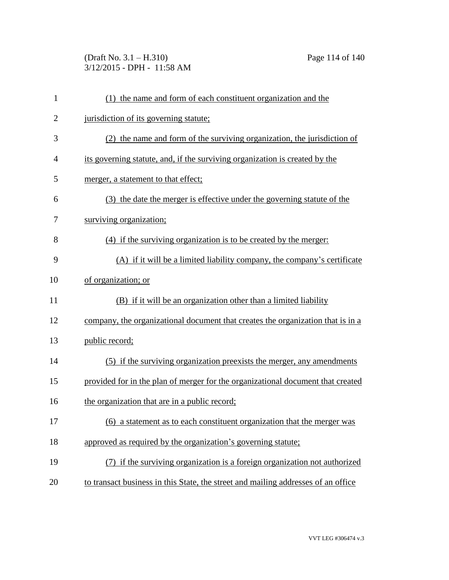(Draft No. 3.1 – H.310) Page 114 of 140 3/12/2015 - DPH - 11:58 AM

| $\mathbf{1}$   | (1) the name and form of each constituent organization and the                    |
|----------------|-----------------------------------------------------------------------------------|
| $\overline{2}$ | jurisdiction of its governing statute;                                            |
| 3              | (2) the name and form of the surviving organization, the jurisdiction of          |
| 4              | its governing statute, and, if the surviving organization is created by the       |
| 5              | merger, a statement to that effect;                                               |
| 6              | (3) the date the merger is effective under the governing statute of the           |
| 7              | surviving organization;                                                           |
| 8              | (4) if the surviving organization is to be created by the merger:                 |
| 9              | (A) if it will be a limited liability company, the company's certificate          |
| 10             | of organization; or                                                               |
| 11             | (B) if it will be an organization other than a limited liability                  |
| 12             | company, the organizational document that creates the organization that is in a   |
| 13             | public record;                                                                    |
| 14             | (5) if the surviving organization preexists the merger, any amendments            |
| 15             | provided for in the plan of merger for the organizational document that created   |
| 16             | the organization that are in a public record;                                     |
| 17             | (6) a statement as to each constituent organization that the merger was           |
| 18             | approved as required by the organization's governing statute;                     |
| 19             | (7) if the surviving organization is a foreign organization not authorized        |
| 20             | to transact business in this State, the street and mailing addresses of an office |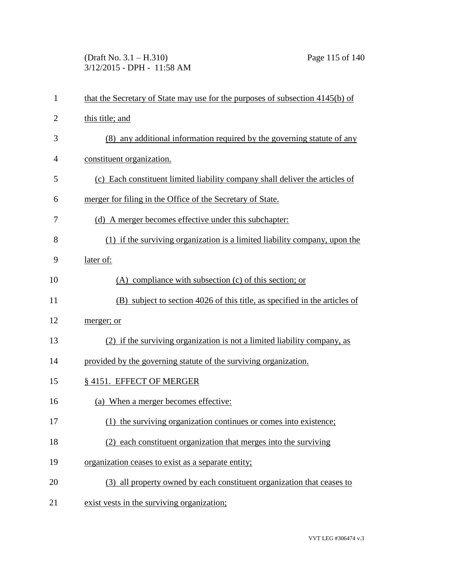(Draft No. 3.1 – H.310) Page 115 of 140 3/12/2015 - DPH - 11:58 AM

| $\mathbf{1}$   | that the Secretary of State may use for the purposes of subsection 4145(b) of |
|----------------|-------------------------------------------------------------------------------|
| $\overline{2}$ | this title; and                                                               |
| 3              | (8) any additional information required by the governing statute of any       |
| 4              | constituent organization.                                                     |
| 5              | (c) Each constituent limited liability company shall deliver the articles of  |
| 6              | merger for filing in the Office of the Secretary of State.                    |
| 7              | (d) A merger becomes effective under this subchapter:                         |
| 8              | (1) if the surviving organization is a limited liability company, upon the    |
| 9              | later of:                                                                     |
| 10             | $(A)$ compliance with subsection $(c)$ of this section; or                    |
| 11             | (B) subject to section 4026 of this title, as specified in the articles of    |
| 12             | merger; or                                                                    |
| 13             | (2) if the surviving organization is not a limited liability company, as      |
| 14             | provided by the governing statute of the surviving organization.              |
| 15             | § 4151. EFFECT OF MERGER                                                      |
| 16             | (a) When a merger becomes effective:                                          |
| 17             | (1) the surviving organization continues or comes into existence;             |
| 18             | (2) each constituent organization that merges into the surviving              |
| 19             | organization ceases to exist as a separate entity;                            |
| 20             | (3) all property owned by each constituent organization that ceases to        |
| 21             | exist vests in the surviving organization;                                    |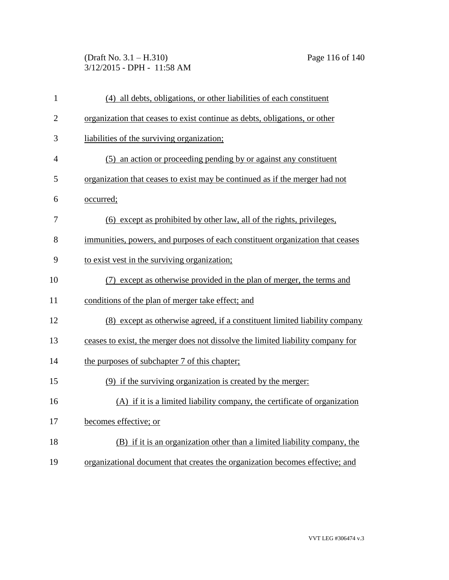(Draft No. 3.1 – H.310) Page 116 of 140 3/12/2015 - DPH - 11:58 AM

| $\mathbf{1}$   | (4) all debts, obligations, or other liabilities of each constituent            |
|----------------|---------------------------------------------------------------------------------|
| $\overline{2}$ | organization that ceases to exist continue as debts, obligations, or other      |
| 3              | liabilities of the surviving organization;                                      |
| $\overline{4}$ | (5) an action or proceeding pending by or against any constituent               |
| 5              | organization that ceases to exist may be continued as if the merger had not     |
| 6              | occurred;                                                                       |
| 7              | (6) except as prohibited by other law, all of the rights, privileges,           |
| 8              | immunities, powers, and purposes of each constituent organization that ceases   |
| 9              | to exist vest in the surviving organization;                                    |
| 10             | (7) except as otherwise provided in the plan of merger, the terms and           |
| 11             | conditions of the plan of merger take effect; and                               |
| 12             | (8) except as otherwise agreed, if a constituent limited liability company      |
| 13             | ceases to exist, the merger does not dissolve the limited liability company for |
| 14             | the purposes of subchapter 7 of this chapter;                                   |
| 15             | (9) if the surviving organization is created by the merger:                     |
| 16             | (A) if it is a limited liability company, the certificate of organization       |
| 17             | becomes effective; or                                                           |
| 18             | (B) if it is an organization other than a limited liability company, the        |
| 19             | organizational document that creates the organization becomes effective; and    |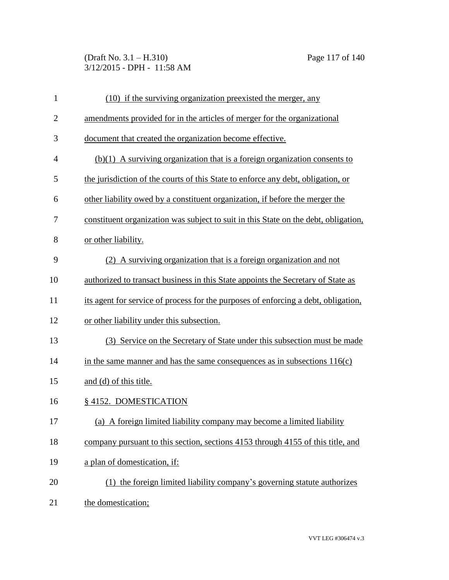(Draft No. 3.1 – H.310) Page 117 of 140 3/12/2015 - DPH - 11:58 AM

| $\mathbf{1}$   | (10) if the surviving organization preexisted the merger, any                       |
|----------------|-------------------------------------------------------------------------------------|
| $\overline{2}$ | amendments provided for in the articles of merger for the organizational            |
| 3              | document that created the organization become effective.                            |
| $\overline{4}$ | $(b)(1)$ A surviving organization that is a foreign organization consents to        |
| 5              | the jurisdiction of the courts of this State to enforce any debt, obligation, or    |
| 6              | other liability owed by a constituent organization, if before the merger the        |
| 7              | constituent organization was subject to suit in this State on the debt, obligation, |
| 8              | or other liability.                                                                 |
| 9              | (2) A surviving organization that is a foreign organization and not                 |
| 10             | authorized to transact business in this State appoints the Secretary of State as    |
| 11             | its agent for service of process for the purposes of enforcing a debt, obligation,  |
| 12             | or other liability under this subsection.                                           |
| 13             | (3) Service on the Secretary of State under this subsection must be made            |
| 14             | in the same manner and has the same consequences as in subsections $116(c)$         |
| 15             | and (d) of this title.                                                              |
| 16             | § 4152. DOMESTICATION                                                               |
| 17             | (a) A foreign limited liability company may become a limited liability              |
| 18             | company pursuant to this section, sections 4153 through 4155 of this title, and     |
| 19             | a plan of domestication, if:                                                        |
| 20             | (1) the foreign limited liability company's governing statute authorizes            |
| 21             | the domestication;                                                                  |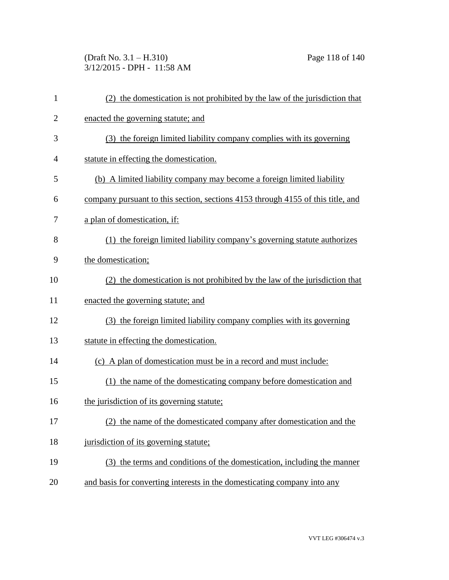(Draft No. 3.1 – H.310) Page 118 of 140 3/12/2015 - DPH - 11:58 AM

| 1              | (2) the domestication is not prohibited by the law of the jurisdiction that     |
|----------------|---------------------------------------------------------------------------------|
| $\overline{2}$ | enacted the governing statute; and                                              |
| 3              | (3) the foreign limited liability company complies with its governing           |
| 4              | statute in effecting the domestication.                                         |
| 5              | (b) A limited liability company may become a foreign limited liability          |
| 6              | company pursuant to this section, sections 4153 through 4155 of this title, and |
| 7              | a plan of domestication, if:                                                    |
| 8              | (1) the foreign limited liability company's governing statute authorizes        |
| 9              | the domestication;                                                              |
| 10             | (2) the domestication is not prohibited by the law of the jurisdiction that     |
| 11             | enacted the governing statute; and                                              |
| 12             | (3) the foreign limited liability company complies with its governing           |
| 13             | statute in effecting the domestication.                                         |
| 14             | (c) A plan of domestication must be in a record and must include:               |
| 15             | (1) the name of the domesticating company before domestication and              |
| 16             | the jurisdiction of its governing statute;                                      |
| 17             | the name of the domesticated company after domestication and the                |
| 18             | jurisdiction of its governing statute;                                          |
| 19             | (3) the terms and conditions of the domestication, including the manner         |
| 20             | and basis for converting interests in the domesticating company into any        |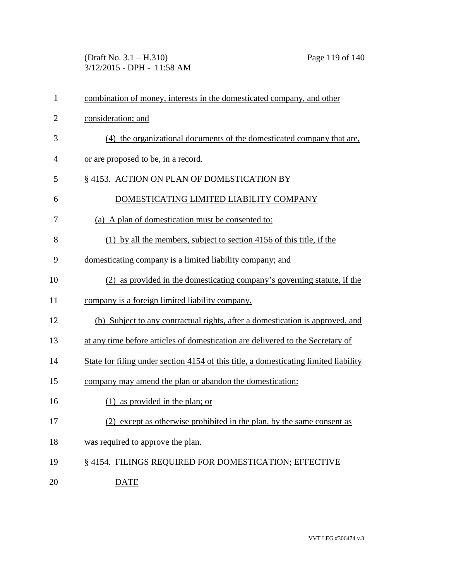(Draft No. 3.1 – H.310) Page 119 of 140 3/12/2015 - DPH - 11:58 AM

| $\mathbf{1}$   | combination of money, interests in the domesticated company, and other               |
|----------------|--------------------------------------------------------------------------------------|
| $\overline{2}$ | consideration; and                                                                   |
| 3              | (4) the organizational documents of the domesticated company that are,               |
| $\overline{4}$ | or are proposed to be, in a record.                                                  |
| 5              | §4153. ACTION ON PLAN OF DOMESTICATION BY                                            |
| 6              | DOMESTICATING LIMITED LIABILITY COMPANY                                              |
| 7              | (a) A plan of domestication must be consented to:                                    |
| 8              | (1) by all the members, subject to section 4156 of this title, if the                |
| 9              | domesticating company is a limited liability company; and                            |
| 10             | (2) as provided in the domesticating company's governing statute, if the             |
| 11             | company is a foreign limited liability company.                                      |
| 12             | (b) Subject to any contractual rights, after a domestication is approved, and        |
| 13             | at any time before articles of domestication are delivered to the Secretary of       |
| 14             | State for filing under section 4154 of this title, a domesticating limited liability |
| 15             | company may amend the plan or abandon the domestication:                             |
| 16             | $(1)$ as provided in the plan; or                                                    |
| 17             | (2) except as otherwise prohibited in the plan, by the same consent as               |
| 18             | was required to approve the plan.                                                    |
| 19             | §4154. FILINGS REQUIRED FOR DOMESTICATION; EFFECTIVE                                 |
| 20             | <b>DATE</b>                                                                          |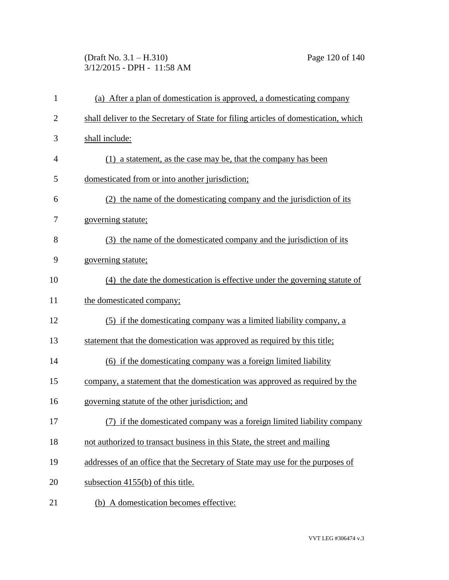(Draft No. 3.1 – H.310) Page 120 of 140 3/12/2015 - DPH - 11:58 AM

| $\mathbf{1}$   | (a) After a plan of domestication is approved, a domesticating company              |
|----------------|-------------------------------------------------------------------------------------|
| $\overline{2}$ | shall deliver to the Secretary of State for filing articles of domestication, which |
| 3              | shall include:                                                                      |
| $\overline{4}$ | (1) a statement, as the case may be, that the company has been                      |
| 5              | domesticated from or into another jurisdiction;                                     |
| 6              | (2) the name of the domesticating company and the jurisdiction of its               |
| 7              | governing statute;                                                                  |
| 8              | (3) the name of the domesticated company and the jurisdiction of its                |
| 9              | governing statute;                                                                  |
| 10             | (4) the date the domestication is effective under the governing statute of          |
| 11             | the domesticated company;                                                           |
| 12             | (5) if the domesticating company was a limited liability company, a                 |
| 13             | statement that the domestication was approved as required by this title;            |
| 14             | (6) if the domesticating company was a foreign limited liability                    |
| 15             | company, a statement that the domestication was approved as required by the         |
| 16             | governing statute of the other jurisdiction; and                                    |
| 17             | (7) if the domesticated company was a foreign limited liability company             |
| 18             | not authorized to transact business in this State, the street and mailing           |
| 19             | addresses of an office that the Secretary of State may use for the purposes of      |
| 20             | subsection 4155(b) of this title.                                                   |
| 21             | (b) A domestication becomes effective:                                              |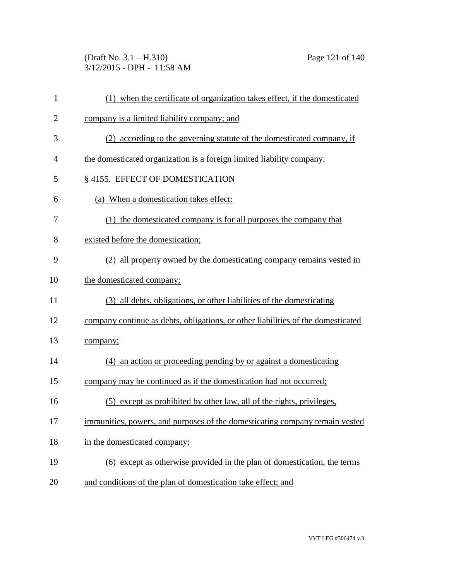(Draft No. 3.1 – H.310) Page 121 of 140 3/12/2015 - DPH - 11:58 AM

| $\mathbf{1}$   | (1) when the certificate of organization takes effect, if the domesticated       |
|----------------|----------------------------------------------------------------------------------|
| $\overline{2}$ | company is a limited liability company; and                                      |
| 3              | (2) according to the governing statute of the domesticated company, if           |
| 4              | the domesticated organization is a foreign limited liability company.            |
| 5              | §4155. EFFECT OF DOMESTICATION                                                   |
| 6              | (a) When a domestication takes effect:                                           |
| 7              | (1) the domesticated company is for all purposes the company that                |
| 8              | existed before the domestication;                                                |
| 9              | (2) all property owned by the domesticating company remains vested in            |
| 10             | the domesticated company;                                                        |
| 11             | (3) all debts, obligations, or other liabilities of the domesticating            |
| 12             | company continue as debts, obligations, or other liabilities of the domesticated |
| 13             | company;                                                                         |
| 14             | (4) an action or proceeding pending by or against a domesticating                |
| 15             | company may be continued as if the domestication had not occurred;               |
| 16             | (5) except as prohibited by other law, all of the rights, privileges,            |
| 17             | immunities, powers, and purposes of the domesticating company remain vested      |
| 18             | in the domesticated company;                                                     |
| 19             | (6) except as otherwise provided in the plan of domestication, the terms         |
| 20             | and conditions of the plan of domestication take effect; and                     |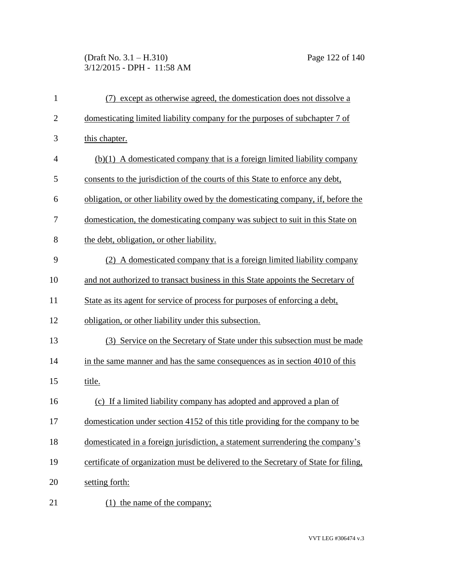# (Draft No. 3.1 – H.310) Page 122 of 140 3/12/2015 - DPH - 11:58 AM

| $\mathbf{1}$   | except as otherwise agreed, the domestication does not dissolve a                   |
|----------------|-------------------------------------------------------------------------------------|
| $\overline{2}$ | domesticating limited liability company for the purposes of subchapter 7 of         |
| 3              | this chapter.                                                                       |
| $\overline{4}$ | $(b)(1)$ A domesticated company that is a foreign limited liability company         |
| 5              | consents to the jurisdiction of the courts of this State to enforce any debt,       |
| 6              | obligation, or other liability owed by the domesticating company, if, before the    |
| 7              | domestication, the domesticating company was subject to suit in this State on       |
| 8              | the debt, obligation, or other liability.                                           |
| 9              | (2) A domesticated company that is a foreign limited liability company              |
| 10             | and not authorized to transact business in this State appoints the Secretary of     |
| 11             | State as its agent for service of process for purposes of enforcing a debt,         |
| 12             | obligation, or other liability under this subsection.                               |
| 13             | (3) Service on the Secretary of State under this subsection must be made            |
| 14             | in the same manner and has the same consequences as in section 4010 of this         |
| 15             | title.                                                                              |
| 16             | (c) If a limited liability company has adopted and approved a plan of               |
| 17             | domestication under section 4152 of this title providing for the company to be      |
| 18             | domesticated in a foreign jurisdiction, a statement surrendering the company's      |
| 19             | certificate of organization must be delivered to the Secretary of State for filing, |
| 20             | setting forth:                                                                      |
| 21             | $(1)$ the name of the company;                                                      |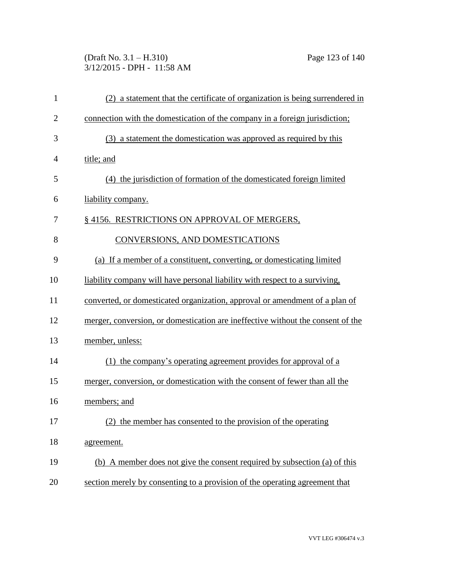(Draft No. 3.1 – H.310) Page 123 of 140 3/12/2015 - DPH - 11:58 AM

| $\mathbf{1}$   | (2) a statement that the certificate of organization is being surrendered in    |
|----------------|---------------------------------------------------------------------------------|
| $\overline{2}$ | connection with the domestication of the company in a foreign jurisdiction;     |
| 3              | (3) a statement the domestication was approved as required by this              |
| $\overline{4}$ | title; and                                                                      |
| 5              | (4) the jurisdiction of formation of the domesticated foreign limited           |
| 6              | liability company.                                                              |
| 7              | § 4156. RESTRICTIONS ON APPROVAL OF MERGERS,                                    |
| 8              | CONVERSIONS, AND DOMESTICATIONS                                                 |
| 9              | (a) If a member of a constituent, converting, or domesticating limited          |
| 10             | liability company will have personal liability with respect to a surviving,     |
| 11             | converted, or domesticated organization, approval or amendment of a plan of     |
| 12             | merger, conversion, or domestication are ineffective without the consent of the |
| 13             | member, unless:                                                                 |
| 14             | (1) the company's operating agreement provides for approval of a                |
| 15             | merger, conversion, or domestication with the consent of fewer than all the     |
| 16             | members; and                                                                    |
| 17             | the member has consented to the provision of the operating                      |
| 18             | agreement.                                                                      |
| 19             | (b) A member does not give the consent required by subsection (a) of this       |
| 20             | section merely by consenting to a provision of the operating agreement that     |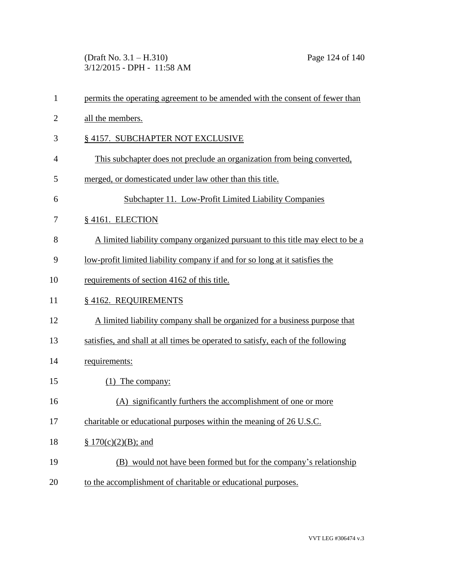(Draft No. 3.1 – H.310) Page 124 of 140 3/12/2015 - DPH - 11:58 AM

| $\mathbf{1}$   | permits the operating agreement to be amended with the consent of fewer than    |
|----------------|---------------------------------------------------------------------------------|
| $\overline{2}$ | all the members.                                                                |
| 3              | §4157. SUBCHAPTER NOT EXCLUSIVE                                                 |
| 4              | This subchapter does not preclude an organization from being converted.         |
| 5              | merged, or domesticated under law other than this title.                        |
| 6              | Subchapter 11. Low-Profit Limited Liability Companies                           |
| 7              | §4161. ELECTION                                                                 |
| 8              | A limited liability company organized pursuant to this title may elect to be a  |
| 9              | low-profit limited liability company if and for so long at it satisfies the     |
| 10             | requirements of section 4162 of this title.                                     |
| 11             | § 4162. REQUIREMENTS                                                            |
| 12             | A limited liability company shall be organized for a business purpose that      |
| 13             | satisfies, and shall at all times be operated to satisfy, each of the following |
| 14             | requirements:                                                                   |
| 15             | $(1)$ The company:                                                              |
| 16             | (A) significantly furthers the accomplishment of one or more                    |
| 17             | charitable or educational purposes within the meaning of 26 U.S.C.              |
| 18             | $\S 170(c)(2)(B)$ ; and                                                         |
| 19             | (B) would not have been formed but for the company's relationship               |
| 20             | to the accomplishment of charitable or educational purposes.                    |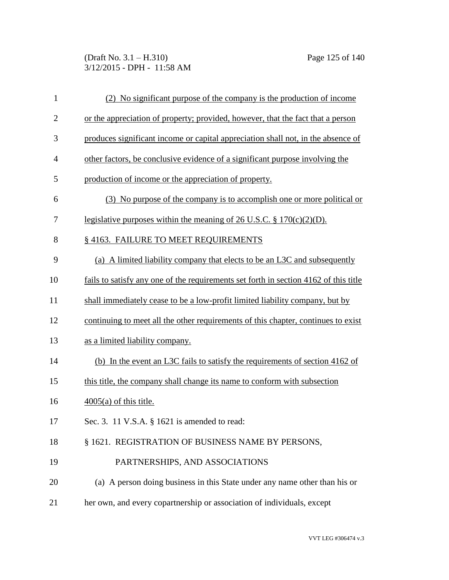(Draft No. 3.1 – H.310) Page 125 of 140 3/12/2015 - DPH - 11:58 AM

| $\mathbf{1}$   | (2) No significant purpose of the company is the production of income                |
|----------------|--------------------------------------------------------------------------------------|
| $\overline{2}$ | or the appreciation of property; provided, however, that the fact that a person      |
| 3              | produces significant income or capital appreciation shall not, in the absence of     |
| $\overline{4}$ | other factors, be conclusive evidence of a significant purpose involving the         |
| 5              | production of income or the appreciation of property.                                |
| 6              | (3) No purpose of the company is to accomplish one or more political or              |
| 7              | legislative purposes within the meaning of 26 U.S.C. $\S 170(c)(2)(D)$ .             |
| 8              | § 4163. FAILURE TO MEET REQUIREMENTS                                                 |
| 9              | (a) A limited liability company that elects to be an L3C and subsequently            |
| 10             | fails to satisfy any one of the requirements set forth in section 4162 of this title |
| 11             | shall immediately cease to be a low-profit limited liability company, but by         |
| 12             | continuing to meet all the other requirements of this chapter, continues to exist    |
| 13             | as a limited liability company.                                                      |
| 14             | (b) In the event an L3C fails to satisfy the requirements of section 4162 of         |
| 15             | this title, the company shall change its name to conform with subsection             |
| 16             | $4005(a)$ of this title.                                                             |
| 17             | Sec. 3. 11 V.S.A. § 1621 is amended to read:                                         |
| 18             | § 1621. REGISTRATION OF BUSINESS NAME BY PERSONS,                                    |
| 19             | PARTNERSHIPS, AND ASSOCIATIONS                                                       |
| 20             | (a) A person doing business in this State under any name other than his or           |
| 21             | her own, and every copartnership or association of individuals, except               |
|                |                                                                                      |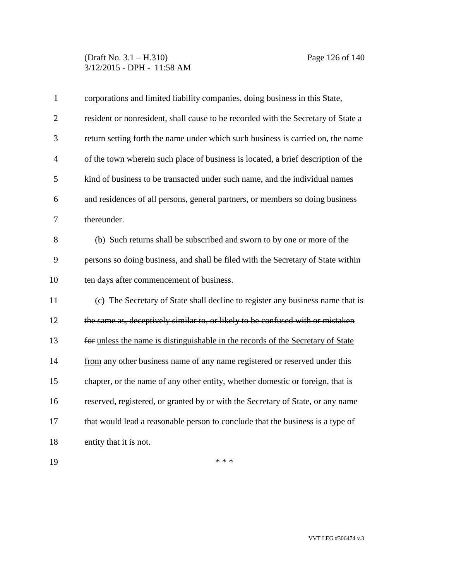## (Draft No. 3.1 – H.310) Page 126 of 140 3/12/2015 - DPH - 11:58 AM

| $\mathbf{1}$   | corporations and limited liability companies, doing business in this State,       |
|----------------|-----------------------------------------------------------------------------------|
| $\overline{2}$ | resident or nonresident, shall cause to be recorded with the Secretary of State a |
| 3              | return setting forth the name under which such business is carried on, the name   |
| $\overline{4}$ | of the town wherein such place of business is located, a brief description of the |
| 5              | kind of business to be transacted under such name, and the individual names       |
| 6              | and residences of all persons, general partners, or members so doing business     |
| $\overline{7}$ | thereunder.                                                                       |
| 8              | (b) Such returns shall be subscribed and sworn to by one or more of the           |
| 9              | persons so doing business, and shall be filed with the Secretary of State within  |
| 10             | ten days after commencement of business.                                          |
| 11             | (c) The Secretary of State shall decline to register any business name that is    |
| 12             | the same as, deceptively similar to, or likely to be confused with or mistaken    |
| 13             | for unless the name is distinguishable in the records of the Secretary of State   |
| 14             | from any other business name of any name registered or reserved under this        |
| 15             | chapter, or the name of any other entity, whether domestic or foreign, that is    |
| 16             | reserved, registered, or granted by or with the Secretary of State, or any name   |
| 17             | that would lead a reasonable person to conclude that the business is a type of    |
| 18             | entity that it is not.                                                            |
|                |                                                                                   |

\*\*\*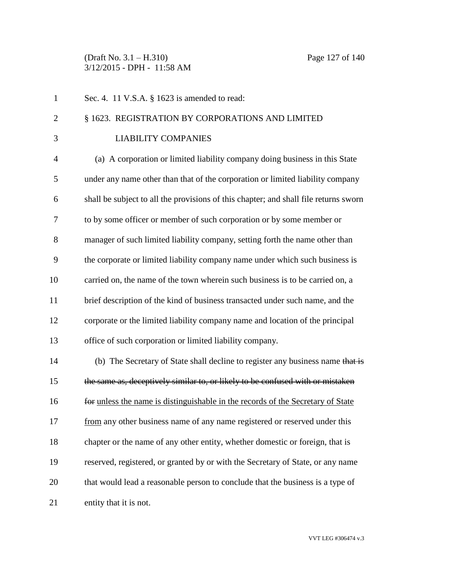(Draft No. 3.1 – H.310) Page 127 of 140 3/12/2015 - DPH - 11:58 AM

1 Sec. 4. 11 V.S.A. § 1623 is amended to read: § 1623. REGISTRATION BY CORPORATIONS AND LIMITED 3 LIABILITY COMPANIES (a) A corporation or limited liability company doing business in this State under any name other than that of the corporation or limited liability company shall be subject to all the provisions of this chapter; and shall file returns sworn to by some officer or member of such corporation or by some member or manager of such limited liability company, setting forth the name other than the corporate or limited liability company name under which such business is carried on, the name of the town wherein such business is to be carried on, a brief description of the kind of business transacted under such name, and the corporate or the limited liability company name and location of the principal office of such corporation or limited liability company. (b) The Secretary of State shall decline to register any business name that is the same as, deceptively similar to, or likely to be confused with or mistaken for unless the name is distinguishable in the records of the Secretary of State 17 from any other business name of any name registered or reserved under this chapter or the name of any other entity, whether domestic or foreign, that is reserved, registered, or granted by or with the Secretary of State, or any name that would lead a reasonable person to conclude that the business is a type of entity that it is not.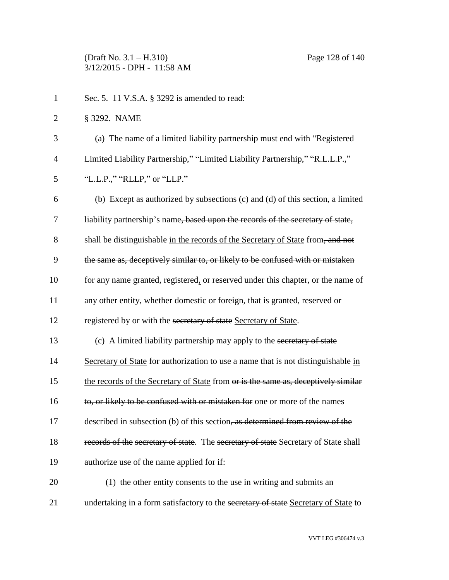(Draft No. 3.1 – H.310) Page 128 of 140 3/12/2015 - DPH - 11:58 AM

| $\mathbf{1}$   | Sec. 5. 11 V.S.A. § 3292 is amended to read:                                       |
|----------------|------------------------------------------------------------------------------------|
| $\overline{2}$ | § 3292. NAME                                                                       |
| 3              | (a) The name of a limited liability partnership must end with "Registered          |
| $\overline{4}$ | Limited Liability Partnership," "Limited Liability Partnership," "R.L.L.P.,"       |
| 5              | "L.L.P.," "RLLP," or "LLP."                                                        |
| 6              | (b) Except as authorized by subsections (c) and (d) of this section, a limited     |
| 7              | liability partnership's name, based upon the records of the secretary of state,    |
| 8              | shall be distinguishable in the records of the Secretary of State from, and not    |
| 9              | the same as, deceptively similar to, or likely to be confused with or mistaken     |
| 10             | for any name granted, registered, or reserved under this chapter, or the name of   |
| 11             | any other entity, whether domestic or foreign, that is granted, reserved or        |
| 12             | registered by or with the secretary of state Secretary of State.                   |
| 13             | (c) A limited liability partnership may apply to the secretary of state            |
| 14             | Secretary of State for authorization to use a name that is not distinguishable in  |
| 15             | the records of the Secretary of State from or is the same as, deceptively similar  |
| 16             | to, or likely to be confused with or mistaken for one or more of the names         |
| 17             | described in subsection (b) of this section, as determined from review of the      |
| 18             | records of the secretary of state. The secretary of state Secretary of State shall |
| 19             | authorize use of the name applied for if:                                          |
| 20             | (1) the other entity consents to the use in writing and submits an                 |
| 21             | undertaking in a form satisfactory to the secretary of state Secretary of State to |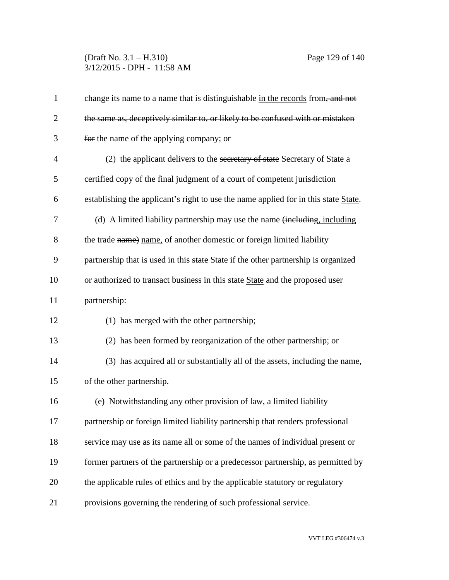# (Draft No. 3.1 – H.310) Page 129 of 140 3/12/2015 - DPH - 11:58 AM

| $\mathbf{1}$   | change its name to a name that is distinguishable in the records from, and not      |
|----------------|-------------------------------------------------------------------------------------|
| $\overline{2}$ | the same as, deceptively similar to, or likely to be confused with or mistaken      |
| 3              | for the name of the applying company; or                                            |
| $\overline{4}$ | (2) the applicant delivers to the secretary of state Secretary of State a           |
| 5              | certified copy of the final judgment of a court of competent jurisdiction           |
| 6              | establishing the applicant's right to use the name applied for in this state State. |
| 7              | (d) A limited liability partnership may use the name (including, including          |
| 8              | the trade name) name, of another domestic or foreign limited liability              |
| 9              | partnership that is used in this state State if the other partnership is organized  |
| 10             | or authorized to transact business in this state State and the proposed user        |
| 11             | partnership:                                                                        |
| 12             | (1) has merged with the other partnership;                                          |
| 13             | (2) has been formed by reorganization of the other partnership; or                  |
| 14             | (3) has acquired all or substantially all of the assets, including the name,        |
| 15             | of the other partnership.                                                           |
| 16             | (e) Notwithstanding any other provision of law, a limited liability                 |
| 17             | partnership or foreign limited liability partnership that renders professional      |
| 18             | service may use as its name all or some of the names of individual present or       |
| 19             | former partners of the partnership or a predecessor partnership, as permitted by    |
| 20             | the applicable rules of ethics and by the applicable statutory or regulatory        |
| 21             | provisions governing the rendering of such professional service.                    |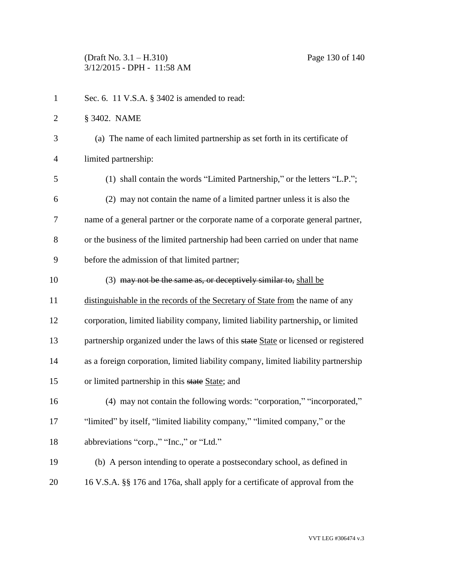| $\mathbf{1}$   | Sec. 6. 11 V.S.A. § 3402 is amended to read:                                       |
|----------------|------------------------------------------------------------------------------------|
| $\overline{2}$ | § 3402. NAME                                                                       |
| 3              | (a) The name of each limited partnership as set forth in its certificate of        |
| $\overline{4}$ | limited partnership:                                                               |
| 5              | (1) shall contain the words "Limited Partnership," or the letters "L.P.";          |
| 6              | (2) may not contain the name of a limited partner unless it is also the            |
| 7              | name of a general partner or the corporate name of a corporate general partner,    |
| 8              | or the business of the limited partnership had been carried on under that name     |
| 9              | before the admission of that limited partner;                                      |
| 10             | (3) may not be the same as, or deceptively similar to, shall be                    |
| 11             | distinguishable in the records of the Secretary of State from the name of any      |
| 12             | corporation, limited liability company, limited liability partnership, or limited  |
| 13             | partnership organized under the laws of this state State or licensed or registered |
| 14             | as a foreign corporation, limited liability company, limited liability partnership |
| 15             | or limited partnership in this state State; and                                    |
| 16             | (4) may not contain the following words: "corporation," "incorporated,"            |
| 17             | "limited" by itself, "limited liability company," "limited company," or the        |
| 18             | abbreviations "corp.," "Inc.," or "Ltd."                                           |
| 19             | (b) A person intending to operate a postsecondary school, as defined in            |
| 20             | 16 V.S.A. §§ 176 and 176a, shall apply for a certificate of approval from the      |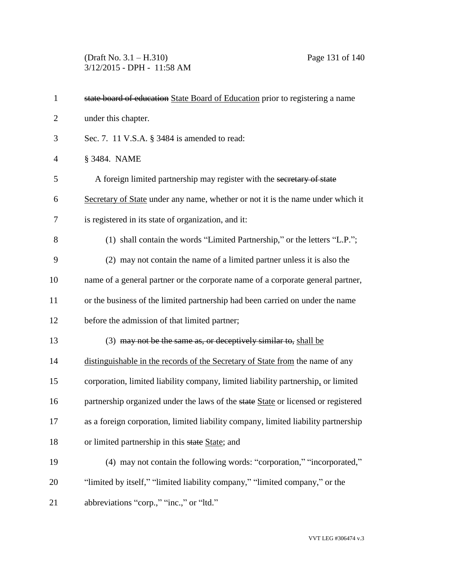(Draft No. 3.1 – H.310) Page 131 of 140 3/12/2015 - DPH - 11:58 AM

| $\mathbf{1}$   | state board of education State Board of Education prior to registering a name      |
|----------------|------------------------------------------------------------------------------------|
| $\overline{2}$ | under this chapter.                                                                |
| 3              | Sec. 7. 11 V.S.A. § 3484 is amended to read:                                       |
| $\overline{4}$ | § 3484. NAME                                                                       |
| 5              | A foreign limited partnership may register with the secretary of state             |
| 6              | Secretary of State under any name, whether or not it is the name under which it    |
| 7              | is registered in its state of organization, and it:                                |
| 8              | (1) shall contain the words "Limited Partnership," or the letters "L.P.";          |
| 9              | (2) may not contain the name of a limited partner unless it is also the            |
| 10             | name of a general partner or the corporate name of a corporate general partner,    |
| 11             | or the business of the limited partnership had been carried on under the name      |
| 12             | before the admission of that limited partner;                                      |
| 13             | (3) may not be the same as, or deceptively similar to, shall be                    |
| 14             | distinguishable in the records of the Secretary of State from the name of any      |
| 15             | corporation, limited liability company, limited liability partnership, or limited  |
| 16             | partnership organized under the laws of the state State or licensed or registered  |
| 17             | as a foreign corporation, limited liability company, limited liability partnership |
| 18             | or limited partnership in this state State; and                                    |
| 19             | (4) may not contain the following words: "corporation," "incorporated,"            |
| 20             | "limited by itself," "limited liability company," "limited company," or the        |
| 21             | abbreviations "corp.," "inc.," or "ltd."                                           |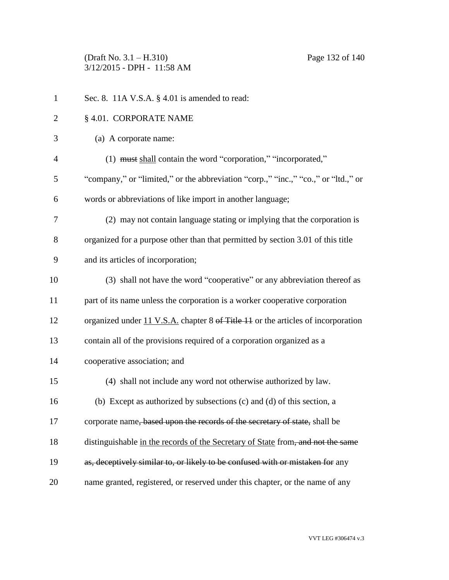(Draft No. 3.1 – H.310) Page 132 of 140 3/12/2015 - DPH - 11:58 AM

| $\mathbf{1}$   | Sec. 8. 11A V.S.A. § 4.01 is amended to read:                                      |
|----------------|------------------------------------------------------------------------------------|
| 2              | § 4.01. CORPORATE NAME                                                             |
| 3              | (a) A corporate name:                                                              |
| $\overline{4}$ | (1) must shall contain the word "corporation," "incorporated,"                     |
| 5              | "company," or "limited," or the abbreviation "corp.," "inc.," "co.," or "ltd.," or |
| 6              | words or abbreviations of like import in another language;                         |
| $\tau$         | (2) may not contain language stating or implying that the corporation is           |
| 8              | organized for a purpose other than that permitted by section 3.01 of this title    |
| 9              | and its articles of incorporation;                                                 |
| 10             | (3) shall not have the word "cooperative" or any abbreviation thereof as           |
| 11             | part of its name unless the corporation is a worker cooperative corporation        |
| 12             | organized under 11 V.S.A. chapter 8 of Title 11 or the articles of incorporation   |
| 13             | contain all of the provisions required of a corporation organized as a             |
| 14             | cooperative association; and                                                       |
| 15             | (4) shall not include any word not otherwise authorized by law.                    |
| 16             | (b) Except as authorized by subsections (c) and (d) of this section, a             |
| 17             | corporate name, based upon the records of the secretary of state, shall be         |
| 18             | distinguishable in the records of the Secretary of State from, and not the same    |
| 19             | as, deceptively similar to, or likely to be confused with or mistaken for any      |
| 20             | name granted, registered, or reserved under this chapter, or the name of any       |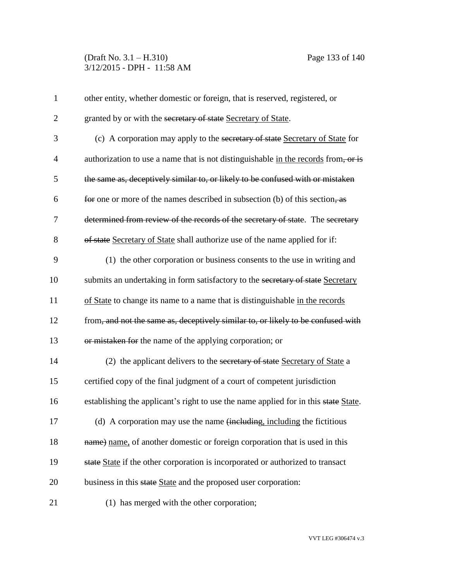# (Draft No. 3.1 – H.310) Page 133 of 140 3/12/2015 - DPH - 11:58 AM

| $\mathbf{1}$   | other entity, whether domestic or foreign, that is reserved, registered, or         |
|----------------|-------------------------------------------------------------------------------------|
| $\overline{2}$ | granted by or with the secretary of state Secretary of State.                       |
| 3              | (c) A corporation may apply to the secretary of state Secretary of State for        |
| $\overline{4}$ | authorization to use a name that is not distinguishable in the records from, or is  |
| 5              | the same as, deceptively similar to, or likely to be confused with or mistaken      |
| 6              | for one or more of the names described in subsection (b) of this section, as        |
| 7              | determined from review of the records of the secretary of state. The secretary      |
| 8              | of state Secretary of State shall authorize use of the name applied for if:         |
| 9              | (1) the other corporation or business consents to the use in writing and            |
| 10             | submits an undertaking in form satisfactory to the secretary of state Secretary     |
| 11             | of State to change its name to a name that is distinguishable in the records        |
| 12             | from, and not the same as, deceptively similar to, or likely to be confused with    |
| 13             | or mistaken for the name of the applying corporation; or                            |
| 14             | (2) the applicant delivers to the secretary of state Secretary of State a           |
| 15             | certified copy of the final judgment of a court of competent jurisdiction           |
| 16             | establishing the applicant's right to use the name applied for in this state State. |
| 17             | (d) A corporation may use the name (including, including the fictitious             |
| 18             | name) name, of another domestic or foreign corporation that is used in this         |
| 19             | state State if the other corporation is incorporated or authorized to transact      |
| 20             | business in this state State and the proposed user corporation:                     |
| 21             | (1) has merged with the other corporation;                                          |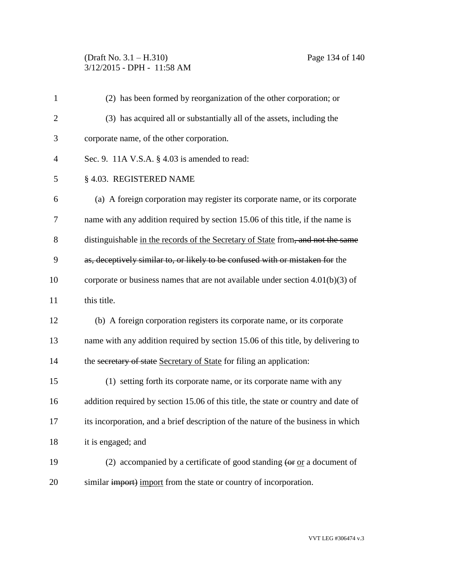## (Draft No. 3.1 – H.310) Page 134 of 140 3/12/2015 - DPH - 11:58 AM

| $\mathbf{1}$   | (2) has been formed by reorganization of the other corporation; or                                            |
|----------------|---------------------------------------------------------------------------------------------------------------|
| $\overline{2}$ | (3) has acquired all or substantially all of the assets, including the                                        |
| 3              | corporate name, of the other corporation.                                                                     |
| 4              | Sec. 9. $11A$ V.S.A. § 4.03 is amended to read:                                                               |
| 5              | § 4.03. REGISTERED NAME                                                                                       |
| 6              | (a) A foreign corporation may register its corporate name, or its corporate                                   |
| 7              | name with any addition required by section 15.06 of this title, if the name is                                |
| 8              | distinguishable in the records of the Secretary of State from, and not the same                               |
| 9              | as, deceptively similar to, or likely to be confused with or mistaken for the                                 |
| 10             | corporate or business names that are not available under section $4.01(b)(3)$ of                              |
| 11             | this title.                                                                                                   |
| 12             | (b) A foreign corporation registers its corporate name, or its corporate                                      |
| 13             | name with any addition required by section 15.06 of this title, by delivering to                              |
| 14             | the secretary of state Secretary of State for filing an application:                                          |
| 15             | (1) setting forth its corporate name, or its corporate name with any                                          |
| 16             | addition required by section 15.06 of this title, the state or country and date of                            |
| 17             | its incorporation, and a brief description of the nature of the business in which                             |
| 18             | it is engaged; and                                                                                            |
| 19             | (2) accompanied by a certificate of good standing $\left( \text{or } \text{or} \text{ a document of} \right)$ |
| 20             | similar import) import from the state or country of incorporation.                                            |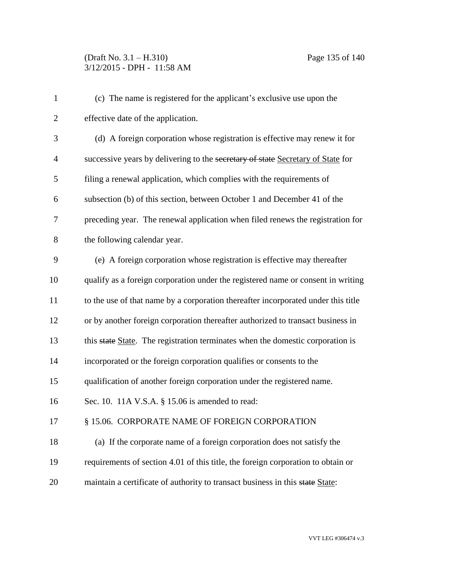| $\mathbf{1}$   | (c) The name is registered for the applicant's exclusive use upon the             |
|----------------|-----------------------------------------------------------------------------------|
| $\overline{2}$ | effective date of the application.                                                |
| 3              | (d) A foreign corporation whose registration is effective may renew it for        |
| $\overline{4}$ | successive years by delivering to the secretary of state Secretary of State for   |
| 5              | filing a renewal application, which complies with the requirements of             |
| 6              | subsection (b) of this section, between October 1 and December 41 of the          |
| 7              | preceding year. The renewal application when filed renews the registration for    |
| 8              | the following calendar year.                                                      |
| 9              | (e) A foreign corporation whose registration is effective may thereafter          |
| 10             | qualify as a foreign corporation under the registered name or consent in writing  |
| 11             | to the use of that name by a corporation thereafter incorporated under this title |
| 12             | or by another foreign corporation thereafter authorized to transact business in   |
| 13             | this state State. The registration terminates when the domestic corporation is    |
| 14             | incorporated or the foreign corporation qualifies or consents to the              |
| 15             | qualification of another foreign corporation under the registered name.           |
| 16             | Sec. 10. 11A V.S.A. § 15.06 is amended to read:                                   |
| 17             | § 15.06. CORPORATE NAME OF FOREIGN CORPORATION                                    |
| 18             | (a) If the corporate name of a foreign corporation does not satisfy the           |
| 19             | requirements of section 4.01 of this title, the foreign corporation to obtain or  |
| 20             | maintain a certificate of authority to transact business in this state State:     |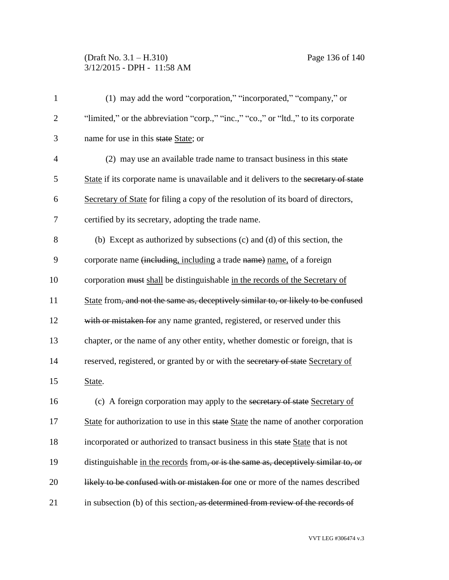# (Draft No. 3.1 – H.310) Page 136 of 140 3/12/2015 - DPH - 11:58 AM

| $\mathbf{1}$   | (1) may add the word "corporation," "incorporated," "company," or                    |
|----------------|--------------------------------------------------------------------------------------|
| $\overline{2}$ | "limited," or the abbreviation "corp.," "inc.," "co.," or "ltd.," to its corporate   |
| 3              | name for use in this state State; or                                                 |
| $\overline{4}$ | (2) may use an available trade name to transact business in this state               |
| 5              | State if its corporate name is unavailable and it delivers to the secretary of state |
| 6              | Secretary of State for filing a copy of the resolution of its board of directors,    |
| 7              | certified by its secretary, adopting the trade name.                                 |
| 8              | (b) Except as authorized by subsections (c) and (d) of this section, the             |
| 9              | corporate name (including, including a trade name) name, of a foreign                |
| 10             | corporation must shall be distinguishable in the records of the Secretary of         |
| 11             | State from, and not the same as, deceptively similar to, or likely to be confused    |
| 12             | with or mistaken for any name granted, registered, or reserved under this            |
| 13             | chapter, or the name of any other entity, whether domestic or foreign, that is       |
| 14             | reserved, registered, or granted by or with the secretary of state Secretary of      |
| 15             | State.                                                                               |
| 16             | (c) A foreign corporation may apply to the secretary of state Secretary of           |
| 17             | State for authorization to use in this state State the name of another corporation   |
| 18             | incorporated or authorized to transact business in this state State that is not      |
| 19             | distinguishable in the records from, or is the same as, deceptively similar to, or   |
| 20             | likely to be confused with or mistaken for one or more of the names described        |
| 21             | in subsection (b) of this section, as determined from review of the records of       |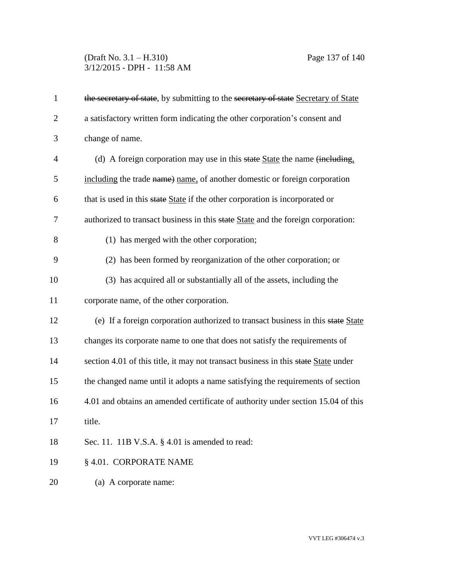# (Draft No. 3.1 – H.310) Page 137 of 140 3/12/2015 - DPH - 11:58 AM

| $\mathbf{1}$   | the secretary of state, by submitting to the secretary of state Secretary of State |
|----------------|------------------------------------------------------------------------------------|
| $\overline{2}$ | a satisfactory written form indicating the other corporation's consent and         |
| 3              | change of name.                                                                    |
| $\overline{4}$ | (d) A foreign corporation may use in this state State the name (including,         |
| 5              | including the trade name) name, of another domestic or foreign corporation         |
| 6              | that is used in this state State if the other corporation is incorporated or       |
| 7              | authorized to transact business in this state State and the foreign corporation:   |
| 8              | (1) has merged with the other corporation;                                         |
| 9              | (2) has been formed by reorganization of the other corporation; or                 |
| 10             | (3) has acquired all or substantially all of the assets, including the             |
| 11             | corporate name, of the other corporation.                                          |
| 12             | (e) If a foreign corporation authorized to transact business in this state State   |
| 13             | changes its corporate name to one that does not satisfy the requirements of        |
| 14             | section 4.01 of this title, it may not transact business in this state State under |
| 15             | the changed name until it adopts a name satisfying the requirements of section     |
| 16             | 4.01 and obtains an amended certificate of authority under section 15.04 of this   |
| 17             | title.                                                                             |
| 18             | Sec. 11. 11B V.S.A. § 4.01 is amended to read:                                     |
| 19             | § 4.01. CORPORATE NAME                                                             |
| 20             | (a) A corporate name:                                                              |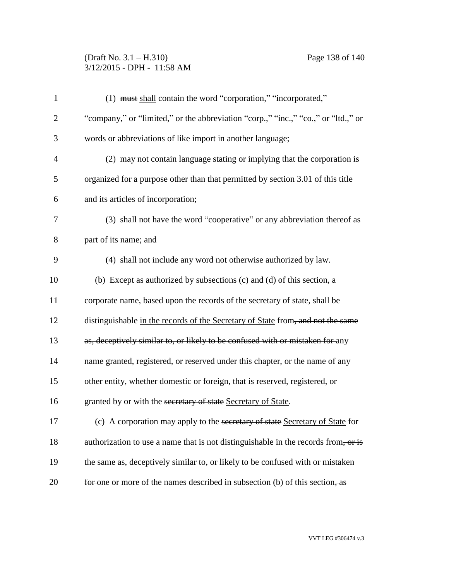# (Draft No. 3.1 – H.310) Page 138 of 140 3/12/2015 - DPH - 11:58 AM

| $\mathbf{1}$   | (1) must shall contain the word "corporation," "incorporated,"                     |
|----------------|------------------------------------------------------------------------------------|
| $\overline{2}$ | "company," or "limited," or the abbreviation "corp.," "inc.," "co.," or "ltd.," or |
| 3              | words or abbreviations of like import in another language;                         |
| $\overline{4}$ | (2) may not contain language stating or implying that the corporation is           |
| 5              | organized for a purpose other than that permitted by section 3.01 of this title    |
| 6              | and its articles of incorporation;                                                 |
| 7              | (3) shall not have the word "cooperative" or any abbreviation thereof as           |
| 8              | part of its name; and                                                              |
| 9              | (4) shall not include any word not otherwise authorized by law.                    |
| 10             | (b) Except as authorized by subsections (c) and (d) of this section, a             |
| 11             | corporate name, based upon the records of the secretary of state, shall be         |
| 12             | distinguishable in the records of the Secretary of State from, and not the same    |
| 13             | as, deceptively similar to, or likely to be confused with or mistaken for any      |
| 14             | name granted, registered, or reserved under this chapter, or the name of any       |
| 15             | other entity, whether domestic or foreign, that is reserved, registered, or        |
| 16             | granted by or with the secretary of state Secretary of State.                      |
| 17             | (c) A corporation may apply to the secretary of state Secretary of State for       |
| 18             | authorization to use a name that is not distinguishable in the records from, or is |
| 19             | the same as, deceptively similar to, or likely to be confused with or mistaken     |
| 20             | for one or more of the names described in subsection (b) of this section, as       |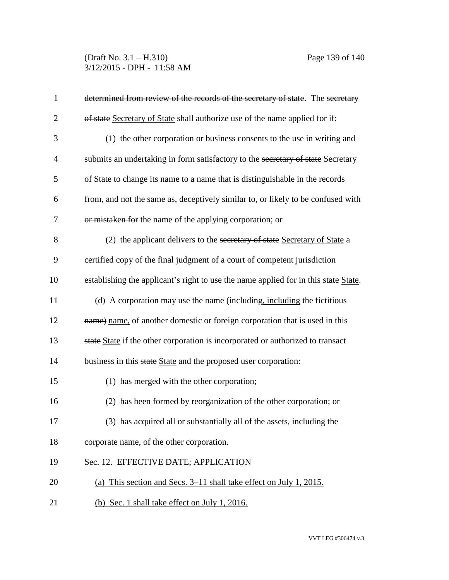(Draft No. 3.1 – H.310) Page 139 of 140 3/12/2015 - DPH - 11:58 AM

| $\mathbf{1}$   | determined from review of the records of the secretary of state. The secretary      |
|----------------|-------------------------------------------------------------------------------------|
| $\overline{2}$ | of state Secretary of State shall authorize use of the name applied for if:         |
| 3              | (1) the other corporation or business consents to the use in writing and            |
| $\overline{4}$ | submits an undertaking in form satisfactory to the secretary of state Secretary     |
| 5              | of State to change its name to a name that is distinguishable in the records        |
| 6              | from, and not the same as, deceptively similar to, or likely to be confused with    |
| 7              | or mistaken for the name of the applying corporation; or                            |
| 8              | (2) the applicant delivers to the secretary of state Secretary of State a           |
| 9              | certified copy of the final judgment of a court of competent jurisdiction           |
| 10             | establishing the applicant's right to use the name applied for in this state State. |
| 11             | (d) A corporation may use the name (including, including the fictitious             |
| 12             | name) name, of another domestic or foreign corporation that is used in this         |
| 13             | state State if the other corporation is incorporated or authorized to transact      |
| 14             | business in this state State and the proposed user corporation:                     |
| 15             | (1) has merged with the other corporation;                                          |
| 16             | (2) has been formed by reorganization of the other corporation; or                  |
| 17             | (3) has acquired all or substantially all of the assets, including the              |
| 18             | corporate name, of the other corporation.                                           |
| 19             | Sec. 12. EFFECTIVE DATE; APPLICATION                                                |
| 20             | (a) This section and Secs. 3–11 shall take effect on July 1, 2015.                  |
| 21             | (b) Sec. 1 shall take effect on July 1, 2016.                                       |